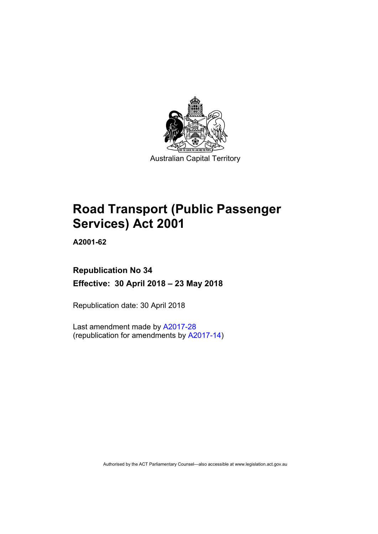

# **Road Transport (Public Passenger Services) Act 2001**

**A2001-62** 

## **Republication No 34 Effective: 30 April 2018 – 23 May 2018**

Republication date: 30 April 2018

Last amendment made by [A2017-28](http://www.legislation.act.gov.au/a/2017-28/default.asp) (republication for amendments by [A2017-14](http://www.legislation.act.gov.au/a/2017-14/default.asp))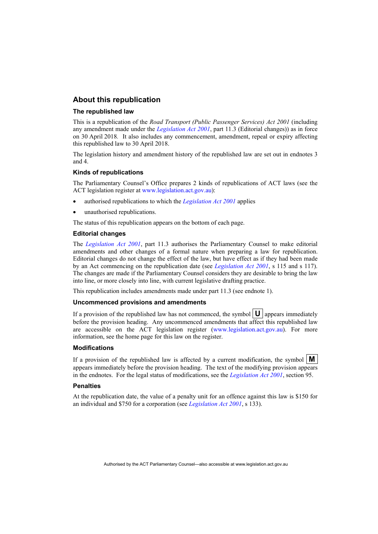#### **About this republication**

#### **The republished law**

This is a republication of the *Road Transport (Public Passenger Services) Act 2001* (including any amendment made under the *[Legislation Act 2001](http://www.legislation.act.gov.au/a/2001-14)*, part 11.3 (Editorial changes)) as in force on 30 April 2018*.* It also includes any commencement, amendment, repeal or expiry affecting this republished law to 30 April 2018.

The legislation history and amendment history of the republished law are set out in endnotes 3 and 4.

#### **Kinds of republications**

The Parliamentary Counsel's Office prepares 2 kinds of republications of ACT laws (see the ACT legislation register at [www.legislation.act.gov.au](http://www.legislation.act.gov.au/)):

- authorised republications to which the *[Legislation Act 2001](http://www.legislation.act.gov.au/a/2001-14)* applies
- unauthorised republications.

The status of this republication appears on the bottom of each page.

#### **Editorial changes**

The *[Legislation Act 2001](http://www.legislation.act.gov.au/a/2001-14)*, part 11.3 authorises the Parliamentary Counsel to make editorial amendments and other changes of a formal nature when preparing a law for republication. Editorial changes do not change the effect of the law, but have effect as if they had been made by an Act commencing on the republication date (see *[Legislation Act 2001](http://www.legislation.act.gov.au/a/2001-14)*, s 115 and s 117). The changes are made if the Parliamentary Counsel considers they are desirable to bring the law into line, or more closely into line, with current legislative drafting practice.

This republication includes amendments made under part 11.3 (see endnote 1).

#### **Uncommenced provisions and amendments**

If a provision of the republished law has not commenced, the symbol  $\mathbf{U}$  appears immediately before the provision heading. Any uncommenced amendments that affect this republished law are accessible on the ACT legislation register [\(www.legislation.act.gov.au\)](http://www.legislation.act.gov.au/). For more information, see the home page for this law on the register.

#### **Modifications**

If a provision of the republished law is affected by a current modification, the symbol  $\mathbf{M}$ appears immediately before the provision heading. The text of the modifying provision appears in the endnotes. For the legal status of modifications, see the *[Legislation Act 2001](http://www.legislation.act.gov.au/a/2001-14)*, section 95.

#### **Penalties**

At the republication date, the value of a penalty unit for an offence against this law is \$150 for an individual and \$750 for a corporation (see *[Legislation Act 2001](http://www.legislation.act.gov.au/a/2001-14)*, s 133).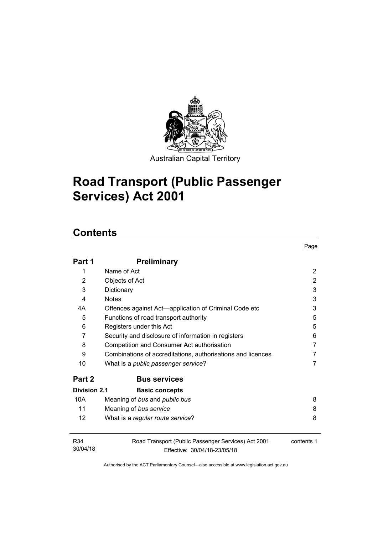

Australian Capital Territory

# **Road Transport (Public Passenger Services) Act 2001**

## **Contents**

|                             |                                                                                     | Page           |
|-----------------------------|-------------------------------------------------------------------------------------|----------------|
| Part 1                      | <b>Preliminary</b>                                                                  |                |
| 1                           | Name of Act                                                                         | $\overline{2}$ |
| 2                           | Objects of Act                                                                      | $\overline{2}$ |
| 3                           | Dictionary                                                                          | 3              |
| 4                           | <b>Notes</b>                                                                        | 3              |
| 4А                          | Offences against Act—application of Criminal Code etc                               | 3              |
| 5                           | Functions of road transport authority                                               | 5              |
| 6                           | Registers under this Act                                                            | 5              |
| 7                           | Security and disclosure of information in registers                                 | 6              |
| 8                           | Competition and Consumer Act authorisation                                          | 7              |
| 9                           | Combinations of accreditations, authorisations and licences                         | 7              |
| 10                          | What is a <i>public passenger service</i> ?                                         | 7              |
| Part 2                      | <b>Bus services</b>                                                                 |                |
| <b>Division 2.1</b>         | <b>Basic concepts</b>                                                               |                |
| 10A                         | Meaning of bus and public bus                                                       | 8              |
| 11                          | Meaning of bus service                                                              | 8              |
| 12                          | What is a regular route service?                                                    | 8              |
| R <sub>34</sub><br>30/04/18 | Road Transport (Public Passenger Services) Act 2001<br>Effective: 30/04/18-23/05/18 | contents 1     |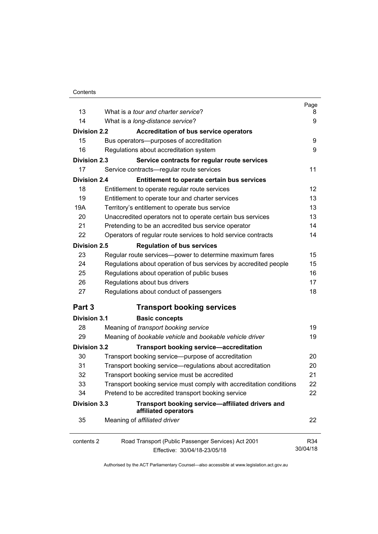| 13                  | What is a <i>tour and charter service</i> ?                              | Page<br>8 |
|---------------------|--------------------------------------------------------------------------|-----------|
| 14                  | What is a long-distance service?                                         | 9         |
|                     |                                                                          |           |
| <b>Division 2.2</b> | <b>Accreditation of bus service operators</b>                            |           |
| 15                  | Bus operators--- purposes of accreditation                               | 9         |
| 16                  | Regulations about accreditation system                                   | 9         |
| <b>Division 2.3</b> | Service contracts for regular route services                             |           |
| 17                  | Service contracts—regular route services                                 | 11        |
| <b>Division 2.4</b> | Entitlement to operate certain bus services                              |           |
| 18                  | Entitlement to operate regular route services                            | 12        |
| 19                  | Entitlement to operate tour and charter services                         | 13        |
| 19A                 | Territory's entitlement to operate bus service                           | 13        |
| 20                  | Unaccredited operators not to operate certain bus services               | 13        |
| 21                  | Pretending to be an accredited bus service operator                      | 14        |
| 22                  | Operators of regular route services to hold service contracts            | 14        |
| <b>Division 2.5</b> | <b>Regulation of bus services</b>                                        |           |
| 23                  | Regular route services-power to determine maximum fares                  | 15        |
| 24                  | Regulations about operation of bus services by accredited people         | 15        |
| 25                  | Regulations about operation of public buses                              | 16        |
| 26                  | Regulations about bus drivers                                            | 17        |
| 27                  | Regulations about conduct of passengers                                  | 18        |
| Part 3              | <b>Transport booking services</b>                                        |           |
| <b>Division 3.1</b> | <b>Basic concepts</b>                                                    |           |
| 28                  | Meaning of transport booking service                                     | 19        |
| 29                  | Meaning of bookable vehicle and bookable vehicle driver                  | 19        |
| <b>Division 3.2</b> | <b>Transport booking service-accreditation</b>                           |           |
| 30                  | Transport booking service—purpose of accreditation                       | 20        |
| 31                  | Transport booking service—regulations about accreditation                | 20        |
| 32                  | Transport booking service must be accredited                             | 21        |
| 33                  | Transport booking service must comply with accreditation conditions      | 22        |
| 34                  | Pretend to be accredited transport booking service                       | 22        |
| <b>Division 3.3</b> | Transport booking service-affiliated drivers and<br>affiliated operators |           |
| 35                  | Meaning of affiliated driver                                             | 22        |
| contents 2          | Road Transport (Public Passenger Services) Act 2001                      | R34       |
|                     | Effective: 30/04/18-23/05/18                                             | 30/04/18  |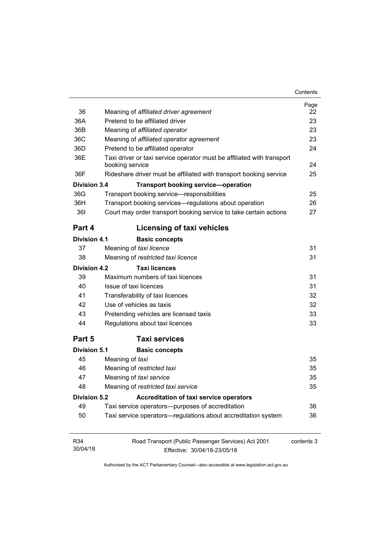| Contents |
|----------|
|----------|

| 36<br>36A<br>36B<br>36C<br>36D<br>36E | Meaning of affiliated driver agreement<br>Pretend to be affiliated driver<br>Meaning of affiliated operator<br>Meaning of affiliated operator agreement<br>Pretend to be affiliated operator<br>Taxi driver or taxi service operator must be affiliated with transport | Page<br>22<br>23<br>23<br>23<br>24 |
|---------------------------------------|------------------------------------------------------------------------------------------------------------------------------------------------------------------------------------------------------------------------------------------------------------------------|------------------------------------|
|                                       | booking service                                                                                                                                                                                                                                                        | 24                                 |
| 36F<br>Division 3.4                   | Rideshare driver must be affiliated with transport booking service                                                                                                                                                                                                     | 25                                 |
|                                       | <b>Transport booking service-operation</b>                                                                                                                                                                                                                             |                                    |
| 36G                                   | Transport booking service-responsibilities                                                                                                                                                                                                                             | 25                                 |
| 36H<br>361                            | Transport booking services—regulations about operation<br>Court may order transport booking service to take certain actions                                                                                                                                            | 26<br>27                           |
|                                       |                                                                                                                                                                                                                                                                        |                                    |
| Part 4                                | Licensing of taxi vehicles                                                                                                                                                                                                                                             |                                    |
| <b>Division 4.1</b>                   | <b>Basic concepts</b>                                                                                                                                                                                                                                                  |                                    |
| 37                                    | Meaning of taxi licence                                                                                                                                                                                                                                                | 31                                 |
| 38                                    | Meaning of restricted taxi licence                                                                                                                                                                                                                                     | 31                                 |
| <b>Division 4.2</b>                   | <b>Taxi licences</b>                                                                                                                                                                                                                                                   |                                    |
| 39                                    | Maximum numbers of taxi licences                                                                                                                                                                                                                                       | 31                                 |
| 40                                    | Issue of taxi licences                                                                                                                                                                                                                                                 | 31                                 |
| 41                                    | Transferability of taxi licences                                                                                                                                                                                                                                       | 32                                 |
| 42                                    | Use of vehicles as taxis                                                                                                                                                                                                                                               | 32                                 |
| 43                                    | Pretending vehicles are licensed taxis                                                                                                                                                                                                                                 | 33                                 |
| 44                                    | Regulations about taxi licences                                                                                                                                                                                                                                        | 33                                 |
| Part 5                                | <b>Taxi services</b>                                                                                                                                                                                                                                                   |                                    |
| <b>Division 5.1</b>                   | <b>Basic concepts</b>                                                                                                                                                                                                                                                  |                                    |
| 45                                    | Meaning of taxi                                                                                                                                                                                                                                                        | 35                                 |
| 46                                    | Meaning of restricted taxi                                                                                                                                                                                                                                             | 35                                 |
| 47                                    | Meaning of taxi service                                                                                                                                                                                                                                                | 35                                 |
| 48                                    | Meaning of restricted taxi service                                                                                                                                                                                                                                     | 35                                 |
| <b>Division 5.2</b>                   | <b>Accreditation of taxi service operators</b>                                                                                                                                                                                                                         |                                    |
| 49                                    | Taxi service operators—purposes of accreditation                                                                                                                                                                                                                       | 36                                 |
| 50                                    | Taxi service operators-regulations about accreditation system                                                                                                                                                                                                          | 36                                 |
| R34<br>30/04/18                       | Road Transport (Public Passenger Services) Act 2001<br>Effective: 30/04/18-23/05/18                                                                                                                                                                                    | contents 3                         |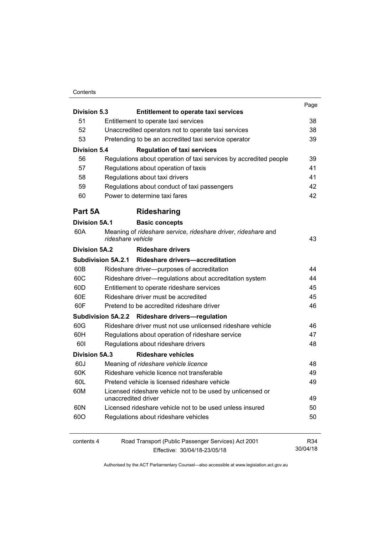#### **Contents**

|                                                                                                                         |                                                                                                                                                                                          | Page     |
|-------------------------------------------------------------------------------------------------------------------------|------------------------------------------------------------------------------------------------------------------------------------------------------------------------------------------|----------|
| <b>Division 5.3</b>                                                                                                     | <b>Entitlement to operate taxi services</b>                                                                                                                                              |          |
| 51                                                                                                                      | Entitlement to operate taxi services                                                                                                                                                     | 38       |
| 52                                                                                                                      | Unaccredited operators not to operate taxi services                                                                                                                                      | 38       |
| 53<br>Pretending to be an accredited taxi service operator<br><b>Division 5.4</b><br><b>Regulation of taxi services</b> |                                                                                                                                                                                          | 39       |
|                                                                                                                         |                                                                                                                                                                                          |          |
| 56                                                                                                                      | Regulations about operation of taxi services by accredited people                                                                                                                        | 39       |
| 57                                                                                                                      | Regulations about operation of taxis                                                                                                                                                     | 41       |
| 58                                                                                                                      | Regulations about taxi drivers<br>Regulations about conduct of taxi passengers                                                                                                           | 41       |
| 59                                                                                                                      |                                                                                                                                                                                          | 42       |
| 60                                                                                                                      | Power to determine taxi fares                                                                                                                                                            | 42       |
| Part 5A                                                                                                                 | <b>Ridesharing</b>                                                                                                                                                                       |          |
| <b>Division 5A.1</b>                                                                                                    | <b>Basic concepts</b>                                                                                                                                                                    |          |
| 60A                                                                                                                     | Meaning of rideshare service, rideshare driver, rideshare and<br>rideshare vehicle                                                                                                       | 43       |
| <b>Division 5A.2</b>                                                                                                    | <b>Rideshare drivers</b>                                                                                                                                                                 |          |
|                                                                                                                         | Subdivision 5A.2.1 Rideshare drivers-accreditation                                                                                                                                       |          |
| 60B                                                                                                                     | Rideshare driver--- purposes of accreditation                                                                                                                                            | 44       |
| 60C<br>60D<br>60E<br>60F                                                                                                | Rideshare driver-regulations about accreditation system<br>Entitlement to operate rideshare services<br>Rideshare driver must be accredited<br>Pretend to be accredited rideshare driver | 44       |
|                                                                                                                         |                                                                                                                                                                                          | 45       |
|                                                                                                                         |                                                                                                                                                                                          | 45       |
|                                                                                                                         |                                                                                                                                                                                          | 46       |
|                                                                                                                         | Subdivision 5A.2.2 Rideshare drivers-regulation                                                                                                                                          |          |
| 60G                                                                                                                     | Rideshare driver must not use unlicensed rideshare vehicle                                                                                                                               | 46       |
| 60H                                                                                                                     | Regulations about operation of rideshare service                                                                                                                                         | 47       |
| 601                                                                                                                     | Regulations about rideshare drivers                                                                                                                                                      | 48       |
| <b>Division 5A.3</b>                                                                                                    | <b>Rideshare vehicles</b>                                                                                                                                                                |          |
| 60J                                                                                                                     | Meaning of rideshare vehicle licence                                                                                                                                                     | 48       |
| 60K                                                                                                                     | Rideshare vehicle licence not transferable                                                                                                                                               | 49       |
| 60L                                                                                                                     | Pretend vehicle is licensed rideshare vehicle                                                                                                                                            | 49       |
| 60M                                                                                                                     | Licensed rideshare vehicle not to be used by unlicensed or<br>unaccredited driver                                                                                                        | 49       |
| 60N                                                                                                                     | Licensed rideshare vehicle not to be used unless insured                                                                                                                                 | 50       |
| 600                                                                                                                     | Regulations about rideshare vehicles                                                                                                                                                     | 50       |
| contents 4                                                                                                              | Road Transport (Public Passenger Services) Act 2001                                                                                                                                      | R34      |
|                                                                                                                         | Effective: 30/04/18-23/05/18                                                                                                                                                             | 30/04/18 |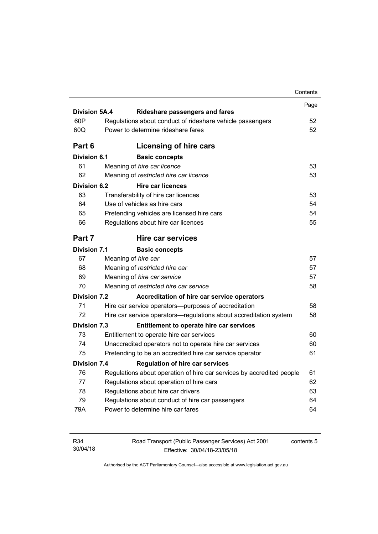|                      |                                                                                        | Contents |
|----------------------|----------------------------------------------------------------------------------------|----------|
|                      |                                                                                        | Page     |
| <b>Division 5A.4</b> | <b>Rideshare passengers and fares</b>                                                  |          |
| 60P                  | Regulations about conduct of rideshare vehicle passengers                              | 52       |
| 60Q                  | Power to determine rideshare fares                                                     | 52       |
| Part 6               | Licensing of hire cars                                                                 |          |
| <b>Division 6.1</b>  | <b>Basic concepts</b>                                                                  |          |
| 61                   | Meaning of hire car licence                                                            | 53       |
| 62                   | Meaning of restricted hire car licence                                                 | 53       |
| Division 6.2         | <b>Hire car licences</b>                                                               |          |
| 63                   | Transferability of hire car licences                                                   | 53       |
| 64                   | Use of vehicles as hire cars                                                           | 54       |
| 65                   | Pretending vehicles are licensed hire cars                                             | 54       |
| 66                   | Regulations about hire car licences                                                    | 55       |
| Part 7               | Hire car services                                                                      |          |
| <b>Division 7.1</b>  | <b>Basic concepts</b>                                                                  |          |
| 67                   | Meaning of hire car                                                                    | 57       |
| 68                   | Meaning of restricted hire car                                                         | 57       |
| 69                   | Meaning of hire car service                                                            | 57       |
| 70                   | Meaning of restricted hire car service                                                 | 58       |
| <b>Division 7.2</b>  | Accreditation of hire car service operators                                            |          |
| 71                   | Hire car service operators—purposes of accreditation                                   | 58       |
| 72                   | Hire car service operators—regulations about accreditation system                      | 58       |
| <b>Division 7.3</b>  | Entitlement to operate hire car services                                               |          |
| 73                   | Entitlement to operate hire car services                                               | 60       |
| 74                   | Unaccredited operators not to operate hire car services                                | 60       |
| 75                   | Pretending to be an accredited hire car service operator                               | 61       |
|                      | <b>Regulation of hire car services</b>                                                 |          |
|                      |                                                                                        |          |
| <b>Division 7.4</b>  |                                                                                        |          |
| 76                   | Regulations about operation of hire car services by accredited people                  | 61       |
| 77                   | Regulations about operation of hire cars                                               | 62       |
| 78<br>79             | Regulations about hire car drivers<br>Regulations about conduct of hire car passengers | 63<br>64 |

| R34      | Road Transport (Public Passenger Services) Act 2001 | contents 5 |
|----------|-----------------------------------------------------|------------|
| 30/04/18 | Effective: 30/04/18-23/05/18                        |            |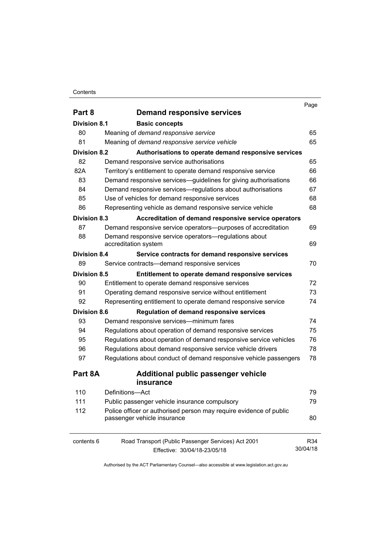#### **Contents**

|                     |                                                                    | Page     |
|---------------------|--------------------------------------------------------------------|----------|
| Part 8              | <b>Demand responsive services</b>                                  |          |
| Division 8.1        | <b>Basic concepts</b>                                              |          |
| 80                  | Meaning of demand responsive service                               | 65       |
| 81                  | Meaning of demand responsive service vehicle                       | 65       |
| <b>Division 8.2</b> | Authorisations to operate demand responsive services               |          |
| 82                  | Demand responsive service authorisations                           | 65       |
| 82A                 | Territory's entitlement to operate demand responsive service       | 66       |
| 83                  | Demand responsive services—guidelines for giving authorisations    | 66       |
| 84                  | Demand responsive services—regulations about authorisations        | 67       |
| 85                  | Use of vehicles for demand responsive services                     | 68       |
| 86                  | Representing vehicle as demand responsive service vehicle          | 68       |
| <b>Division 8.3</b> | Accreditation of demand responsive service operators               |          |
| 87                  | Demand responsive service operators—purposes of accreditation      | 69       |
| 88                  | Demand responsive service operators-regulations about              |          |
|                     | accreditation system                                               | 69       |
| Division 8.4        | Service contracts for demand responsive services                   |          |
| 89                  | Service contracts-demand responsive services                       | 70       |
| <b>Division 8.5</b> | Entitlement to operate demand responsive services                  |          |
| 90                  | Entitlement to operate demand responsive services                  | 72       |
| 91                  | Operating demand responsive service without entitlement            | 73       |
| 92                  | Representing entitlement to operate demand responsive service      | 74       |
| <b>Division 8.6</b> | <b>Regulation of demand responsive services</b>                    |          |
| 93                  | Demand responsive services—minimum fares                           | 74       |
| 94                  | Regulations about operation of demand responsive services          | 75       |
| 95                  | Regulations about operation of demand responsive service vehicles  | 76       |
| 96                  | Regulations about demand responsive service vehicle drivers        | 78       |
| 97                  | Regulations about conduct of demand responsive vehicle passengers  | 78       |
| Part 8A             | Additional public passenger vehicle                                |          |
|                     | insurance                                                          |          |
| 110                 | Definitions-Act                                                    | 79       |
| 111                 | Public passenger vehicle insurance compulsory                      | 79       |
| 112                 | Police officer or authorised person may require evidence of public |          |
|                     | passenger vehicle insurance                                        | 80       |
| contents 6          | Road Transport (Public Passenger Services) Act 2001                | R34      |
|                     | Effective: 30/04/18-23/05/18                                       | 30/04/18 |
|                     |                                                                    |          |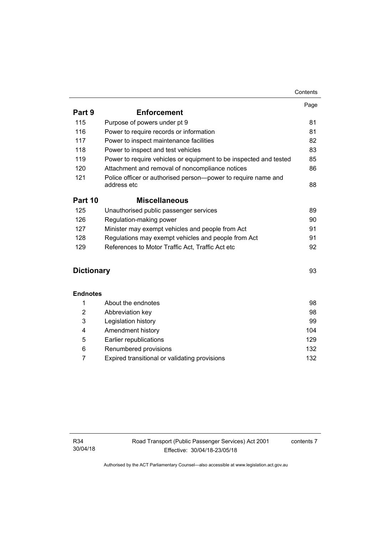|                   |                                                                              | Page |
|-------------------|------------------------------------------------------------------------------|------|
| Part 9            | <b>Enforcement</b>                                                           |      |
| 115               | Purpose of powers under pt 9                                                 | 81   |
| 116               | Power to require records or information                                      | 81   |
| 117               | Power to inspect maintenance facilities                                      | 82   |
| 118               | Power to inspect and test vehicles                                           | 83   |
| 119               | Power to require vehicles or equipment to be inspected and tested            | 85   |
| 120               | Attachment and removal of noncompliance notices                              | 86   |
| 121               | Police officer or authorised person-power to require name and<br>address etc | 88   |
|                   |                                                                              |      |
| Part 10           | <b>Miscellaneous</b>                                                         |      |
| 125               | Unauthorised public passenger services                                       | 89   |
| 126               | Regulation-making power                                                      | 90   |
| 127               | Minister may exempt vehicles and people from Act                             | 91   |
| 128               | Regulations may exempt vehicles and people from Act                          | 91   |
| 129               | References to Motor Traffic Act, Traffic Act etc                             | 92   |
| <b>Dictionary</b> |                                                                              | 93   |
|                   |                                                                              |      |
| <b>Endnotes</b>   |                                                                              |      |
| 1                 | About the endnotes                                                           | 98   |
| 2                 | Abbreviation key                                                             | 98   |
| 3                 | Legislation history                                                          | 99   |
| 4                 | Amendment history                                                            | 104  |
| 5                 | Earlier republications                                                       | 129  |
| 6                 | Renumbered provisions                                                        | 132  |

7 [Expired transitional or validating provisions 132](#page-141-1)

contents 7

Contents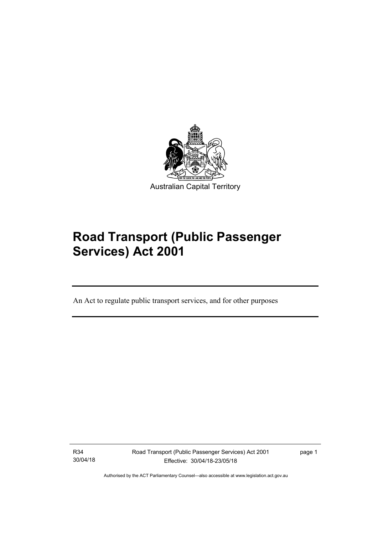

# **Road Transport (Public Passenger Services) Act 2001**

An Act to regulate public transport services, and for other purposes

R34 30/04/18

l

Road Transport (Public Passenger Services) Act 2001 Effective: 30/04/18-23/05/18

page 1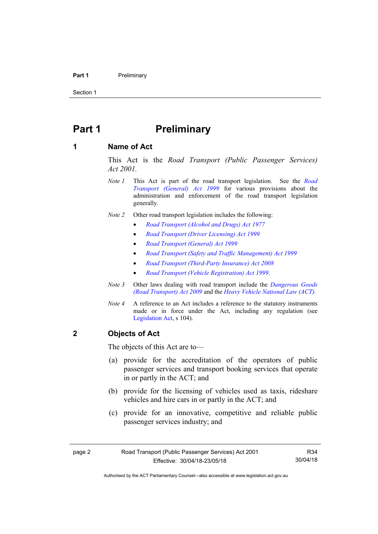#### **Part 1** Preliminary

Section 1

## <span id="page-11-0"></span>**Part 1** Preliminary

#### <span id="page-11-1"></span>**1 Name of Act**

This Act is the *Road Transport (Public Passenger Services) Act 2001.* 

- *Note 1* This Act is part of the road transport legislation. See the *[Road](http://www.legislation.act.gov.au/a/1999-77)  [Transport \(General\) Act 1999](http://www.legislation.act.gov.au/a/1999-77)* for various provisions about the administration and enforcement of the road transport legislation generally.
- *Note 2* Other road transport legislation includes the following:
	- *[Road Transport \(Alcohol and Drugs\) Act 1977](http://www.legislation.act.gov.au/a/1977-17)*
	- *[Road Transport \(Driver Licensing\) Act 1999](http://www.legislation.act.gov.au/a/1999-78)*
	- *[Road Transport \(General\) Act 1999](http://www.legislation.act.gov.au/a/1999-77)*
	- *[Road Transport \(Safety and Traffic Management\) Act 1999](http://www.legislation.act.gov.au/a/1999-80)*
	- *[Road Transport \(Third-Party Insurance\) Act 2008](http://www.legislation.act.gov.au/a/2008-1)*
	- *[Road Transport \(Vehicle Registration\) Act 1999](http://www.legislation.act.gov.au/a/1999-81)*.
- *Note 3* Other laws dealing with road transport include the *[Dangerous Goods](http://www.legislation.act.gov.au/a/2009-34)  [\(Road Transport\) Act 2009](http://www.legislation.act.gov.au/a/2009-34)* and the *[Heavy Vehicle National Law \(ACT\).](http://www.legislation.act.gov.au/a/db_49155/default.asp)*
- *Note 4* A reference to an Act includes a reference to the statutory instruments made or in force under the Act, including any regulation (see [Legislation Act,](http://www.legislation.act.gov.au/a/2001-14) s 104).

#### <span id="page-11-2"></span>**2 Objects of Act**

The objects of this Act are to—

- (a) provide for the accreditation of the operators of public passenger services and transport booking services that operate in or partly in the ACT; and
- (b) provide for the licensing of vehicles used as taxis, rideshare vehicles and hire cars in or partly in the ACT; and
- (c) provide for an innovative, competitive and reliable public passenger services industry; and

R34 30/04/18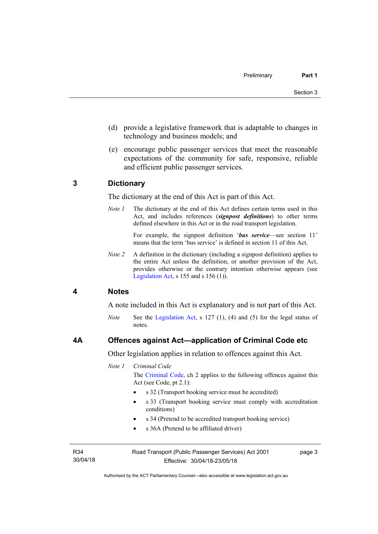- (d) provide a legislative framework that is adaptable to changes in technology and business models; and
- (e) encourage public passenger services that meet the reasonable expectations of the community for safe, responsive, reliable and efficient public passenger services.

#### <span id="page-12-0"></span>**3 Dictionary**

The dictionary at the end of this Act is part of this Act.

*Note 1* The dictionary at the end of this Act defines certain terms used in this Act, and includes references (*signpost definitions*) to other terms defined elsewhere in this Act or in the road transport legislation.

> For example, the signpost definition '*bus service*—see section 11' means that the term 'bus service' is defined in section 11 of this Act.

*Note 2* A definition in the dictionary (including a signpost definition) applies to the entire Act unless the definition, or another provision of the Act, provides otherwise or the contrary intention otherwise appears (see [Legislation Act,](http://www.legislation.act.gov.au/a/2001-14) s  $155$  and s  $156$  (1)).

#### <span id="page-12-1"></span>**4 Notes**

A note included in this Act is explanatory and is not part of this Act.

*Note* See the [Legislation Act](http://www.legislation.act.gov.au/a/2001-14), s 127 (1), (4) and (5) for the legal status of notes.

#### <span id="page-12-2"></span>**4A Offences against Act—application of Criminal Code etc**

Other legislation applies in relation to offences against this Act.

*Note 1 Criminal Code*

The [Criminal Code](http://www.legislation.act.gov.au/a/2002-51), ch 2 applies to the following offences against this Act (see Code, pt 2.1):

- s 32 (Transport booking service must be accredited)
- s 33 (Transport booking service must comply with accreditation conditions)
- s 34 (Pretend to be accredited transport booking service)
- s 36A (Pretend to be affiliated driver)

R34 30/04/18 page 3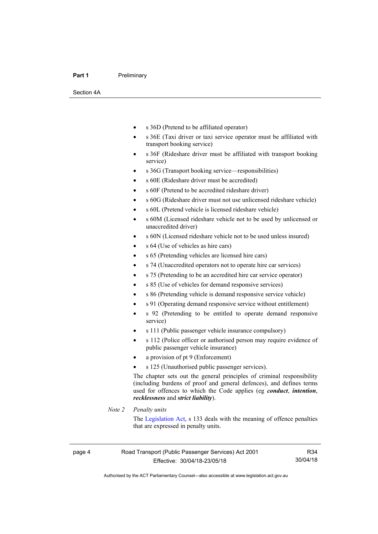#### **Part 1** Preliminary

Section 4A

- s 36D (Pretend to be affiliated operator)
- s 36E (Taxi driver or taxi service operator must be affiliated with transport booking service)
- s 36F (Rideshare driver must be affiliated with transport booking service)
- s 36G (Transport booking service—responsibilities)
- s 60E (Rideshare driver must be accredited)
- s 60F (Pretend to be accredited rideshare driver)
- s 60G (Rideshare driver must not use unlicensed rideshare vehicle)
- s 60L (Pretend vehicle is licensed rideshare vehicle)
- s 60M (Licensed rideshare vehicle not to be used by unlicensed or unaccredited driver)
- s 60N (Licensed rideshare vehicle not to be used unless insured)
- s 64 (Use of vehicles as hire cars)
- s 65 (Pretending vehicles are licensed hire cars)
- s 74 (Unaccredited operators not to operate hire car services)
- s 75 (Pretending to be an accredited hire car service operator)
- s 85 (Use of vehicles for demand responsive services)
- s 86 (Pretending vehicle is demand responsive service vehicle)
- s 91 (Operating demand responsive service without entitlement)
- s 92 (Pretending to be entitled to operate demand responsive service)
- s 111 (Public passenger vehicle insurance compulsory)
- s 112 (Police officer or authorised person may require evidence of public passenger vehicle insurance)
- a provision of pt 9 (Enforcement)
- s 125 (Unauthorised public passenger services).

The chapter sets out the general principles of criminal responsibility (including burdens of proof and general defences), and defines terms used for offences to which the Code applies (eg *conduct*, *intention*, *recklessness* and *strict liability*).

#### *Note 2 Penalty units*

The [Legislation Act](http://www.legislation.act.gov.au/a/2001-14), s 133 deals with the meaning of offence penalties that are expressed in penalty units.

R34 30/04/18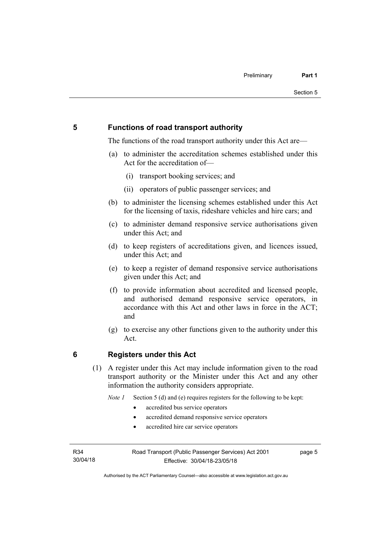#### <span id="page-14-0"></span>**5 Functions of road transport authority**

The functions of the road transport authority under this Act are—

- (a) to administer the accreditation schemes established under this Act for the accreditation of—
	- (i) transport booking services; and
	- (ii) operators of public passenger services; and
- (b) to administer the licensing schemes established under this Act for the licensing of taxis, rideshare vehicles and hire cars; and
- (c) to administer demand responsive service authorisations given under this Act; and
- (d) to keep registers of accreditations given, and licences issued, under this Act: and
- (e) to keep a register of demand responsive service authorisations given under this Act; and
- (f) to provide information about accredited and licensed people, and authorised demand responsive service operators, in accordance with this Act and other laws in force in the ACT; and
- (g) to exercise any other functions given to the authority under this Act.

#### <span id="page-14-1"></span>**6 Registers under this Act**

(1) A register under this Act may include information given to the road transport authority or the Minister under this Act and any other information the authority considers appropriate.

*Note 1* Section 5 (d) and (e) requires registers for the following to be kept:

- accredited bus service operators
- accredited demand responsive service operators
- accredited hire car service operators

R34 30/04/18 page 5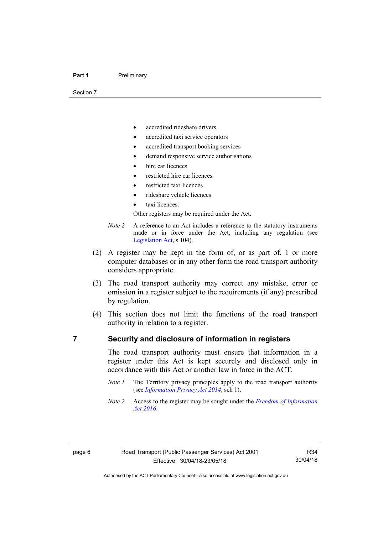Section 7

- accredited rideshare drivers
- accredited taxi service operators
- accredited transport booking services
- demand responsive service authorisations
- hire car licences
- restricted hire car licences
- restricted taxi licences
- rideshare vehicle licences
- taxi licences.

Other registers may be required under the Act.

- *Note 2* A reference to an Act includes a reference to the statutory instruments made or in force under the Act, including any regulation (see [Legislation Act,](http://www.legislation.act.gov.au/a/2001-14) s 104).
- (2) A register may be kept in the form of, or as part of, 1 or more computer databases or in any other form the road transport authority considers appropriate.
- (3) The road transport authority may correct any mistake, error or omission in a register subject to the requirements (if any) prescribed by regulation.
- (4) This section does not limit the functions of the road transport authority in relation to a register.

#### <span id="page-15-0"></span>**7 Security and disclosure of information in registers**

The road transport authority must ensure that information in a register under this Act is kept securely and disclosed only in accordance with this Act or another law in force in the ACT.

- *Note 1* The Territory privacy principles apply to the road transport authority (see *[Information Privacy Act 2014](http://www.legislation.act.gov.au/a/2014-24/default.asp)*, sch 1).
- *Note 2* Access to the register may be sought under the *[Freedom of Information](http://www.legislation.act.gov.au/a/2016-55/default.asp)  [Act 2016](http://www.legislation.act.gov.au/a/2016-55/default.asp)*.

Authorised by the ACT Parliamentary Counsel—also accessible at www.legislation.act.gov.au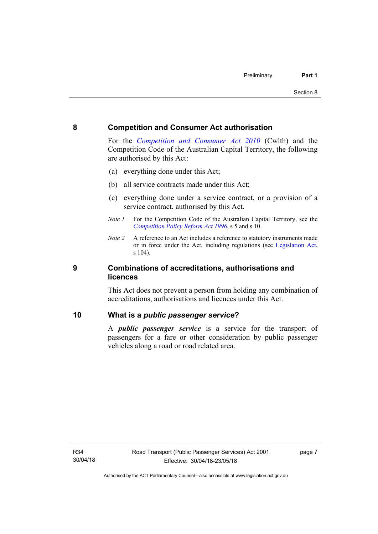#### <span id="page-16-0"></span>**8 Competition and Consumer Act authorisation**

For the *[Competition and Consumer Act 2010](http://www.comlaw.gov.au/Details/C2013C00004)* (Cwlth) and the Competition Code of the Australian Capital Territory, the following are authorised by this Act:

- (a) everything done under this Act;
- (b) all service contracts made under this Act;
- (c) everything done under a service contract, or a provision of a service contract, authorised by this Act.
- *Note 1* For the Competition Code of the Australian Capital Territory, see the *[Competition Policy Reform Act 1996](http://www.legislation.act.gov.au/a/1996-21)*, s 5 and s 10.
- *Note 2* A reference to an Act includes a reference to statutory instruments made or in force under the Act, including regulations (see [Legislation Act,](http://www.legislation.act.gov.au/a/2001-14) s 104).

#### <span id="page-16-1"></span>**9 Combinations of accreditations, authorisations and licences**

This Act does not prevent a person from holding any combination of accreditations, authorisations and licences under this Act.

#### <span id="page-16-2"></span>**10 What is a** *public passenger service***?**

A *public passenger service* is a service for the transport of passengers for a fare or other consideration by public passenger vehicles along a road or road related area.

page 7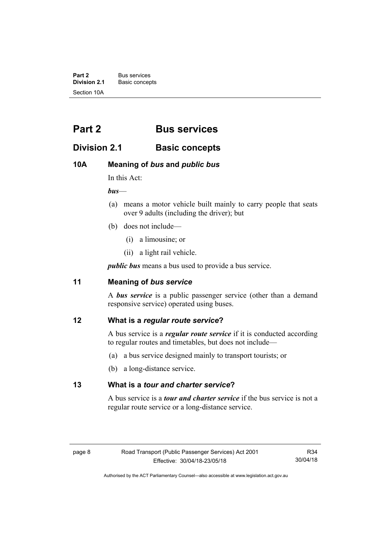**Part 2** Bus services<br>**Division 2.1** Basic concer **Division 2.1** Basic concepts Section 10A

## <span id="page-17-0"></span>**Part 2 Bus services**

### <span id="page-17-1"></span>**Division 2.1 Basic concepts**

### <span id="page-17-2"></span>**10A Meaning of** *bus* **and** *public bus*

In this Act:

*bus*—

- (a) means a motor vehicle built mainly to carry people that seats over 9 adults (including the driver); but
- (b) does not include—
	- (i) a limousine; or
	- (ii) a light rail vehicle.

*public bus* means a bus used to provide a bus service.

#### <span id="page-17-3"></span>**11 Meaning of** *bus service*

A *bus service* is a public passenger service (other than a demand responsive service) operated using buses.

#### <span id="page-17-4"></span>**12 What is a** *regular route service***?**

A bus service is a *regular route service* if it is conducted according to regular routes and timetables, but does not include—

- (a) a bus service designed mainly to transport tourists; or
- (b) a long-distance service.

#### <span id="page-17-5"></span>**13 What is a** *tour and charter service***?**

A bus service is a *tour and charter service* if the bus service is not a regular route service or a long-distance service.

R34 30/04/18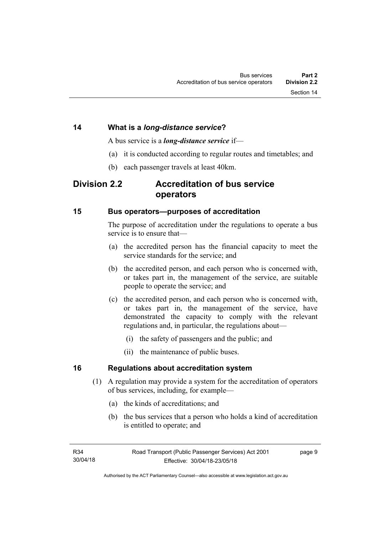A bus service is a *long-distance service* if—

- (a) it is conducted according to regular routes and timetables; and
- (b) each passenger travels at least 40km.

### <span id="page-18-1"></span><span id="page-18-0"></span>**Division 2.2 Accreditation of bus service operators**

#### <span id="page-18-2"></span>**15 Bus operators—purposes of accreditation**

The purpose of accreditation under the regulations to operate a bus service is to ensure that—

- (a) the accredited person has the financial capacity to meet the service standards for the service; and
- (b) the accredited person, and each person who is concerned with, or takes part in, the management of the service, are suitable people to operate the service; and
- (c) the accredited person, and each person who is concerned with, or takes part in, the management of the service, have demonstrated the capacity to comply with the relevant regulations and, in particular, the regulations about—
	- (i) the safety of passengers and the public; and
	- (ii) the maintenance of public buses.

#### <span id="page-18-3"></span>**16 Regulations about accreditation system**

- (1) A regulation may provide a system for the accreditation of operators of bus services, including, for example—
	- (a) the kinds of accreditations; and
	- (b) the bus services that a person who holds a kind of accreditation is entitled to operate; and

page 9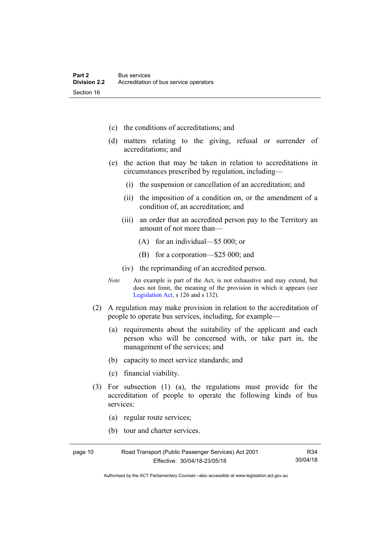- (c) the conditions of accreditations; and
- (d) matters relating to the giving, refusal or surrender of accreditations; and
- (e) the action that may be taken in relation to accreditations in circumstances prescribed by regulation, including—
	- (i) the suspension or cancellation of an accreditation; and
	- (ii) the imposition of a condition on, or the amendment of a condition of, an accreditation; and
	- (iii) an order that an accredited person pay to the Territory an amount of not more than—
		- (A) for an individual—\$5 000; or
		- (B) for a corporation—\$25 000; and
	- (iv) the reprimanding of an accredited person.
- *Note* An example is part of the Act, is not exhaustive and may extend, but does not limit, the meaning of the provision in which it appears (see [Legislation Act,](http://www.legislation.act.gov.au/a/2001-14) s 126 and s 132).
- (2) A regulation may make provision in relation to the accreditation of people to operate bus services, including, for example—
	- (a) requirements about the suitability of the applicant and each person who will be concerned with, or take part in, the management of the services; and
	- (b) capacity to meet service standards; and
	- (c) financial viability.
- (3) For subsection (1) (a), the regulations must provide for the accreditation of people to operate the following kinds of bus services:

R34

- (a) regular route services;
- (b) tour and charter services.

Authorised by the ACT Parliamentary Counsel—also accessible at www.legislation.act.gov.au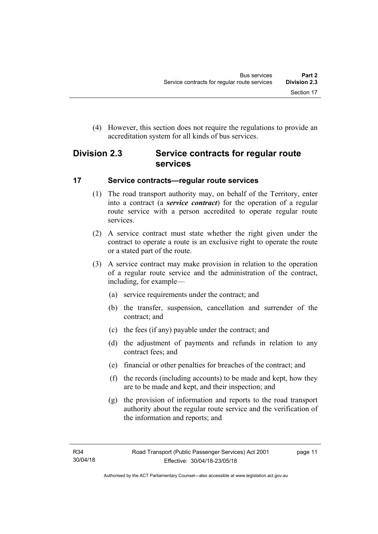(4) However, this section does not require the regulations to provide an accreditation system for all kinds of bus services.

## <span id="page-20-0"></span>**Division 2.3 Service contracts for regular route services**

#### <span id="page-20-1"></span>**17 Service contracts—regular route services**

- (1) The road transport authority may, on behalf of the Territory, enter into a contract (a *service contract*) for the operation of a regular route service with a person accredited to operate regular route services.
- (2) A service contract must state whether the right given under the contract to operate a route is an exclusive right to operate the route or a stated part of the route.
- (3) A service contract may make provision in relation to the operation of a regular route service and the administration of the contract, including, for example—
	- (a) service requirements under the contract; and
	- (b) the transfer, suspension, cancellation and surrender of the contract; and
	- (c) the fees (if any) payable under the contract; and
	- (d) the adjustment of payments and refunds in relation to any contract fees; and
	- (e) financial or other penalties for breaches of the contract; and
	- (f) the records (including accounts) to be made and kept, how they are to be made and kept, and their inspection; and
	- (g) the provision of information and reports to the road transport authority about the regular route service and the verification of the information and reports; and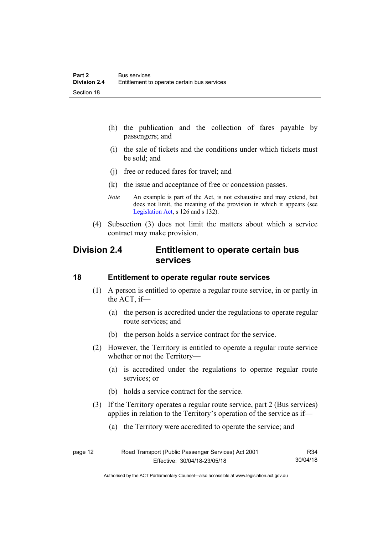- (h) the publication and the collection of fares payable by passengers; and
- (i) the sale of tickets and the conditions under which tickets must be sold; and
- (j) free or reduced fares for travel; and
- (k) the issue and acceptance of free or concession passes.
- *Note* An example is part of the Act, is not exhaustive and may extend, but does not limit, the meaning of the provision in which it appears (see [Legislation Act,](http://www.legislation.act.gov.au/a/2001-14) s 126 and s 132).
- (4) Subsection (3) does not limit the matters about which a service contract may make provision.

## <span id="page-21-0"></span>**Division 2.4 Entitlement to operate certain bus services**

#### <span id="page-21-1"></span>**18 Entitlement to operate regular route services**

- (1) A person is entitled to operate a regular route service, in or partly in the ACT, if—
	- (a) the person is accredited under the regulations to operate regular route services; and
	- (b) the person holds a service contract for the service.
- (2) However, the Territory is entitled to operate a regular route service whether or not the Territory—
	- (a) is accredited under the regulations to operate regular route services; or
	- (b) holds a service contract for the service.
- (3) If the Territory operates a regular route service, part 2 (Bus services) applies in relation to the Territory's operation of the service as if—
	- (a) the Territory were accredited to operate the service; and

| page 12 | Road Transport (Public Passenger Services) Act 2001 | R34      |
|---------|-----------------------------------------------------|----------|
|         | Effective: 30/04/18-23/05/18                        | 30/04/18 |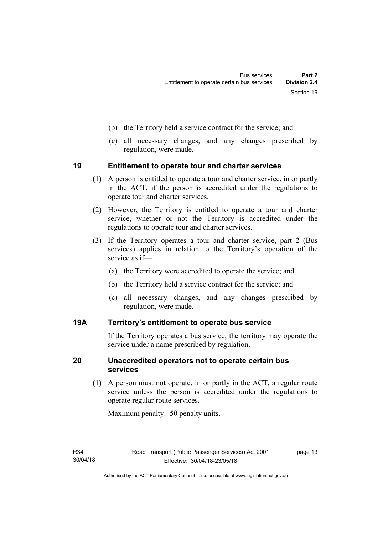- (b) the Territory held a service contract for the service; and
- (c) all necessary changes, and any changes prescribed by regulation, were made.

#### <span id="page-22-0"></span>**19 Entitlement to operate tour and charter services**

- (1) A person is entitled to operate a tour and charter service, in or partly in the ACT, if the person is accredited under the regulations to operate tour and charter services.
- (2) However, the Territory is entitled to operate a tour and charter service, whether or not the Territory is accredited under the regulations to operate tour and charter services.
- (3) If the Territory operates a tour and charter service, part 2 (Bus services) applies in relation to the Territory's operation of the service as if—
	- (a) the Territory were accredited to operate the service; and
	- (b) the Territory held a service contract for the service; and
	- (c) all necessary changes, and any changes prescribed by regulation, were made.

#### <span id="page-22-1"></span>**19A Territory's entitlement to operate bus service**

If the Territory operates a bus service, the territory may operate the service under a name prescribed by regulation.

#### <span id="page-22-2"></span>**20 Unaccredited operators not to operate certain bus services**

(1) A person must not operate, in or partly in the ACT, a regular route service unless the person is accredited under the regulations to operate regular route services.

Maximum penalty: 50 penalty units.

page 13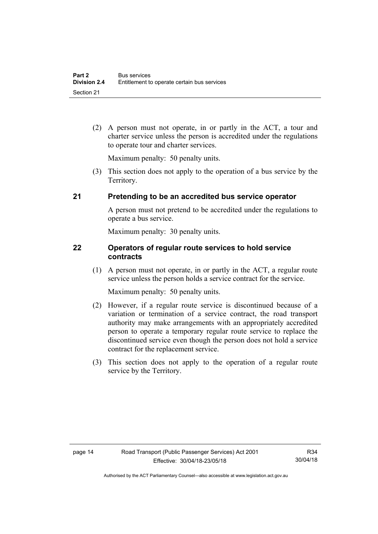(2) A person must not operate, in or partly in the ACT, a tour and charter service unless the person is accredited under the regulations to operate tour and charter services.

Maximum penalty: 50 penalty units.

 (3) This section does not apply to the operation of a bus service by the Territory.

#### <span id="page-23-0"></span>**21 Pretending to be an accredited bus service operator**

A person must not pretend to be accredited under the regulations to operate a bus service.

Maximum penalty: 30 penalty units.

#### <span id="page-23-1"></span>**22 Operators of regular route services to hold service contracts**

(1) A person must not operate, in or partly in the ACT, a regular route service unless the person holds a service contract for the service.

Maximum penalty: 50 penalty units.

- (2) However, if a regular route service is discontinued because of a variation or termination of a service contract, the road transport authority may make arrangements with an appropriately accredited person to operate a temporary regular route service to replace the discontinued service even though the person does not hold a service contract for the replacement service.
- (3) This section does not apply to the operation of a regular route service by the Territory.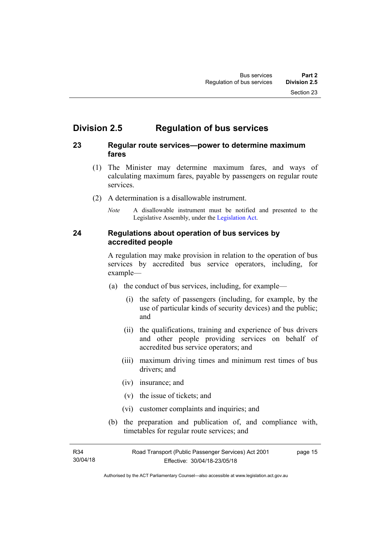## <span id="page-24-0"></span>**Division 2.5 Regulation of bus services**

#### <span id="page-24-1"></span>**23 Regular route services—power to determine maximum fares**

- (1) The Minister may determine maximum fares, and ways of calculating maximum fares, payable by passengers on regular route services.
- (2) A determination is a disallowable instrument.
	- *Note* A disallowable instrument must be notified and presented to the Legislative Assembly, under the [Legislation Act.](http://www.legislation.act.gov.au/a/2001-14)

#### <span id="page-24-2"></span>**24 Regulations about operation of bus services by accredited people**

A regulation may make provision in relation to the operation of bus services by accredited bus service operators, including, for example—

- (a) the conduct of bus services, including, for example—
	- (i) the safety of passengers (including, for example, by the use of particular kinds of security devices) and the public; and
	- (ii) the qualifications, training and experience of bus drivers and other people providing services on behalf of accredited bus service operators; and
	- (iii) maximum driving times and minimum rest times of bus drivers; and
	- (iv) insurance; and
	- (v) the issue of tickets; and
	- (vi) customer complaints and inquiries; and
- (b) the preparation and publication of, and compliance with, timetables for regular route services; and

page 15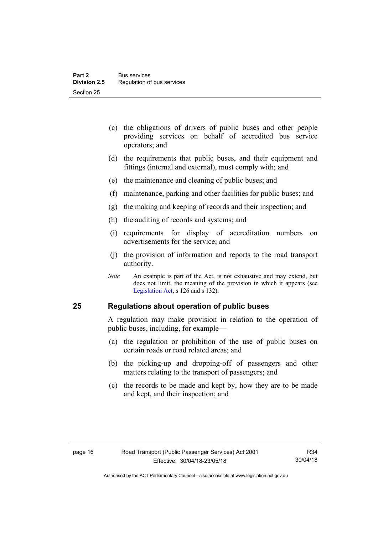- (c) the obligations of drivers of public buses and other people providing services on behalf of accredited bus service operators; and
- (d) the requirements that public buses, and their equipment and fittings (internal and external), must comply with; and
- (e) the maintenance and cleaning of public buses; and
- (f) maintenance, parking and other facilities for public buses; and
- (g) the making and keeping of records and their inspection; and
- (h) the auditing of records and systems; and
- (i) requirements for display of accreditation numbers on advertisements for the service; and
- (j) the provision of information and reports to the road transport authority.
- *Note* An example is part of the Act, is not exhaustive and may extend, but does not limit, the meaning of the provision in which it appears (see [Legislation Act,](http://www.legislation.act.gov.au/a/2001-14) s 126 and s 132).

#### <span id="page-25-0"></span>**25 Regulations about operation of public buses**

A regulation may make provision in relation to the operation of public buses, including, for example—

- (a) the regulation or prohibition of the use of public buses on certain roads or road related areas; and
- (b) the picking-up and dropping-off of passengers and other matters relating to the transport of passengers; and
- (c) the records to be made and kept by, how they are to be made and kept, and their inspection; and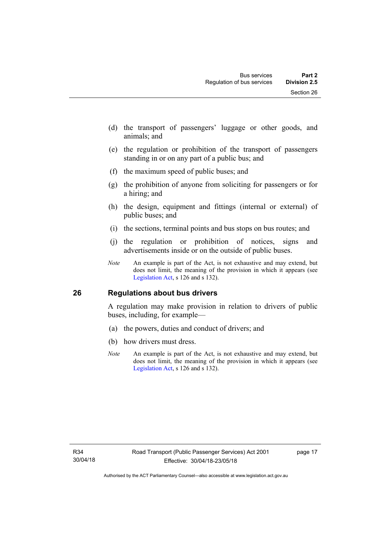- (d) the transport of passengers' luggage or other goods, and animals; and
- (e) the regulation or prohibition of the transport of passengers standing in or on any part of a public bus; and
- (f) the maximum speed of public buses; and
- (g) the prohibition of anyone from soliciting for passengers or for a hiring; and
- (h) the design, equipment and fittings (internal or external) of public buses; and
- (i) the sections, terminal points and bus stops on bus routes; and
- (j) the regulation or prohibition of notices, signs and advertisements inside or on the outside of public buses.
- *Note* An example is part of the Act, is not exhaustive and may extend, but does not limit, the meaning of the provision in which it appears (see [Legislation Act,](http://www.legislation.act.gov.au/a/2001-14) s 126 and s 132).

#### <span id="page-26-0"></span>**26 Regulations about bus drivers**

A regulation may make provision in relation to drivers of public buses, including, for example—

- (a) the powers, duties and conduct of drivers; and
- (b) how drivers must dress.
- *Note* An example is part of the Act, is not exhaustive and may extend, but does not limit, the meaning of the provision in which it appears (see [Legislation Act,](http://www.legislation.act.gov.au/a/2001-14) s 126 and s 132).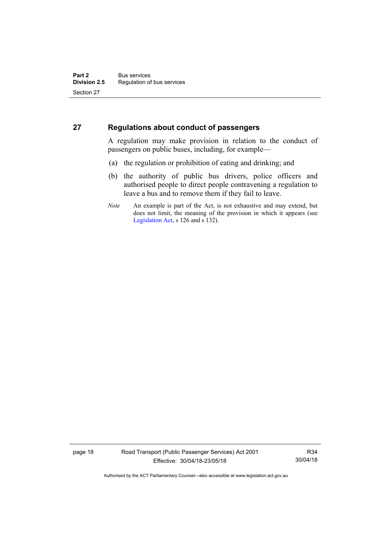#### <span id="page-27-0"></span>**27 Regulations about conduct of passengers**

A regulation may make provision in relation to the conduct of passengers on public buses, including, for example—

- (a) the regulation or prohibition of eating and drinking; and
- (b) the authority of public bus drivers, police officers and authorised people to direct people contravening a regulation to leave a bus and to remove them if they fail to leave.
- *Note* An example is part of the Act, is not exhaustive and may extend, but does not limit, the meaning of the provision in which it appears (see [Legislation Act,](http://www.legislation.act.gov.au/a/2001-14) s 126 and s 132).

page 18 Road Transport (Public Passenger Services) Act 2001 Effective: 30/04/18-23/05/18

R34 30/04/18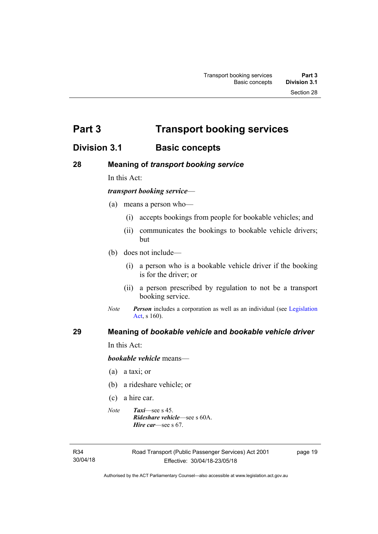<span id="page-28-0"></span>**Part 3 Transport booking services** 

## <span id="page-28-1"></span>**Division 3.1 Basic concepts**

#### <span id="page-28-2"></span>**28 Meaning of** *transport booking service*

In this Act:

#### *transport booking service*—

- (a) means a person who—
	- (i) accepts bookings from people for bookable vehicles; and
	- (ii) communicates the bookings to bookable vehicle drivers; but
- (b) does not include—
	- (i) a person who is a bookable vehicle driver if the booking is for the driver; or
	- (ii) a person prescribed by regulation to not be a transport booking service.
- *Note Person* includes a corporation as well as an individual (see Legislation [Act](http://www.legislation.act.gov.au/a/2001-14), s 160).

#### <span id="page-28-3"></span>**29 Meaning of** *bookable vehicle* **and** *bookable vehicle driver*

In this Act:

*bookable vehicle* means—

- (a) a taxi; or
- (b) a rideshare vehicle; or
- (c) a hire car.
- *Note Taxi*—see s 45. *Rideshare vehicle*—see s 60A. *Hire car*—see s 67.

R34 30/04/18 page 19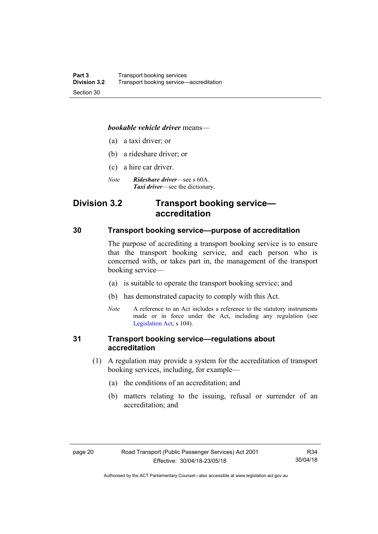#### *bookable vehicle driver* means—

- (a) a taxi driver; or
- (b) a rideshare driver; or
- (c) a hire car driver.
- *Note Rideshare driver*—see s 60A. *Taxi driver*—see the dictionary.

## <span id="page-29-0"></span>**Division 3.2 Transport booking service accreditation**

#### <span id="page-29-1"></span>**30 Transport booking service—purpose of accreditation**

The purpose of accrediting a transport booking service is to ensure that the transport booking service, and each person who is concerned with, or takes part in, the management of the transport booking service—

- (a) is suitable to operate the transport booking service; and
- (b) has demonstrated capacity to comply with this Act.
- *Note* A reference to an Act includes a reference to the statutory instruments made or in force under the Act, including any regulation (see [Legislation Act,](http://www.legislation.act.gov.au/a/2001-14) s 104).

#### <span id="page-29-2"></span>**31 Transport booking service—regulations about accreditation**

- (1) A regulation may provide a system for the accreditation of transport booking services, including, for example—
	- (a) the conditions of an accreditation; and
	- (b) matters relating to the issuing, refusal or surrender of an accreditation; and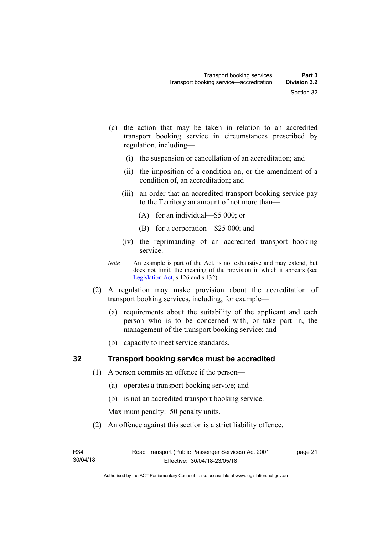- (c) the action that may be taken in relation to an accredited transport booking service in circumstances prescribed by regulation, including—
	- (i) the suspension or cancellation of an accreditation; and
	- (ii) the imposition of a condition on, or the amendment of a condition of, an accreditation; and
	- (iii) an order that an accredited transport booking service pay to the Territory an amount of not more than—
		- (A) for an individual—\$5 000; or
		- (B) for a corporation—\$25 000; and
	- (iv) the reprimanding of an accredited transport booking service.
- *Note* An example is part of the Act, is not exhaustive and may extend, but does not limit, the meaning of the provision in which it appears (see [Legislation Act,](http://www.legislation.act.gov.au/a/2001-14) s 126 and s 132).
- (2) A regulation may make provision about the accreditation of transport booking services, including, for example—
	- (a) requirements about the suitability of the applicant and each person who is to be concerned with, or take part in, the management of the transport booking service; and
	- (b) capacity to meet service standards.

#### <span id="page-30-0"></span>**32 Transport booking service must be accredited**

- (1) A person commits an offence if the person—
	- (a) operates a transport booking service; and
	- (b) is not an accredited transport booking service.

Maximum penalty: 50 penalty units.

(2) An offence against this section is a strict liability offence.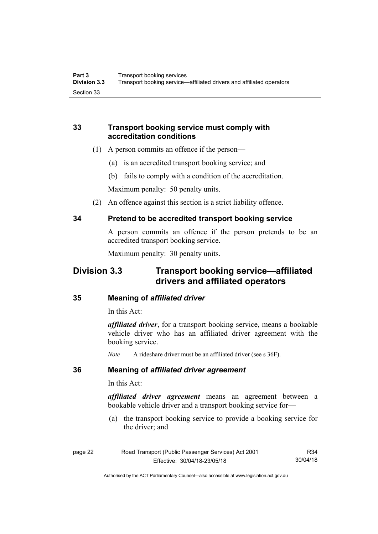#### <span id="page-31-0"></span>**33 Transport booking service must comply with accreditation conditions**

- (1) A person commits an offence if the person—
	- (a) is an accredited transport booking service; and
	- (b) fails to comply with a condition of the accreditation.

Maximum penalty: 50 penalty units.

(2) An offence against this section is a strict liability offence.

#### <span id="page-31-1"></span>**34 Pretend to be accredited transport booking service**

A person commits an offence if the person pretends to be an accredited transport booking service.

Maximum penalty: 30 penalty units.

## <span id="page-31-2"></span>**Division 3.3 Transport booking service—affiliated drivers and affiliated operators**

#### <span id="page-31-3"></span>**35 Meaning of** *affiliated driver*

In this Act:

*affiliated driver*, for a transport booking service, means a bookable vehicle driver who has an affiliated driver agreement with the booking service.

*Note* A rideshare driver must be an affiliated driver (see s 36F).

#### <span id="page-31-4"></span>**36 Meaning of** *affiliated driver agreement*

In this Act:

*affiliated driver agreement* means an agreement between a bookable vehicle driver and a transport booking service for—

 (a) the transport booking service to provide a booking service for the driver; and

| page 22 | Road Transport (Public Passenger Services) Act 2001 | R34      |
|---------|-----------------------------------------------------|----------|
|         | Effective: 30/04/18-23/05/18                        | 30/04/18 |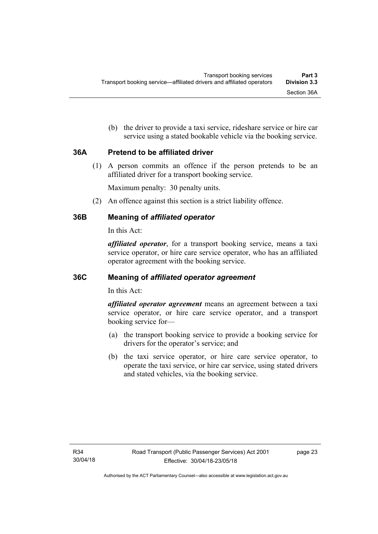(b) the driver to provide a taxi service, rideshare service or hire car service using a stated bookable vehicle via the booking service.

#### <span id="page-32-0"></span>**36A Pretend to be affiliated driver**

(1) A person commits an offence if the person pretends to be an affiliated driver for a transport booking service.

Maximum penalty: 30 penalty units.

(2) An offence against this section is a strict liability offence.

#### <span id="page-32-1"></span>**36B Meaning of** *affiliated operator*

In this Act:

*affiliated operator*, for a transport booking service, means a taxi service operator, or hire care service operator, who has an affiliated operator agreement with the booking service.

#### <span id="page-32-2"></span>**36C Meaning of** *affiliated operator agreement*

In this Act:

*affiliated operator agreement* means an agreement between a taxi service operator, or hire care service operator, and a transport booking service for—

- (a) the transport booking service to provide a booking service for drivers for the operator's service; and
- (b) the taxi service operator, or hire care service operator, to operate the taxi service, or hire car service, using stated drivers and stated vehicles, via the booking service.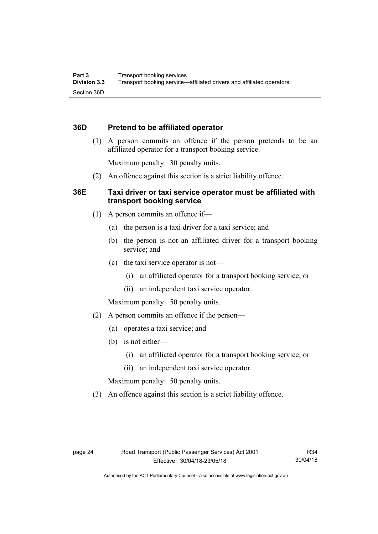#### <span id="page-33-0"></span>**36D Pretend to be affiliated operator**

 (1) A person commits an offence if the person pretends to be an affiliated operator for a transport booking service.

Maximum penalty: 30 penalty units.

(2) An offence against this section is a strict liability offence.

#### <span id="page-33-1"></span>**36E Taxi driver or taxi service operator must be affiliated with transport booking service**

- (1) A person commits an offence if—
	- (a) the person is a taxi driver for a taxi service; and
	- (b) the person is not an affiliated driver for a transport booking service; and
	- (c) the taxi service operator is not—
		- (i) an affiliated operator for a transport booking service; or
		- (ii) an independent taxi service operator.

Maximum penalty: 50 penalty units.

- (2) A person commits an offence if the person—
	- (a) operates a taxi service; and
	- (b) is not either—
		- (i) an affiliated operator for a transport booking service; or
		- (ii) an independent taxi service operator.

Maximum penalty: 50 penalty units.

(3) An offence against this section is a strict liability offence.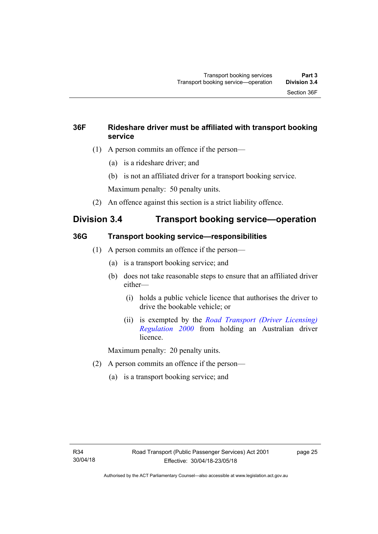### <span id="page-34-0"></span>**36F Rideshare driver must be affiliated with transport booking service**

- (1) A person commits an offence if the person—
	- (a) is a rideshare driver; and
	- (b) is not an affiliated driver for a transport booking service.

Maximum penalty: 50 penalty units.

(2) An offence against this section is a strict liability offence.

## <span id="page-34-1"></span>**Division 3.4 Transport booking service—operation**

### <span id="page-34-2"></span>**36G Transport booking service—responsibilities**

- (1) A person commits an offence if the person—
	- (a) is a transport booking service; and
	- (b) does not take reasonable steps to ensure that an affiliated driver either—
		- (i) holds a public vehicle licence that authorises the driver to drive the bookable vehicle; or
		- (ii) is exempted by the *[Road Transport \(Driver Licensing\)](http://www.legislation.act.gov.au/sl/2000-14)  [Regulation 2000](http://www.legislation.act.gov.au/sl/2000-14)* from holding an Australian driver licence.

Maximum penalty: 20 penalty units.

- (2) A person commits an offence if the person—
	- (a) is a transport booking service; and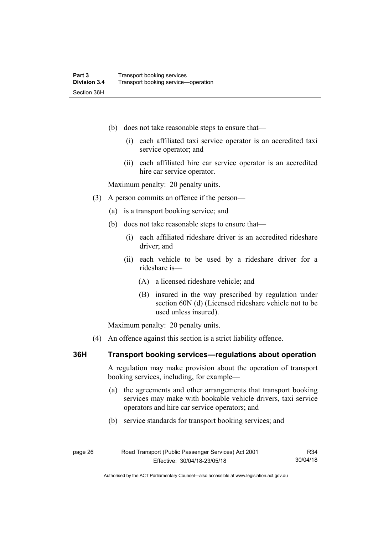- (b) does not take reasonable steps to ensure that—
	- (i) each affiliated taxi service operator is an accredited taxi service operator; and
	- (ii) each affiliated hire car service operator is an accredited hire car service operator.

Maximum penalty: 20 penalty units.

- (3) A person commits an offence if the person—
	- (a) is a transport booking service; and
	- (b) does not take reasonable steps to ensure that—
		- (i) each affiliated rideshare driver is an accredited rideshare driver; and
		- (ii) each vehicle to be used by a rideshare driver for a rideshare is—
			- (A) a licensed rideshare vehicle; and
			- (B) insured in the way prescribed by regulation under section 60N (d) (Licensed rideshare vehicle not to be used unless insured).

Maximum penalty: 20 penalty units.

(4) An offence against this section is a strict liability offence.

#### <span id="page-35-0"></span>**36H Transport booking services—regulations about operation**

A regulation may make provision about the operation of transport booking services, including, for example—

- (a) the agreements and other arrangements that transport booking services may make with bookable vehicle drivers, taxi service operators and hire car service operators; and
- (b) service standards for transport booking services; and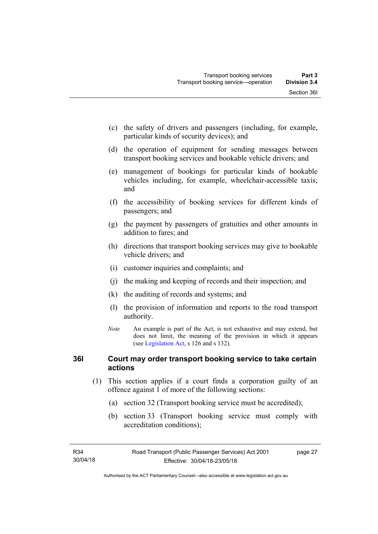- (c) the safety of drivers and passengers (including, for example, particular kinds of security devices); and
- (d) the operation of equipment for sending messages between transport booking services and bookable vehicle drivers; and
- (e) management of bookings for particular kinds of bookable vehicles including, for example, wheelchair-accessible taxis; and
- (f) the accessibility of booking services for different kinds of passengers; and
- (g) the payment by passengers of gratuities and other amounts in addition to fares; and
- (h) directions that transport booking services may give to bookable vehicle drivers; and
- (i) customer inquiries and complaints; and
- (j) the making and keeping of records and their inspection; and
- (k) the auditing of records and systems; and
- (l) the provision of information and reports to the road transport authority.
- *Note* An example is part of the Act, is not exhaustive and may extend, but does not limit, the meaning of the provision in which it appears (see [Legislation Act,](http://www.legislation.act.gov.au/a/2001-14) s 126 and s 132).

### **36I Court may order transport booking service to take certain actions**

- (1) This section applies if a court finds a corporation guilty of an offence against 1 of more of the following sections:
	- (a) section 32 (Transport booking service must be accredited);
	- (b) section 33 (Transport booking service must comply with accreditation conditions);

page 27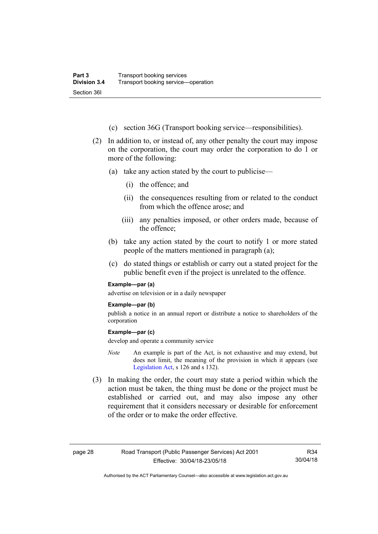- (c) section 36G (Transport booking service—responsibilities).
- (2) In addition to, or instead of, any other penalty the court may impose on the corporation, the court may order the corporation to do 1 or more of the following:
	- (a) take any action stated by the court to publicise—
		- (i) the offence; and
		- (ii) the consequences resulting from or related to the conduct from which the offence arose; and
		- (iii) any penalties imposed, or other orders made, because of the offence;
	- (b) take any action stated by the court to notify 1 or more stated people of the matters mentioned in paragraph (a);
	- (c) do stated things or establish or carry out a stated project for the public benefit even if the project is unrelated to the offence.

#### **Example—par (a)**

advertise on television or in a daily newspaper

#### **Example—par (b)**

publish a notice in an annual report or distribute a notice to shareholders of the corporation

#### **Example—par (c)**

develop and operate a community service

- *Note* An example is part of the Act, is not exhaustive and may extend, but does not limit, the meaning of the provision in which it appears (see [Legislation Act,](http://www.legislation.act.gov.au/a/2001-14) s 126 and s 132).
- (3) In making the order, the court may state a period within which the action must be taken, the thing must be done or the project must be established or carried out, and may also impose any other requirement that it considers necessary or desirable for enforcement of the order or to make the order effective.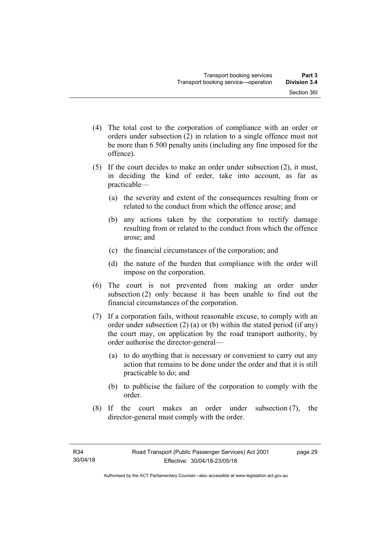- (4) The total cost to the corporation of compliance with an order or orders under subsection (2) in relation to a single offence must not be more than 6 500 penalty units (including any fine imposed for the offence).
- (5) If the court decides to make an order under subsection (2), it must, in deciding the kind of order, take into account, as far as practicable—
	- (a) the severity and extent of the consequences resulting from or related to the conduct from which the offence arose; and
	- (b) any actions taken by the corporation to rectify damage resulting from or related to the conduct from which the offence arose; and
	- (c) the financial circumstances of the corporation; and
	- (d) the nature of the burden that compliance with the order will impose on the corporation.
- (6) The court is not prevented from making an order under subsection (2) only because it has been unable to find out the financial circumstances of the corporation.
- (7) If a corporation fails, without reasonable excuse, to comply with an order under subsection (2) (a) or (b) within the stated period (if any) the court may, on application by the road transport authority, by order authorise the director-general—
	- (a) to do anything that is necessary or convenient to carry out any action that remains to be done under the order and that it is still practicable to do; and
	- (b) to publicise the failure of the corporation to comply with the order.
- (8) If the court makes an order under subsection (7), the director-general must comply with the order.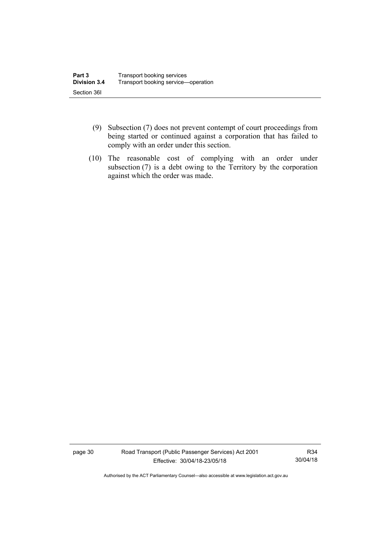- (9) Subsection (7) does not prevent contempt of court proceedings from being started or continued against a corporation that has failed to comply with an order under this section.
- (10) The reasonable cost of complying with an order under subsection (7) is a debt owing to the Territory by the corporation against which the order was made.

page 30 Road Transport (Public Passenger Services) Act 2001 Effective: 30/04/18-23/05/18

R34 30/04/18

Authorised by the ACT Parliamentary Counsel—also accessible at www.legislation.act.gov.au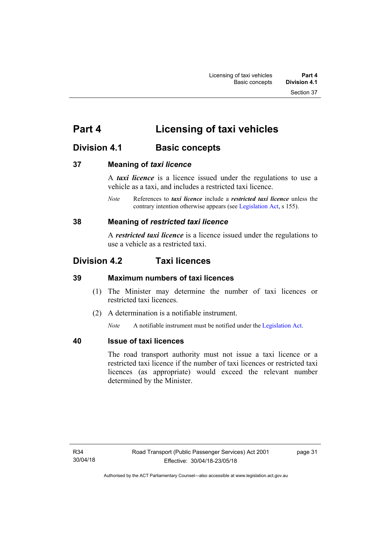# **Part 4 Licensing of taxi vehicles**

# **Division 4.1 Basic concepts**

### **37 Meaning of** *taxi licence*

A *taxi licence* is a licence issued under the regulations to use a vehicle as a taxi, and includes a restricted taxi licence.

*Note* References to *taxi licence* include a *restricted taxi licence* unless the contrary intention otherwise appears (see [Legislation Act,](http://www.legislation.act.gov.au/a/2001-14) s 155).

### **38 Meaning of** *restricted taxi licence*

A *restricted taxi licence* is a licence issued under the regulations to use a vehicle as a restricted taxi.

# **Division 4.2 Taxi licences**

### **39 Maximum numbers of taxi licences**

- (1) The Minister may determine the number of taxi licences or restricted taxi licences.
- (2) A determination is a notifiable instrument.

*Note* A notifiable instrument must be notified under the [Legislation Act](http://www.legislation.act.gov.au/a/2001-14).

### **40 Issue of taxi licences**

The road transport authority must not issue a taxi licence or a restricted taxi licence if the number of taxi licences or restricted taxi licences (as appropriate) would exceed the relevant number determined by the Minister.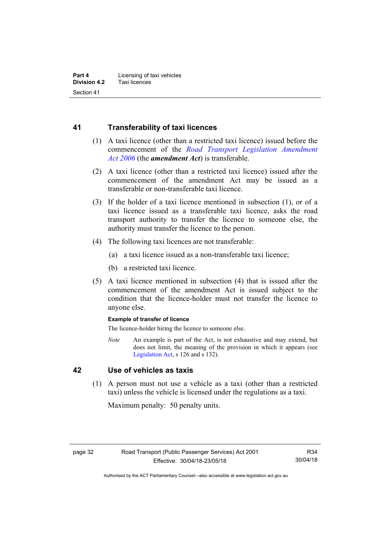### **41 Transferability of taxi licences**

- (1) A taxi licence (other than a restricted taxi licence) issued before the commencement of the *[Road Transport Legislation Amendment](http://www.legislation.act.gov.au/a/2006-26)  [Act 2006](http://www.legislation.act.gov.au/a/2006-26)* (the *amendment Act*) is transferable.
- (2) A taxi licence (other than a restricted taxi licence) issued after the commencement of the amendment Act may be issued as a transferable or non-transferable taxi licence.
- (3) If the holder of a taxi licence mentioned in subsection (1), or of a taxi licence issued as a transferable taxi licence, asks the road transport authority to transfer the licence to someone else, the authority must transfer the licence to the person.
- (4) The following taxi licences are not transferable:
	- (a) a taxi licence issued as a non-transferable taxi licence;
	- (b) a restricted taxi licence.
- (5) A taxi licence mentioned in subsection (4) that is issued after the commencement of the amendment Act is issued subject to the condition that the licence-holder must not transfer the licence to anyone else.

#### **Example of transfer of licence**

The licence-holder hiring the licence to someone else.

*Note* An example is part of the Act, is not exhaustive and may extend, but does not limit, the meaning of the provision in which it appears (see [Legislation Act,](http://www.legislation.act.gov.au/a/2001-14) s 126 and s 132).

### **42 Use of vehicles as taxis**

 (1) A person must not use a vehicle as a taxi (other than a restricted taxi) unless the vehicle is licensed under the regulations as a taxi.

Maximum penalty: 50 penalty units.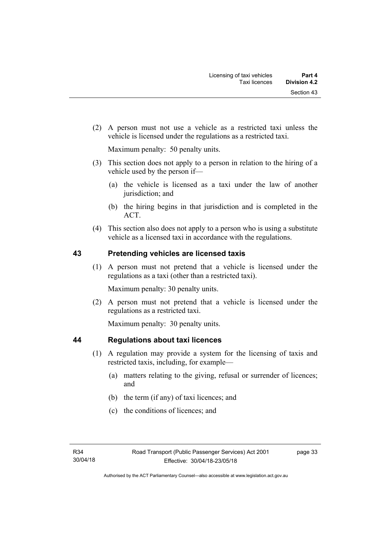(2) A person must not use a vehicle as a restricted taxi unless the vehicle is licensed under the regulations as a restricted taxi.

Maximum penalty: 50 penalty units.

- (3) This section does not apply to a person in relation to the hiring of a vehicle used by the person if—
	- (a) the vehicle is licensed as a taxi under the law of another jurisdiction; and
	- (b) the hiring begins in that jurisdiction and is completed in the ACT.
- (4) This section also does not apply to a person who is using a substitute vehicle as a licensed taxi in accordance with the regulations.

### **43 Pretending vehicles are licensed taxis**

(1) A person must not pretend that a vehicle is licensed under the regulations as a taxi (other than a restricted taxi).

Maximum penalty: 30 penalty units.

 (2) A person must not pretend that a vehicle is licensed under the regulations as a restricted taxi.

Maximum penalty: 30 penalty units.

### **44 Regulations about taxi licences**

- (1) A regulation may provide a system for the licensing of taxis and restricted taxis, including, for example—
	- (a) matters relating to the giving, refusal or surrender of licences; and
	- (b) the term (if any) of taxi licences; and
	- (c) the conditions of licences; and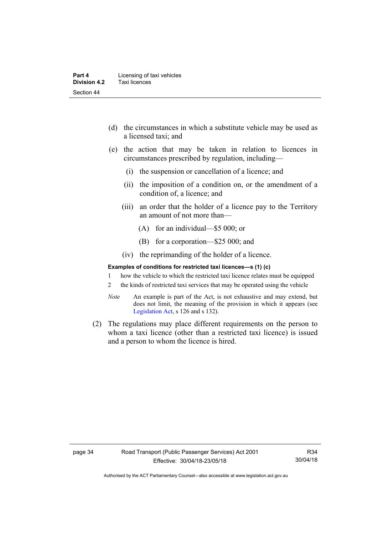- (d) the circumstances in which a substitute vehicle may be used as a licensed taxi; and
- (e) the action that may be taken in relation to licences in circumstances prescribed by regulation, including—
	- (i) the suspension or cancellation of a licence; and
	- (ii) the imposition of a condition on, or the amendment of a condition of, a licence; and
	- (iii) an order that the holder of a licence pay to the Territory an amount of not more than—
		- (A) for an individual—\$5 000; or
		- (B) for a corporation—\$25 000; and
	- (iv) the reprimanding of the holder of a licence.

#### **Examples of conditions for restricted taxi licences—s (1) (c)**

- 1 how the vehicle to which the restricted taxi licence relates must be equipped
- 2 the kinds of restricted taxi services that may be operated using the vehicle
- *Note* An example is part of the Act, is not exhaustive and may extend, but does not limit, the meaning of the provision in which it appears (see [Legislation Act,](http://www.legislation.act.gov.au/a/2001-14) s 126 and s 132).
- (2) The regulations may place different requirements on the person to whom a taxi licence (other than a restricted taxi licence) is issued and a person to whom the licence is hired.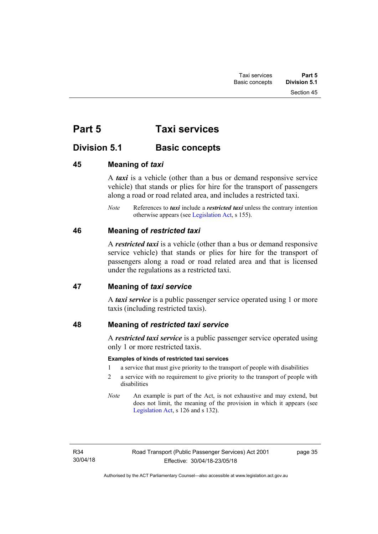Section 45

# **Part 5 Taxi services**

# **Division 5.1 Basic concepts**

### **45 Meaning of** *taxi*

A *taxi* is a vehicle (other than a bus or demand responsive service vehicle) that stands or plies for hire for the transport of passengers along a road or road related area, and includes a restricted taxi.

*Note* References to *taxi* include a *restricted taxi* unless the contrary intention otherwise appears (see [Legislation Act,](http://www.legislation.act.gov.au/a/2001-14) s 155).

### **46 Meaning of** *restricted taxi*

A *restricted taxi* is a vehicle (other than a bus or demand responsive service vehicle) that stands or plies for hire for the transport of passengers along a road or road related area and that is licensed under the regulations as a restricted taxi.

### **47 Meaning of** *taxi service*

A *taxi service* is a public passenger service operated using 1 or more taxis (including restricted taxis).

### **48 Meaning of** *restricted taxi service*

A *restricted taxi service* is a public passenger service operated using only 1 or more restricted taxis.

### **Examples of kinds of restricted taxi services**

- 1 a service that must give priority to the transport of people with disabilities
- 2 a service with no requirement to give priority to the transport of people with disabilities
- *Note* An example is part of the Act, is not exhaustive and may extend, but does not limit, the meaning of the provision in which it appears (see [Legislation Act,](http://www.legislation.act.gov.au/a/2001-14) s 126 and s 132).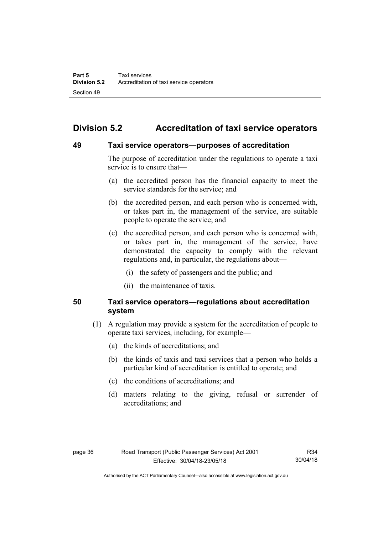# **Division 5.2 Accreditation of taxi service operators**

### **49 Taxi service operators—purposes of accreditation**

The purpose of accreditation under the regulations to operate a taxi service is to ensure that—

- (a) the accredited person has the financial capacity to meet the service standards for the service; and
- (b) the accredited person, and each person who is concerned with, or takes part in, the management of the service, are suitable people to operate the service; and
- (c) the accredited person, and each person who is concerned with, or takes part in, the management of the service, have demonstrated the capacity to comply with the relevant regulations and, in particular, the regulations about—
	- (i) the safety of passengers and the public; and
	- (ii) the maintenance of taxis.

### **50 Taxi service operators—regulations about accreditation system**

- (1) A regulation may provide a system for the accreditation of people to operate taxi services, including, for example—
	- (a) the kinds of accreditations; and
	- (b) the kinds of taxis and taxi services that a person who holds a particular kind of accreditation is entitled to operate; and
	- (c) the conditions of accreditations; and
	- (d) matters relating to the giving, refusal or surrender of accreditations; and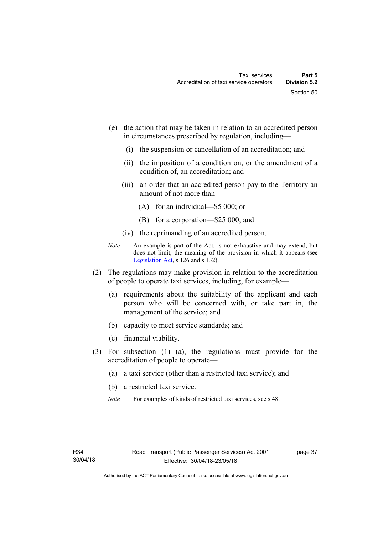- (e) the action that may be taken in relation to an accredited person in circumstances prescribed by regulation, including—
	- (i) the suspension or cancellation of an accreditation; and
	- (ii) the imposition of a condition on, or the amendment of a condition of, an accreditation; and
	- (iii) an order that an accredited person pay to the Territory an amount of not more than—
		- (A) for an individual—\$5 000; or
		- (B) for a corporation—\$25 000; and
	- (iv) the reprimanding of an accredited person.
- *Note* An example is part of the Act, is not exhaustive and may extend, but does not limit, the meaning of the provision in which it appears (see [Legislation Act,](http://www.legislation.act.gov.au/a/2001-14) s 126 and s 132).
- (2) The regulations may make provision in relation to the accreditation of people to operate taxi services, including, for example—
	- (a) requirements about the suitability of the applicant and each person who will be concerned with, or take part in, the management of the service; and
	- (b) capacity to meet service standards; and
	- (c) financial viability.
- (3) For subsection (1) (a), the regulations must provide for the accreditation of people to operate—
	- (a) a taxi service (other than a restricted taxi service); and
	- (b) a restricted taxi service.
	- *Note* For examples of kinds of restricted taxi services, see s 48.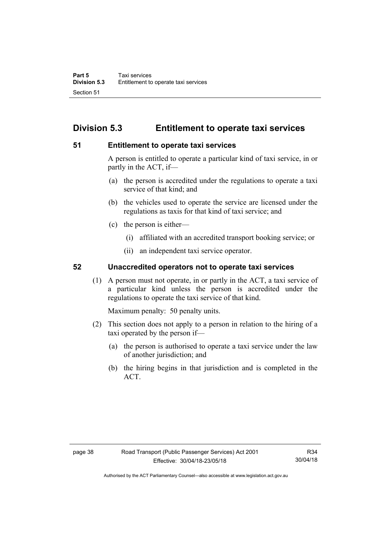# **Division 5.3 Entitlement to operate taxi services**

### **51 Entitlement to operate taxi services**

A person is entitled to operate a particular kind of taxi service, in or partly in the ACT, if—

- (a) the person is accredited under the regulations to operate a taxi service of that kind; and
- (b) the vehicles used to operate the service are licensed under the regulations as taxis for that kind of taxi service; and
- (c) the person is either—
	- (i) affiliated with an accredited transport booking service; or
	- (ii) an independent taxi service operator.

### **52 Unaccredited operators not to operate taxi services**

(1) A person must not operate, in or partly in the ACT, a taxi service of a particular kind unless the person is accredited under the regulations to operate the taxi service of that kind.

Maximum penalty: 50 penalty units.

- (2) This section does not apply to a person in relation to the hiring of a taxi operated by the person if—
	- (a) the person is authorised to operate a taxi service under the law of another jurisdiction; and
	- (b) the hiring begins in that jurisdiction and is completed in the ACT.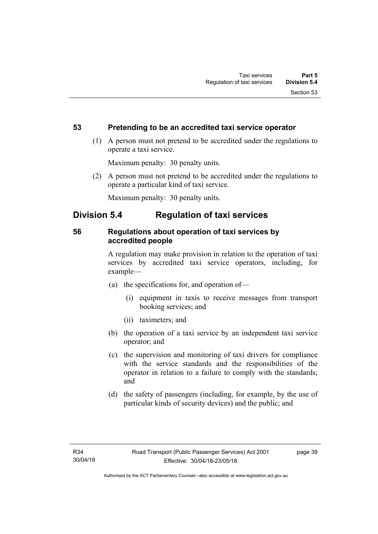### **53 Pretending to be an accredited taxi service operator**

 (1) A person must not pretend to be accredited under the regulations to operate a taxi service.

Maximum penalty: 30 penalty units.

 (2) A person must not pretend to be accredited under the regulations to operate a particular kind of taxi service.

Maximum penalty: 30 penalty units.

## **Division 5.4 Regulation of taxi services**

### **56 Regulations about operation of taxi services by accredited people**

A regulation may make provision in relation to the operation of taxi services by accredited taxi service operators, including, for example—

- (a) the specifications for, and operation of—
	- (i) equipment in taxis to receive messages from transport booking services; and
	- (ii) taximeters; and
- (b) the operation of a taxi service by an independent taxi service operator; and
- (c) the supervision and monitoring of taxi drivers for compliance with the service standards and the responsibilities of the operator in relation to a failure to comply with the standards; and
- (d) the safety of passengers (including, for example, by the use of particular kinds of security devices) and the public; and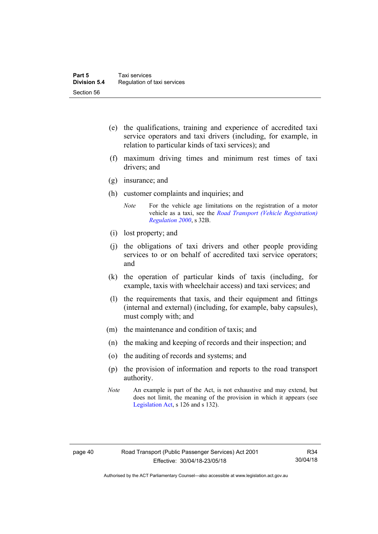- (e) the qualifications, training and experience of accredited taxi service operators and taxi drivers (including, for example, in relation to particular kinds of taxi services); and
- (f) maximum driving times and minimum rest times of taxi drivers; and
- (g) insurance; and
- (h) customer complaints and inquiries; and
	- *Note* For the vehicle age limitations on the registration of a motor vehicle as a taxi, see the *[Road Transport \(Vehicle Registration\)](http://www.legislation.act.gov.au/sl/2000-12)  [Regulation 2000](http://www.legislation.act.gov.au/sl/2000-12)*, s 32B.
- (i) lost property; and
- (j) the obligations of taxi drivers and other people providing services to or on behalf of accredited taxi service operators; and
- (k) the operation of particular kinds of taxis (including, for example, taxis with wheelchair access) and taxi services; and
- (l) the requirements that taxis, and their equipment and fittings (internal and external) (including, for example, baby capsules), must comply with; and
- (m) the maintenance and condition of taxis; and
- (n) the making and keeping of records and their inspection; and
- (o) the auditing of records and systems; and
- (p) the provision of information and reports to the road transport authority.
- *Note* An example is part of the Act, is not exhaustive and may extend, but does not limit, the meaning of the provision in which it appears (see [Legislation Act,](http://www.legislation.act.gov.au/a/2001-14) s 126 and s 132).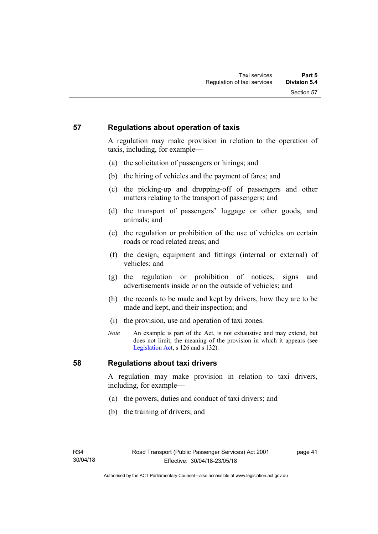### **57 Regulations about operation of taxis**

A regulation may make provision in relation to the operation of taxis, including, for example—

- (a) the solicitation of passengers or hirings; and
- (b) the hiring of vehicles and the payment of fares; and
- (c) the picking-up and dropping-off of passengers and other matters relating to the transport of passengers; and
- (d) the transport of passengers' luggage or other goods, and animals; and
- (e) the regulation or prohibition of the use of vehicles on certain roads or road related areas; and
- (f) the design, equipment and fittings (internal or external) of vehicles; and
- (g) the regulation or prohibition of notices, signs and advertisements inside or on the outside of vehicles; and
- (h) the records to be made and kept by drivers, how they are to be made and kept, and their inspection; and
- (i) the provision, use and operation of taxi zones.
- *Note* An example is part of the Act, is not exhaustive and may extend, but does not limit, the meaning of the provision in which it appears (see [Legislation Act,](http://www.legislation.act.gov.au/a/2001-14) s 126 and s 132).

### **58 Regulations about taxi drivers**

A regulation may make provision in relation to taxi drivers, including, for example—

- (a) the powers, duties and conduct of taxi drivers; and
- (b) the training of drivers; and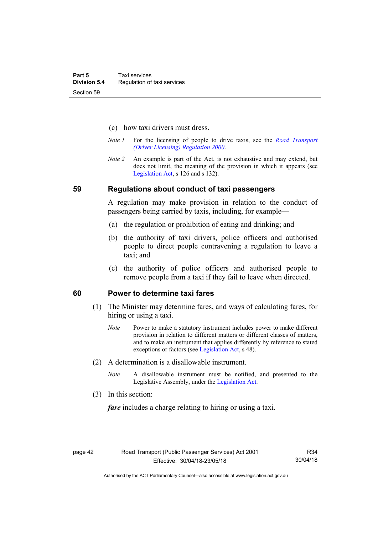- (c) how taxi drivers must dress.
- *Note 1* For the licensing of people to drive taxis, see the *[Road Transport](http://www.legislation.act.gov.au/sl/2000-14)  [\(Driver Licensing\) Regulation 2000](http://www.legislation.act.gov.au/sl/2000-14)*.
- *Note 2* An example is part of the Act, is not exhaustive and may extend, but does not limit, the meaning of the provision in which it appears (see [Legislation Act,](http://www.legislation.act.gov.au/a/2001-14) s 126 and s 132).

#### **59 Regulations about conduct of taxi passengers**

A regulation may make provision in relation to the conduct of passengers being carried by taxis, including, for example—

- (a) the regulation or prohibition of eating and drinking; and
- (b) the authority of taxi drivers, police officers and authorised people to direct people contravening a regulation to leave a taxi; and
- (c) the authority of police officers and authorised people to remove people from a taxi if they fail to leave when directed.

### **60 Power to determine taxi fares**

- (1) The Minister may determine fares, and ways of calculating fares, for hiring or using a taxi.
	- *Note* Power to make a statutory instrument includes power to make different provision in relation to different matters or different classes of matters, and to make an instrument that applies differently by reference to stated exceptions or factors (see [Legislation Act](http://www.legislation.act.gov.au/a/2001-14), s 48).
- (2) A determination is a disallowable instrument.
	- *Note* A disallowable instrument must be notified, and presented to the Legislative Assembly, under the [Legislation Act.](http://www.legislation.act.gov.au/a/2001-14)
- (3) In this section:

*fare* includes a charge relating to hiring or using a taxi.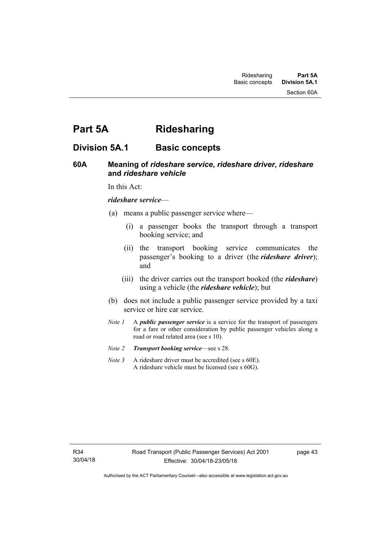# **Part 5A Ridesharing**

## **Division 5A.1 Basic concepts**

### **60A Meaning of** *rideshare service***,** *rideshare driver***,** *rideshare* **and** *rideshare vehicle*

In this Act:

#### *rideshare service*—

- (a) means a public passenger service where—
	- (i) a passenger books the transport through a transport booking service; and
	- (ii) the transport booking service communicates the passenger's booking to a driver (the *rideshare driver*); and
	- (iii) the driver carries out the transport booked (the *rideshare*) using a vehicle (the *rideshare vehicle*); but
- (b) does not include a public passenger service provided by a taxi service or hire car service.
- *Note 1* A *public passenger service* is a service for the transport of passengers for a fare or other consideration by public passenger vehicles along a road or road related area (see s 10).
- *Note 2 Transport booking service*—see s 28.
- *Note* 3 A rideshare driver must be accredited (see s 60E). A rideshare vehicle must be licensed (see s 60G).

page 43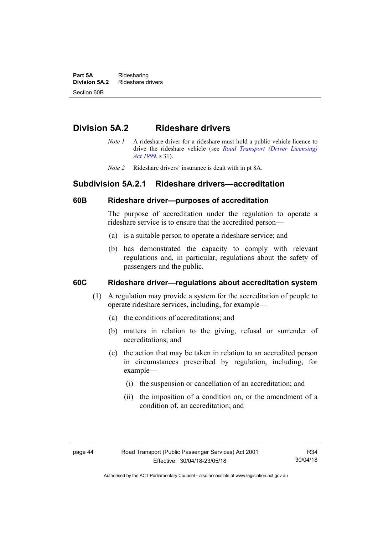**Part 5A** Ridesharing<br>**Division 5A.2** Rideshare d **Division 5A.2** Rideshare drivers Section 60B

## **Division 5A.2 Rideshare drivers**

- *Note 1* A rideshare driver for a rideshare must hold a public vehicle licence to drive the rideshare vehicle (see *[Road Transport \(Driver Licensing\)](http://www.legislation.act.gov.au/a/1999-78)  [Act 1999](http://www.legislation.act.gov.au/a/1999-78)*, s 31).
- *Note 2* Rideshare drivers' insurance is dealt with in pt 8A.

### **Subdivision 5A.2.1 Rideshare drivers—accreditation**

### **60B Rideshare driver—purposes of accreditation**

The purpose of accreditation under the regulation to operate a rideshare service is to ensure that the accredited person—

- (a) is a suitable person to operate a rideshare service; and
- (b) has demonstrated the capacity to comply with relevant regulations and, in particular, regulations about the safety of passengers and the public.

### **60C Rideshare driver—regulations about accreditation system**

- (1) A regulation may provide a system for the accreditation of people to operate rideshare services, including, for example—
	- (a) the conditions of accreditations; and
	- (b) matters in relation to the giving, refusal or surrender of accreditations; and
	- (c) the action that may be taken in relation to an accredited person in circumstances prescribed by regulation, including, for example—
		- (i) the suspension or cancellation of an accreditation; and
		- (ii) the imposition of a condition on, or the amendment of a condition of, an accreditation; and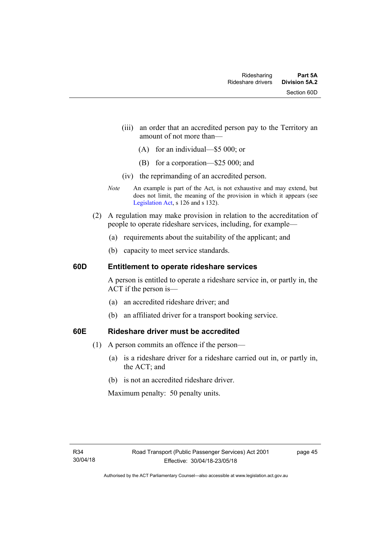- (iii) an order that an accredited person pay to the Territory an amount of not more than—
	- (A) for an individual—\$5 000; or
	- (B) for a corporation—\$25 000; and
- (iv) the reprimanding of an accredited person.
- *Note* An example is part of the Act, is not exhaustive and may extend, but does not limit, the meaning of the provision in which it appears (see [Legislation Act,](http://www.legislation.act.gov.au/a/2001-14) s 126 and s 132).
- (2) A regulation may make provision in relation to the accreditation of people to operate rideshare services, including, for example—
	- (a) requirements about the suitability of the applicant; and
	- (b) capacity to meet service standards.

### **60D Entitlement to operate rideshare services**

A person is entitled to operate a rideshare service in, or partly in, the ACT if the person is—

- (a) an accredited rideshare driver; and
- (b) an affiliated driver for a transport booking service.

### **60E Rideshare driver must be accredited**

- (1) A person commits an offence if the person—
	- (a) is a rideshare driver for a rideshare carried out in, or partly in, the ACT; and
	- (b) is not an accredited rideshare driver.

Maximum penalty: 50 penalty units.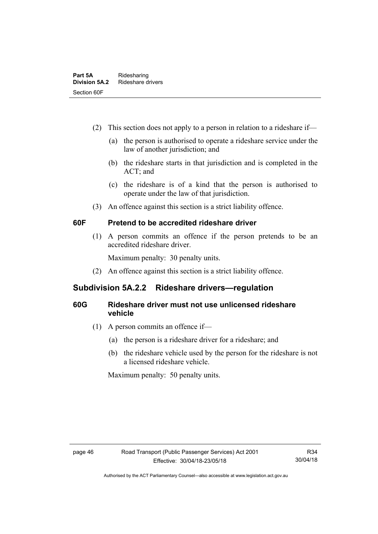- (2) This section does not apply to a person in relation to a rideshare if—
	- (a) the person is authorised to operate a rideshare service under the law of another jurisdiction; and
	- (b) the rideshare starts in that jurisdiction and is completed in the ACT; and
	- (c) the rideshare is of a kind that the person is authorised to operate under the law of that jurisdiction.
- (3) An offence against this section is a strict liability offence.

### **60F Pretend to be accredited rideshare driver**

(1) A person commits an offence if the person pretends to be an accredited rideshare driver.

Maximum penalty: 30 penalty units.

(2) An offence against this section is a strict liability offence.

### **Subdivision 5A.2.2 Rideshare drivers—regulation**

### **60G Rideshare driver must not use unlicensed rideshare vehicle**

- (1) A person commits an offence if—
	- (a) the person is a rideshare driver for a rideshare; and
	- (b) the rideshare vehicle used by the person for the rideshare is not a licensed rideshare vehicle.

Maximum penalty: 50 penalty units.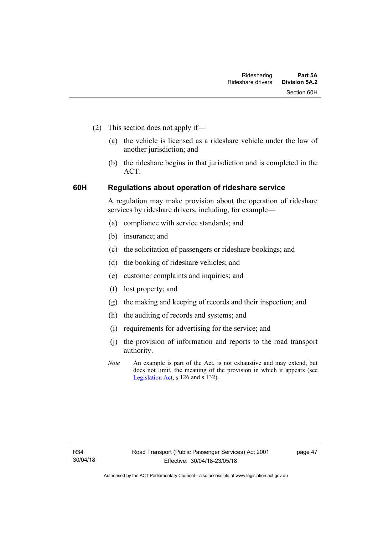- (2) This section does not apply if—
	- (a) the vehicle is licensed as a rideshare vehicle under the law of another jurisdiction; and
	- (b) the rideshare begins in that jurisdiction and is completed in the ACT.

### **60H Regulations about operation of rideshare service**

A regulation may make provision about the operation of rideshare services by rideshare drivers, including, for example—

- (a) compliance with service standards; and
- (b) insurance; and
- (c) the solicitation of passengers or rideshare bookings; and
- (d) the booking of rideshare vehicles; and
- (e) customer complaints and inquiries; and
- (f) lost property; and
- (g) the making and keeping of records and their inspection; and
- (h) the auditing of records and systems; and
- (i) requirements for advertising for the service; and
- (j) the provision of information and reports to the road transport authority.
- *Note* An example is part of the Act, is not exhaustive and may extend, but does not limit, the meaning of the provision in which it appears (see [Legislation Act,](http://www.legislation.act.gov.au/a/2001-14) s 126 and s 132).

page 47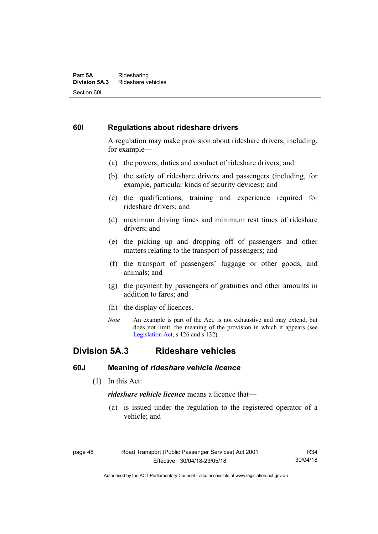#### **Part 5A** Ridesharing<br>**Division 5A.3** Rideshare ve **Division 5A.3** Rideshare vehicles Section 60I

### **60I Regulations about rideshare drivers**

A regulation may make provision about rideshare drivers, including, for example—

- (a) the powers, duties and conduct of rideshare drivers; and
- (b) the safety of rideshare drivers and passengers (including, for example, particular kinds of security devices); and
- (c) the qualifications, training and experience required for rideshare drivers; and
- (d) maximum driving times and minimum rest times of rideshare drivers; and
- (e) the picking up and dropping off of passengers and other matters relating to the transport of passengers; and
- (f) the transport of passengers' luggage or other goods, and animals; and
- (g) the payment by passengers of gratuities and other amounts in addition to fares; and
- (h) the display of licences.
- *Note* An example is part of the Act, is not exhaustive and may extend, but does not limit, the meaning of the provision in which it appears (see [Legislation Act,](http://www.legislation.act.gov.au/a/2001-14) s 126 and s 132).

### **Division 5A.3 Rideshare vehicles**

#### **60J Meaning of** *rideshare vehicle licence*

(1) In this Act:

*rideshare vehicle licence* means a licence that—

 (a) is issued under the regulation to the registered operator of a vehicle; and

R34 30/04/18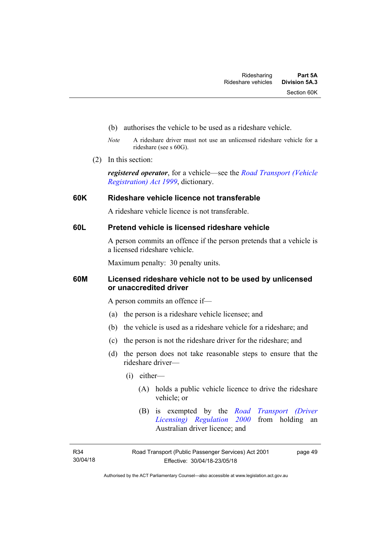- (b) authorises the vehicle to be used as a rideshare vehicle.
- *Note* A rideshare driver must not use an unlicensed rideshare vehicle for a rideshare (see s 60G).
- (2) In this section:

*registered operator*, for a vehicle—see the *[Road Transport \(Vehicle](http://www.legislation.act.gov.au/a/1999-81)  [Registration\) Act 1999](http://www.legislation.act.gov.au/a/1999-81)*, dictionary.

### **60K Rideshare vehicle licence not transferable**

A rideshare vehicle licence is not transferable.

### **60L Pretend vehicle is licensed rideshare vehicle**

A person commits an offence if the person pretends that a vehicle is a licensed rideshare vehicle.

Maximum penalty: 30 penalty units.

### **60M Licensed rideshare vehicle not to be used by unlicensed or unaccredited driver**

A person commits an offence if—

- (a) the person is a rideshare vehicle licensee; and
- (b) the vehicle is used as a rideshare vehicle for a rideshare; and
- (c) the person is not the rideshare driver for the rideshare; and
- (d) the person does not take reasonable steps to ensure that the rideshare driver—
	- (i) either—
		- (A) holds a public vehicle licence to drive the rideshare vehicle; or
		- (B) is exempted by the *[Road Transport \(Driver](http://www.legislation.act.gov.au/sl/2000-14/default.asp)  [Licensing\) Regulation 2000](http://www.legislation.act.gov.au/sl/2000-14/default.asp)* from holding an Australian driver licence; and

page 49

Authorised by the ACT Parliamentary Counsel—also accessible at www.legislation.act.gov.au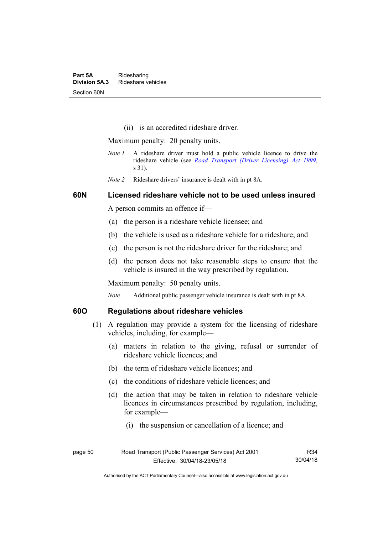(ii) is an accredited rideshare driver.

Maximum penalty: 20 penalty units.

- *Note 1* A rideshare driver must hold a public vehicle licence to drive the rideshare vehicle (see *[Road Transport \(Driver Licensing\) Act 1999](http://www.legislation.act.gov.au/a/1999-78)*, s 31).
- *Note 2* Rideshare drivers' insurance is dealt with in pt 8A.

### **60N Licensed rideshare vehicle not to be used unless insured**

A person commits an offence if—

- (a) the person is a rideshare vehicle licensee; and
- (b) the vehicle is used as a rideshare vehicle for a rideshare; and
- (c) the person is not the rideshare driver for the rideshare; and
- (d) the person does not take reasonable steps to ensure that the vehicle is insured in the way prescribed by regulation.

Maximum penalty: 50 penalty units.

*Note* Additional public passenger vehicle insurance is dealt with in pt 8A.

### **60O Regulations about rideshare vehicles**

- (1) A regulation may provide a system for the licensing of rideshare vehicles, including, for example—
	- (a) matters in relation to the giving, refusal or surrender of rideshare vehicle licences; and
	- (b) the term of rideshare vehicle licences; and
	- (c) the conditions of rideshare vehicle licences; and
	- (d) the action that may be taken in relation to rideshare vehicle licences in circumstances prescribed by regulation, including, for example—
		- (i) the suspension or cancellation of a licence; and

| page 50 | Road Transport (Public Passenger Services) Act 2001 | R34      |
|---------|-----------------------------------------------------|----------|
|         | Effective: 30/04/18-23/05/18                        | 30/04/18 |

Authorised by the ACT Parliamentary Counsel—also accessible at www.legislation.act.gov.au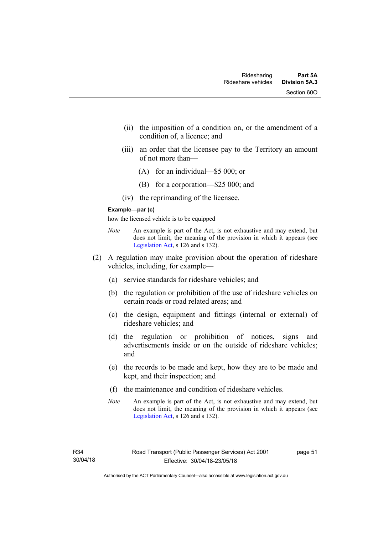- (ii) the imposition of a condition on, or the amendment of a condition of, a licence; and
- (iii) an order that the licensee pay to the Territory an amount of not more than—
	- (A) for an individual—\$5 000; or
	- (B) for a corporation—\$25 000; and
- (iv) the reprimanding of the licensee.

#### **Example—par (c)**

how the licensed vehicle is to be equipped

- *Note* An example is part of the Act, is not exhaustive and may extend, but does not limit, the meaning of the provision in which it appears (see [Legislation Act,](http://www.legislation.act.gov.au/a/2001-14) s 126 and s 132).
- (2) A regulation may make provision about the operation of rideshare vehicles, including, for example—
	- (a) service standards for rideshare vehicles; and
	- (b) the regulation or prohibition of the use of rideshare vehicles on certain roads or road related areas; and
	- (c) the design, equipment and fittings (internal or external) of rideshare vehicles; and
	- (d) the regulation or prohibition of notices, signs and advertisements inside or on the outside of rideshare vehicles; and
	- (e) the records to be made and kept, how they are to be made and kept, and their inspection; and
	- (f) the maintenance and condition of rideshare vehicles.
	- *Note* An example is part of the Act, is not exhaustive and may extend, but does not limit, the meaning of the provision in which it appears (see [Legislation Act,](http://www.legislation.act.gov.au/a/2001-14) s 126 and s 132).

page 51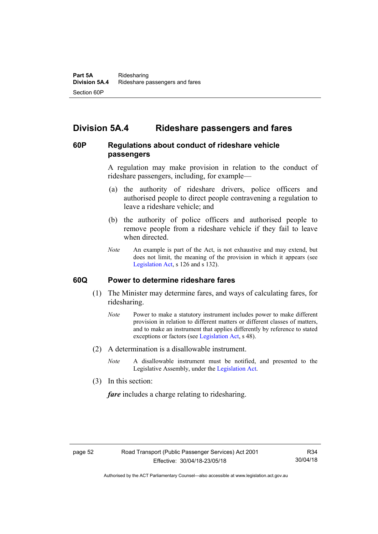# **Division 5A.4 Rideshare passengers and fares**

### **60P Regulations about conduct of rideshare vehicle passengers**

A regulation may make provision in relation to the conduct of rideshare passengers, including, for example—

- (a) the authority of rideshare drivers, police officers and authorised people to direct people contravening a regulation to leave a rideshare vehicle; and
- (b) the authority of police officers and authorised people to remove people from a rideshare vehicle if they fail to leave when directed.
- *Note* An example is part of the Act, is not exhaustive and may extend, but does not limit, the meaning of the provision in which it appears (see [Legislation Act,](http://www.legislation.act.gov.au/a/2001-14) s 126 and s 132).

### **60Q Power to determine rideshare fares**

- (1) The Minister may determine fares, and ways of calculating fares, for ridesharing.
	- *Note* Power to make a statutory instrument includes power to make different provision in relation to different matters or different classes of matters, and to make an instrument that applies differently by reference to stated exceptions or factors (see [Legislation Act](http://www.legislation.act.gov.au/a/2001-14), s 48).
- (2) A determination is a disallowable instrument.
	- *Note* A disallowable instrument must be notified, and presented to the Legislative Assembly, under the [Legislation Act.](http://www.legislation.act.gov.au/a/2001-14)
- (3) In this section:

*fare* includes a charge relating to ridesharing.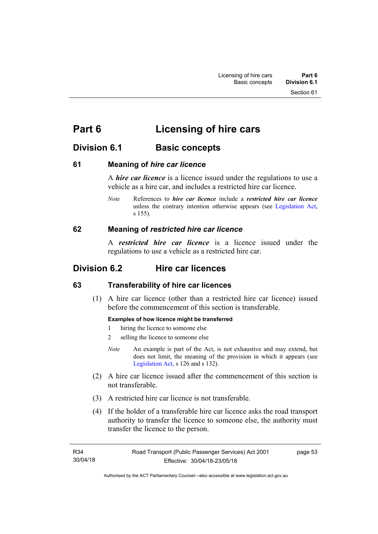# **Part 6 Licensing of hire cars**

# **Division 6.1 Basic concepts**

### **61 Meaning of** *hire car licence*

A *hire car licence* is a licence issued under the regulations to use a vehicle as a hire car, and includes a restricted hire car licence.

*Note* References to *hire car licence* include a *restricted hire car licence* unless the contrary intention otherwise appears (see [Legislation Act,](http://www.legislation.act.gov.au/a/2001-14) s 155).

### **62 Meaning of** *restricted hire car licence*

A *restricted hire car licence* is a licence issued under the regulations to use a vehicle as a restricted hire car.

# **Division 6.2 Hire car licences**

### **63 Transferability of hire car licences**

 (1) A hire car licence (other than a restricted hire car licence) issued before the commencement of this section is transferable.

### **Examples of how licence might be transferred**

- 1 hiring the licence to someone else
- 2 selling the licence to someone else
- *Note* An example is part of the Act, is not exhaustive and may extend, but does not limit, the meaning of the provision in which it appears (see [Legislation Act,](http://www.legislation.act.gov.au/a/2001-14) s 126 and s 132).
- (2) A hire car licence issued after the commencement of this section is not transferable.
- (3) A restricted hire car licence is not transferable.
- (4) If the holder of a transferable hire car licence asks the road transport authority to transfer the licence to someone else, the authority must transfer the licence to the person.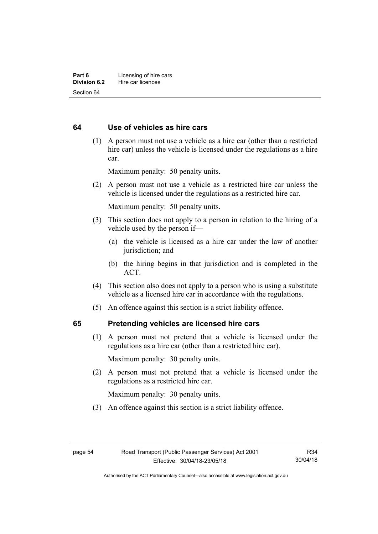### **64 Use of vehicles as hire cars**

 (1) A person must not use a vehicle as a hire car (other than a restricted hire car) unless the vehicle is licensed under the regulations as a hire car.

Maximum penalty: 50 penalty units.

 (2) A person must not use a vehicle as a restricted hire car unless the vehicle is licensed under the regulations as a restricted hire car.

Maximum penalty: 50 penalty units.

- (3) This section does not apply to a person in relation to the hiring of a vehicle used by the person if—
	- (a) the vehicle is licensed as a hire car under the law of another jurisdiction; and
	- (b) the hiring begins in that jurisdiction and is completed in the ACT.
- (4) This section also does not apply to a person who is using a substitute vehicle as a licensed hire car in accordance with the regulations.
- (5) An offence against this section is a strict liability offence.

### **65 Pretending vehicles are licensed hire cars**

(1) A person must not pretend that a vehicle is licensed under the regulations as a hire car (other than a restricted hire car).

Maximum penalty: 30 penalty units.

 (2) A person must not pretend that a vehicle is licensed under the regulations as a restricted hire car.

Maximum penalty: 30 penalty units.

(3) An offence against this section is a strict liability offence.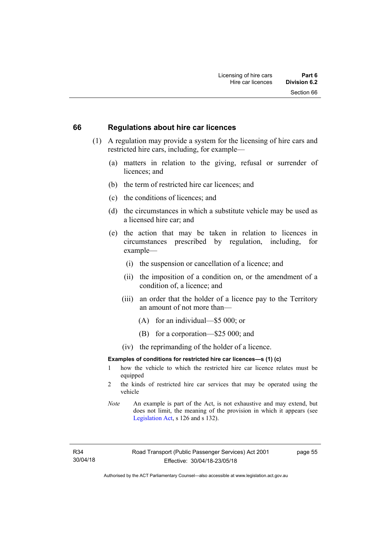#### **66 Regulations about hire car licences**

- (1) A regulation may provide a system for the licensing of hire cars and restricted hire cars, including, for example—
	- (a) matters in relation to the giving, refusal or surrender of licences; and
	- (b) the term of restricted hire car licences; and
	- (c) the conditions of licences; and
	- (d) the circumstances in which a substitute vehicle may be used as a licensed hire car; and
	- (e) the action that may be taken in relation to licences in circumstances prescribed by regulation, including, for example—
		- (i) the suspension or cancellation of a licence; and
		- (ii) the imposition of a condition on, or the amendment of a condition of, a licence; and
		- (iii) an order that the holder of a licence pay to the Territory an amount of not more than—
			- (A) for an individual—\$5 000; or
			- (B) for a corporation—\$25 000; and
		- (iv) the reprimanding of the holder of a licence.

#### **Examples of conditions for restricted hire car licences—s (1) (c)**

- 1 how the vehicle to which the restricted hire car licence relates must be equipped
- 2 the kinds of restricted hire car services that may be operated using the vehicle
- *Note* An example is part of the Act, is not exhaustive and may extend, but does not limit, the meaning of the provision in which it appears (see [Legislation Act,](http://www.legislation.act.gov.au/a/2001-14) s 126 and s 132).

R34 30/04/18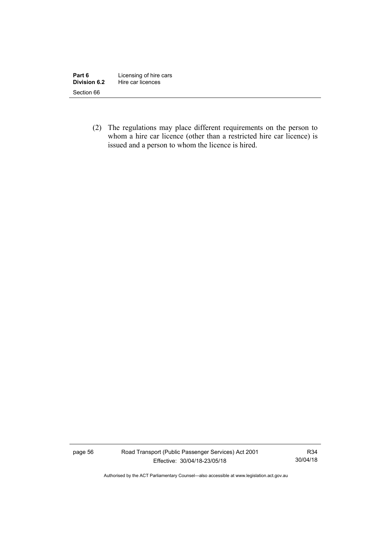| Part 6       | Licensing of hire cars |
|--------------|------------------------|
| Division 6.2 | Hire car licences      |
| Section 66   |                        |

 (2) The regulations may place different requirements on the person to whom a hire car licence (other than a restricted hire car licence) is issued and a person to whom the licence is hired.

page 56 Road Transport (Public Passenger Services) Act 2001 Effective: 30/04/18-23/05/18

R34 30/04/18

Authorised by the ACT Parliamentary Counsel—also accessible at www.legislation.act.gov.au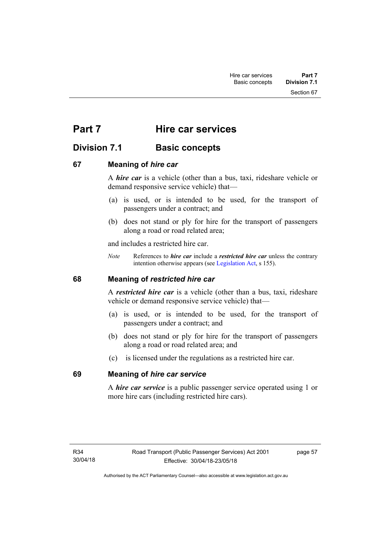Section 67

# **Part 7 Hire car services**

# **Division 7.1 Basic concepts**

### **67 Meaning of** *hire car*

A *hire car* is a vehicle (other than a bus, taxi, rideshare vehicle or demand responsive service vehicle) that—

- (a) is used, or is intended to be used, for the transport of passengers under a contract; and
- (b) does not stand or ply for hire for the transport of passengers along a road or road related area;

and includes a restricted hire car.

*Note* References to *hire car* include a *restricted hire car* unless the contrary intention otherwise appears (see [Legislation Act](http://www.legislation.act.gov.au/a/2001-14), s 155).

### **68 Meaning of** *restricted hire car*

A *restricted hire car* is a vehicle (other than a bus, taxi, rideshare vehicle or demand responsive service vehicle) that—

- (a) is used, or is intended to be used, for the transport of passengers under a contract; and
- (b) does not stand or ply for hire for the transport of passengers along a road or road related area; and
- (c) is licensed under the regulations as a restricted hire car.

### **69 Meaning of** *hire car service*

A *hire car service* is a public passenger service operated using 1 or more hire cars (including restricted hire cars).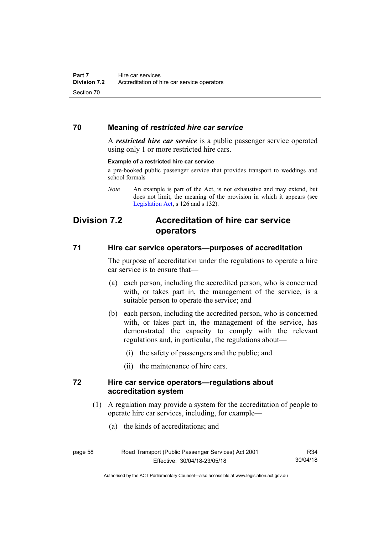### **70 Meaning of** *restricted hire car service*

A *restricted hire car service* is a public passenger service operated using only 1 or more restricted hire cars.

#### **Example of a restricted hire car service**

a pre-booked public passenger service that provides transport to weddings and school formals

*Note* An example is part of the Act, is not exhaustive and may extend, but does not limit, the meaning of the provision in which it appears (see [Legislation Act,](http://www.legislation.act.gov.au/a/2001-14) s 126 and s 132).

# **Division 7.2 Accreditation of hire car service operators**

#### **71 Hire car service operators—purposes of accreditation**

The purpose of accreditation under the regulations to operate a hire car service is to ensure that—

- (a) each person, including the accredited person, who is concerned with, or takes part in, the management of the service, is a suitable person to operate the service; and
- (b) each person, including the accredited person, who is concerned with, or takes part in, the management of the service, has demonstrated the capacity to comply with the relevant regulations and, in particular, the regulations about—
	- (i) the safety of passengers and the public; and
	- (ii) the maintenance of hire cars.

### **72 Hire car service operators—regulations about accreditation system**

- (1) A regulation may provide a system for the accreditation of people to operate hire car services, including, for example—
	- (a) the kinds of accreditations; and

R34 30/04/18

Authorised by the ACT Parliamentary Counsel—also accessible at www.legislation.act.gov.au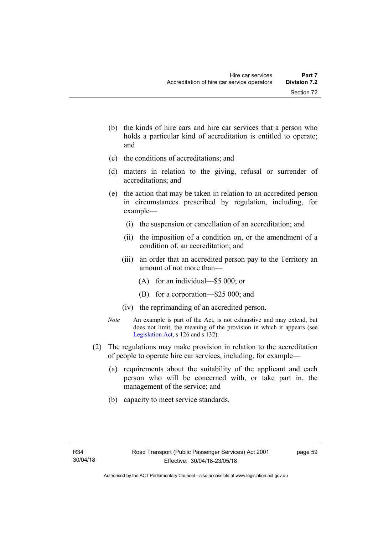- (b) the kinds of hire cars and hire car services that a person who holds a particular kind of accreditation is entitled to operate; and
- (c) the conditions of accreditations; and
- (d) matters in relation to the giving, refusal or surrender of accreditations; and
- (e) the action that may be taken in relation to an accredited person in circumstances prescribed by regulation, including, for example—
	- (i) the suspension or cancellation of an accreditation; and
	- (ii) the imposition of a condition on, or the amendment of a condition of, an accreditation; and
	- (iii) an order that an accredited person pay to the Territory an amount of not more than—
		- (A) for an individual—\$5 000; or
		- (B) for a corporation—\$25 000; and
	- (iv) the reprimanding of an accredited person.
- *Note* An example is part of the Act, is not exhaustive and may extend, but does not limit, the meaning of the provision in which it appears (see [Legislation Act,](http://www.legislation.act.gov.au/a/2001-14) s 126 and s 132).
- (2) The regulations may make provision in relation to the accreditation of people to operate hire car services, including, for example—
	- (a) requirements about the suitability of the applicant and each person who will be concerned with, or take part in, the management of the service; and
	- (b) capacity to meet service standards.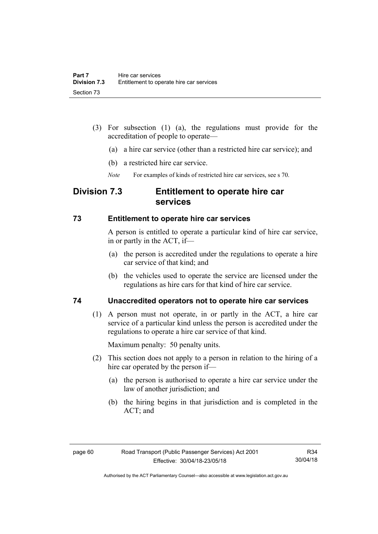- (3) For subsection (1) (a), the regulations must provide for the accreditation of people to operate—
	- (a) a hire car service (other than a restricted hire car service); and
	- (b) a restricted hire car service.
	- *Note* For examples of kinds of restricted hire car services, see s 70.

### **Division 7.3 Entitlement to operate hire car services**

#### **73 Entitlement to operate hire car services**

A person is entitled to operate a particular kind of hire car service, in or partly in the ACT, if—

- (a) the person is accredited under the regulations to operate a hire car service of that kind; and
- (b) the vehicles used to operate the service are licensed under the regulations as hire cars for that kind of hire car service.

### **74 Unaccredited operators not to operate hire car services**

(1) A person must not operate, in or partly in the ACT, a hire car service of a particular kind unless the person is accredited under the regulations to operate a hire car service of that kind.

Maximum penalty: 50 penalty units.

- (2) This section does not apply to a person in relation to the hiring of a hire car operated by the person if—
	- (a) the person is authorised to operate a hire car service under the law of another jurisdiction; and
	- (b) the hiring begins in that jurisdiction and is completed in the ACT; and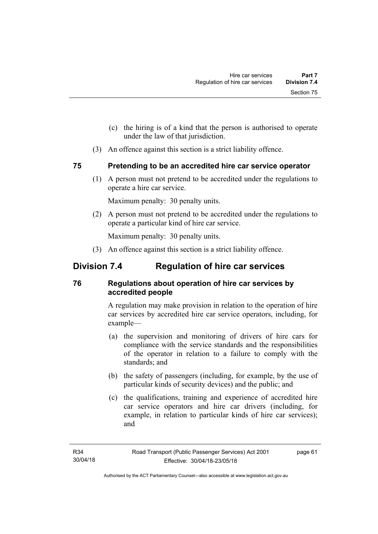- (c) the hiring is of a kind that the person is authorised to operate under the law of that jurisdiction.
- (3) An offence against this section is a strict liability offence.

### **75 Pretending to be an accredited hire car service operator**

(1) A person must not pretend to be accredited under the regulations to operate a hire car service.

Maximum penalty: 30 penalty units.

 (2) A person must not pretend to be accredited under the regulations to operate a particular kind of hire car service.

Maximum penalty: 30 penalty units.

(3) An offence against this section is a strict liability offence.

# **Division 7.4 Regulation of hire car services**

### **76 Regulations about operation of hire car services by accredited people**

A regulation may make provision in relation to the operation of hire car services by accredited hire car service operators, including, for example—

- (a) the supervision and monitoring of drivers of hire cars for compliance with the service standards and the responsibilities of the operator in relation to a failure to comply with the standards; and
- (b) the safety of passengers (including, for example, by the use of particular kinds of security devices) and the public; and
- (c) the qualifications, training and experience of accredited hire car service operators and hire car drivers (including, for example, in relation to particular kinds of hire car services); and

page 61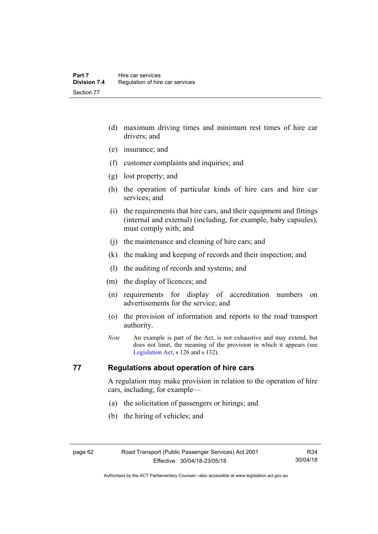- (d) maximum driving times and minimum rest times of hire car drivers; and
- (e) insurance; and
- (f) customer complaints and inquiries; and
- (g) lost property; and
- (h) the operation of particular kinds of hire cars and hire car services; and
- (i) the requirements that hire cars, and their equipment and fittings (internal and external) (including, for example, baby capsules), must comply with; and
- (j) the maintenance and cleaning of hire cars; and
- (k) the making and keeping of records and their inspection; and
- (l) the auditing of records and systems; and
- (m) the display of licences; and
- (n) requirements for display of accreditation numbers on advertisements for the service; and
- (o) the provision of information and reports to the road transport authority.
- *Note* An example is part of the Act, is not exhaustive and may extend, but does not limit, the meaning of the provision in which it appears (see [Legislation Act,](http://www.legislation.act.gov.au/a/2001-14) s 126 and s 132).

### **77 Regulations about operation of hire cars**

A regulation may make provision in relation to the operation of hire cars, including, for example—

- (a) the solicitation of passengers or hirings; and
- (b) the hiring of vehicles; and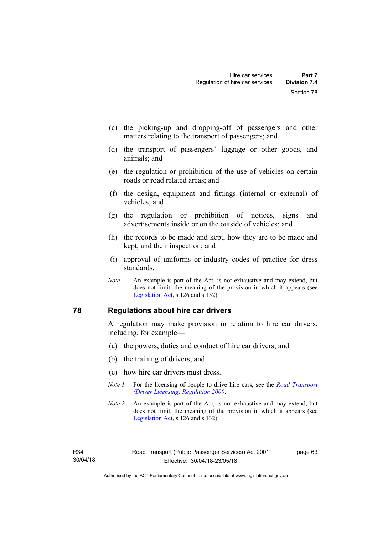- (c) the picking-up and dropping-off of passengers and other matters relating to the transport of passengers; and
- (d) the transport of passengers' luggage or other goods, and animals; and
- (e) the regulation or prohibition of the use of vehicles on certain roads or road related areas; and
- (f) the design, equipment and fittings (internal or external) of vehicles; and
- (g) the regulation or prohibition of notices, signs and advertisements inside or on the outside of vehicles; and
- (h) the records to be made and kept, how they are to be made and kept, and their inspection; and
- (i) approval of uniforms or industry codes of practice for dress standards.
- *Note* An example is part of the Act, is not exhaustive and may extend, but does not limit, the meaning of the provision in which it appears (see [Legislation Act,](http://www.legislation.act.gov.au/a/2001-14) s 126 and s 132).

## **78 Regulations about hire car drivers**

A regulation may make provision in relation to hire car drivers, including, for example—

- (a) the powers, duties and conduct of hire car drivers; and
- (b) the training of drivers; and
- (c) how hire car drivers must dress.
- *Note 1* For the licensing of people to drive hire cars, see the *[Road Transport](http://www.legislation.act.gov.au/sl/2000-14)  [\(Driver Licensing\) Regulation 2000](http://www.legislation.act.gov.au/sl/2000-14)*.
- *Note 2* An example is part of the Act, is not exhaustive and may extend, but does not limit, the meaning of the provision in which it appears (see [Legislation Act,](http://www.legislation.act.gov.au/a/2001-14) s 126 and s 132).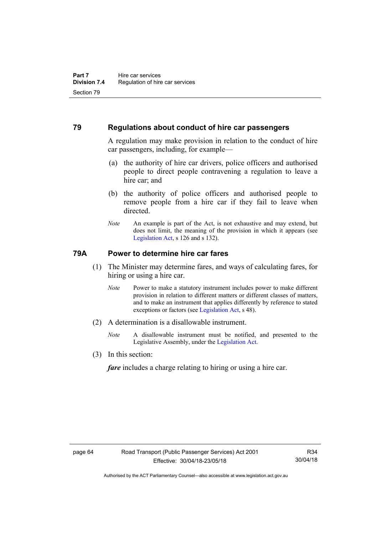# **79 Regulations about conduct of hire car passengers**

A regulation may make provision in relation to the conduct of hire car passengers, including, for example—

- (a) the authority of hire car drivers, police officers and authorised people to direct people contravening a regulation to leave a hire car; and
- (b) the authority of police officers and authorised people to remove people from a hire car if they fail to leave when directed.
- *Note* An example is part of the Act, is not exhaustive and may extend, but does not limit, the meaning of the provision in which it appears (see [Legislation Act,](http://www.legislation.act.gov.au/a/2001-14) s 126 and s 132).

# **79A Power to determine hire car fares**

- (1) The Minister may determine fares, and ways of calculating fares, for hiring or using a hire car.
	- *Note* Power to make a statutory instrument includes power to make different provision in relation to different matters or different classes of matters, and to make an instrument that applies differently by reference to stated exceptions or factors (see [Legislation Act](http://www.legislation.act.gov.au/a/2001-14), s 48).
- (2) A determination is a disallowable instrument.
	- *Note* A disallowable instrument must be notified, and presented to the Legislative Assembly, under the [Legislation Act.](http://www.legislation.act.gov.au/a/2001-14)
- (3) In this section:

*fare* includes a charge relating to hiring or using a hire car.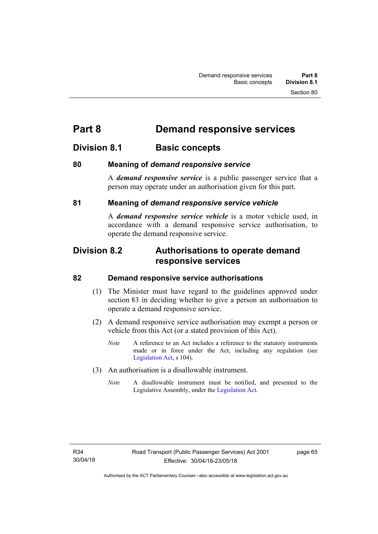# **Part 8 Demand responsive services**

# **Division 8.1 Basic concepts**

# **80 Meaning of** *demand responsive service*

A *demand responsive service* is a public passenger service that a person may operate under an authorisation given for this part.

# **81 Meaning of** *demand responsive service vehicle*

A *demand responsive service vehicle* is a motor vehicle used, in accordance with a demand responsive service authorisation, to operate the demand responsive service.

# **Division 8.2 Authorisations to operate demand responsive services**

## **82 Demand responsive service authorisations**

- (1) The Minister must have regard to the guidelines approved under section 83 in deciding whether to give a person an authorisation to operate a demand responsive service.
- (2) A demand responsive service authorisation may exempt a person or vehicle from this Act (or a stated provision of this Act).
	- *Note* A reference to an Act includes a reference to the statutory instruments made or in force under the Act, including any regulation (see [Legislation Act,](http://www.legislation.act.gov.au/a/2001-14) s 104).
- (3) An authorisation is a disallowable instrument.
	- *Note* A disallowable instrument must be notified, and presented to the Legislative Assembly, under the [Legislation Act.](http://www.legislation.act.gov.au/a/2001-14)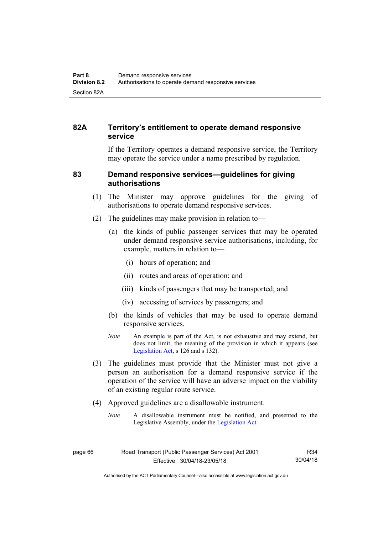# **82A Territory's entitlement to operate demand responsive service**

If the Territory operates a demand responsive service, the Territory may operate the service under a name prescribed by regulation.

## **83 Demand responsive services—guidelines for giving authorisations**

- (1) The Minister may approve guidelines for the giving of authorisations to operate demand responsive services.
- (2) The guidelines may make provision in relation to—
	- (a) the kinds of public passenger services that may be operated under demand responsive service authorisations, including, for example, matters in relation to—
		- (i) hours of operation; and
		- (ii) routes and areas of operation; and
		- (iii) kinds of passengers that may be transported; and
		- (iv) accessing of services by passengers; and
	- (b) the kinds of vehicles that may be used to operate demand responsive services.
	- *Note* An example is part of the Act, is not exhaustive and may extend, but does not limit, the meaning of the provision in which it appears (see [Legislation Act,](http://www.legislation.act.gov.au/a/2001-14) s 126 and s 132).
- (3) The guidelines must provide that the Minister must not give a person an authorisation for a demand responsive service if the operation of the service will have an adverse impact on the viability of an existing regular route service.
- (4) Approved guidelines are a disallowable instrument.
	- *Note* A disallowable instrument must be notified, and presented to the Legislative Assembly, under the [Legislation Act.](http://www.legislation.act.gov.au/a/2001-14)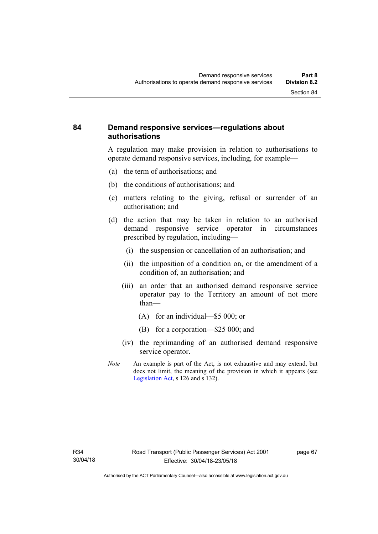# **84 Demand responsive services—regulations about authorisations**

A regulation may make provision in relation to authorisations to operate demand responsive services, including, for example—

- (a) the term of authorisations; and
- (b) the conditions of authorisations; and
- (c) matters relating to the giving, refusal or surrender of an authorisation; and
- (d) the action that may be taken in relation to an authorised demand responsive service operator in circumstances prescribed by regulation, including—
	- (i) the suspension or cancellation of an authorisation; and
	- (ii) the imposition of a condition on, or the amendment of a condition of, an authorisation; and
	- (iii) an order that an authorised demand responsive service operator pay to the Territory an amount of not more than—
		- (A) for an individual—\$5 000; or
		- (B) for a corporation—\$25 000; and
	- (iv) the reprimanding of an authorised demand responsive service operator.
- *Note* An example is part of the Act, is not exhaustive and may extend, but does not limit, the meaning of the provision in which it appears (see [Legislation Act,](http://www.legislation.act.gov.au/a/2001-14) s 126 and s 132).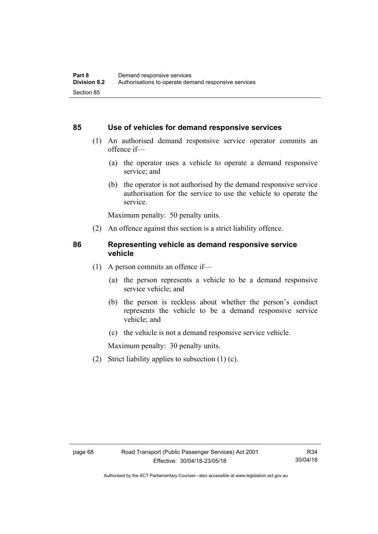### **85 Use of vehicles for demand responsive services**

- (1) An authorised demand responsive service operator commits an offence if—
	- (a) the operator uses a vehicle to operate a demand responsive service; and
	- (b) the operator is not authorised by the demand responsive service authorisation for the service to use the vehicle to operate the service.

Maximum penalty: 50 penalty units.

(2) An offence against this section is a strict liability offence.

### **86 Representing vehicle as demand responsive service vehicle**

- (1) A person commits an offence if—
	- (a) the person represents a vehicle to be a demand responsive service vehicle; and
	- (b) the person is reckless about whether the person's conduct represents the vehicle to be a demand responsive service vehicle; and
	- (c) the vehicle is not a demand responsive service vehicle.

Maximum penalty: 30 penalty units.

(2) Strict liability applies to subsection (1) (c).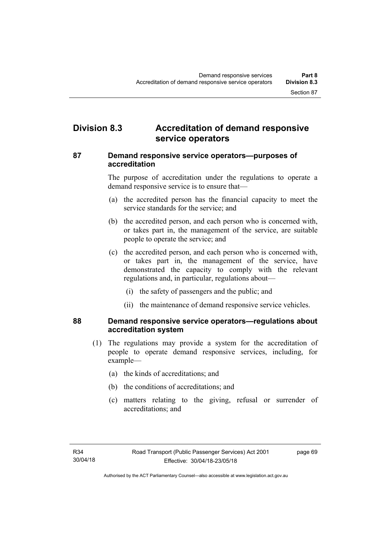# **Division 8.3 Accreditation of demand responsive service operators**

## **87 Demand responsive service operators—purposes of accreditation**

The purpose of accreditation under the regulations to operate a demand responsive service is to ensure that—

- (a) the accredited person has the financial capacity to meet the service standards for the service; and
- (b) the accredited person, and each person who is concerned with, or takes part in, the management of the service, are suitable people to operate the service; and
- (c) the accredited person, and each person who is concerned with, or takes part in, the management of the service, have demonstrated the capacity to comply with the relevant regulations and, in particular, regulations about—
	- (i) the safety of passengers and the public; and
	- (ii) the maintenance of demand responsive service vehicles.

# **88 Demand responsive service operators—regulations about accreditation system**

- (1) The regulations may provide a system for the accreditation of people to operate demand responsive services, including, for example—
	- (a) the kinds of accreditations; and
	- (b) the conditions of accreditations; and
	- (c) matters relating to the giving, refusal or surrender of accreditations; and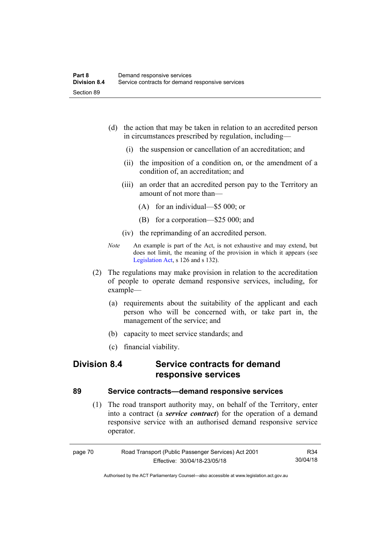- (d) the action that may be taken in relation to an accredited person in circumstances prescribed by regulation, including—
	- (i) the suspension or cancellation of an accreditation; and
	- (ii) the imposition of a condition on, or the amendment of a condition of, an accreditation; and
	- (iii) an order that an accredited person pay to the Territory an amount of not more than—
		- (A) for an individual—\$5 000; or
		- (B) for a corporation—\$25 000; and
	- (iv) the reprimanding of an accredited person.
- *Note* An example is part of the Act, is not exhaustive and may extend, but does not limit, the meaning of the provision in which it appears (see [Legislation Act,](http://www.legislation.act.gov.au/a/2001-14) s 126 and s 132).
- (2) The regulations may make provision in relation to the accreditation of people to operate demand responsive services, including, for example—
	- (a) requirements about the suitability of the applicant and each person who will be concerned with, or take part in, the management of the service; and
	- (b) capacity to meet service standards; and
	- (c) financial viability.

# **Division 8.4 Service contracts for demand responsive services**

## **89 Service contracts—demand responsive services**

 (1) The road transport authority may, on behalf of the Territory, enter into a contract (a *service contract*) for the operation of a demand responsive service with an authorised demand responsive service operator.

| page 70 | Road Transport (Public Passenger Services) Act 2001 | R34      |
|---------|-----------------------------------------------------|----------|
|         | Effective: 30/04/18-23/05/18                        | 30/04/18 |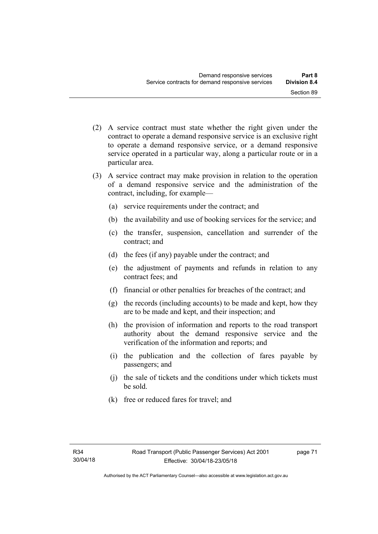- (2) A service contract must state whether the right given under the contract to operate a demand responsive service is an exclusive right to operate a demand responsive service, or a demand responsive service operated in a particular way, along a particular route or in a particular area.
- (3) A service contract may make provision in relation to the operation of a demand responsive service and the administration of the contract, including, for example—
	- (a) service requirements under the contract; and
	- (b) the availability and use of booking services for the service; and
	- (c) the transfer, suspension, cancellation and surrender of the contract; and
	- (d) the fees (if any) payable under the contract; and
	- (e) the adjustment of payments and refunds in relation to any contract fees; and
	- (f) financial or other penalties for breaches of the contract; and
	- (g) the records (including accounts) to be made and kept, how they are to be made and kept, and their inspection; and
	- (h) the provision of information and reports to the road transport authority about the demand responsive service and the verification of the information and reports; and
	- (i) the publication and the collection of fares payable by passengers; and
	- (j) the sale of tickets and the conditions under which tickets must be sold.
	- (k) free or reduced fares for travel; and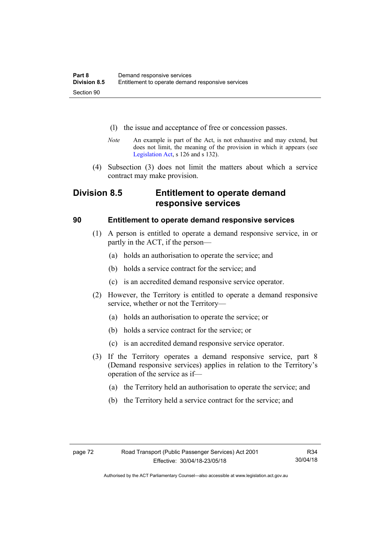- (l) the issue and acceptance of free or concession passes.
- *Note* An example is part of the Act, is not exhaustive and may extend, but does not limit, the meaning of the provision in which it appears (see [Legislation Act,](http://www.legislation.act.gov.au/a/2001-14) s 126 and s 132).
- (4) Subsection (3) does not limit the matters about which a service contract may make provision.

# **Division 8.5 Entitlement to operate demand responsive services**

# **90 Entitlement to operate demand responsive services**

- (1) A person is entitled to operate a demand responsive service, in or partly in the ACT, if the person—
	- (a) holds an authorisation to operate the service; and
	- (b) holds a service contract for the service; and
	- (c) is an accredited demand responsive service operator.
- (2) However, the Territory is entitled to operate a demand responsive service, whether or not the Territory—
	- (a) holds an authorisation to operate the service; or
	- (b) holds a service contract for the service; or
	- (c) is an accredited demand responsive service operator.
- (3) If the Territory operates a demand responsive service, part 8 (Demand responsive services) applies in relation to the Territory's operation of the service as if—
	- (a) the Territory held an authorisation to operate the service; and
	- (b) the Territory held a service contract for the service; and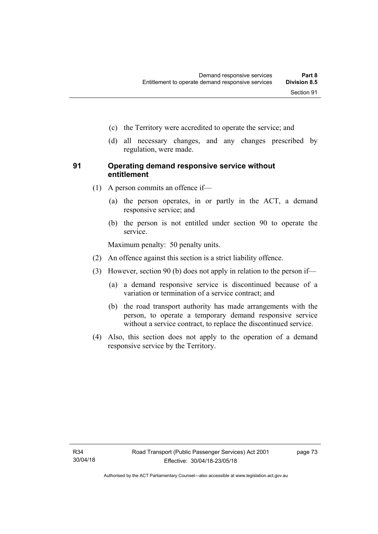- (c) the Territory were accredited to operate the service; and
- (d) all necessary changes, and any changes prescribed by regulation, were made.

# **91 Operating demand responsive service without entitlement**

- (1) A person commits an offence if—
	- (a) the person operates, in or partly in the ACT, a demand responsive service; and
	- (b) the person is not entitled under section 90 to operate the service.

Maximum penalty: 50 penalty units.

- (2) An offence against this section is a strict liability offence.
- (3) However, section 90 (b) does not apply in relation to the person if—
	- (a) a demand responsive service is discontinued because of a variation or termination of a service contract; and
	- (b) the road transport authority has made arrangements with the person, to operate a temporary demand responsive service without a service contract, to replace the discontinued service.
- (4) Also, this section does not apply to the operation of a demand responsive service by the Territory.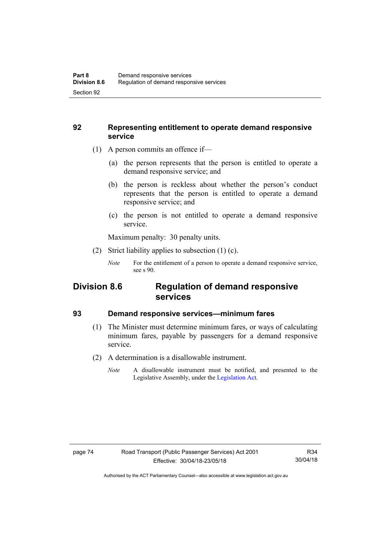# **92 Representing entitlement to operate demand responsive service**

- (1) A person commits an offence if—
	- (a) the person represents that the person is entitled to operate a demand responsive service; and
	- (b) the person is reckless about whether the person's conduct represents that the person is entitled to operate a demand responsive service; and
	- (c) the person is not entitled to operate a demand responsive service.

Maximum penalty: 30 penalty units.

- (2) Strict liability applies to subsection (1) (c).
	- *Note* For the entitlement of a person to operate a demand responsive service, see s 90.

# **Division 8.6 Regulation of demand responsive services**

## **93 Demand responsive services—minimum fares**

- (1) The Minister must determine minimum fares, or ways of calculating minimum fares, payable by passengers for a demand responsive service.
- (2) A determination is a disallowable instrument.
	- *Note* A disallowable instrument must be notified, and presented to the Legislative Assembly, under the [Legislation Act.](http://www.legislation.act.gov.au/a/2001-14)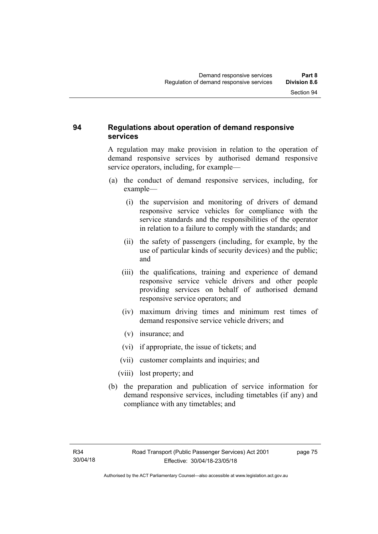# **94 Regulations about operation of demand responsive services**

A regulation may make provision in relation to the operation of demand responsive services by authorised demand responsive service operators, including, for example—

- (a) the conduct of demand responsive services, including, for example—
	- (i) the supervision and monitoring of drivers of demand responsive service vehicles for compliance with the service standards and the responsibilities of the operator in relation to a failure to comply with the standards; and
	- (ii) the safety of passengers (including, for example, by the use of particular kinds of security devices) and the public; and
	- (iii) the qualifications, training and experience of demand responsive service vehicle drivers and other people providing services on behalf of authorised demand responsive service operators; and
	- (iv) maximum driving times and minimum rest times of demand responsive service vehicle drivers; and
	- (v) insurance; and
	- (vi) if appropriate, the issue of tickets; and
	- (vii) customer complaints and inquiries; and
	- (viii) lost property; and
- (b) the preparation and publication of service information for demand responsive services, including timetables (if any) and compliance with any timetables; and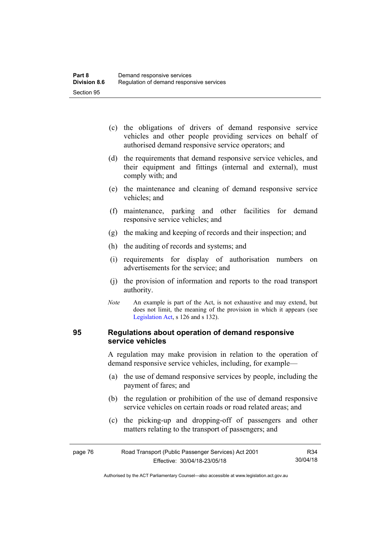- (c) the obligations of drivers of demand responsive service vehicles and other people providing services on behalf of authorised demand responsive service operators; and
- (d) the requirements that demand responsive service vehicles, and their equipment and fittings (internal and external), must comply with; and
- (e) the maintenance and cleaning of demand responsive service vehicles; and
- (f) maintenance, parking and other facilities for demand responsive service vehicles; and
- (g) the making and keeping of records and their inspection; and
- (h) the auditing of records and systems; and
- (i) requirements for display of authorisation numbers on advertisements for the service; and
- (j) the provision of information and reports to the road transport authority.
- *Note* An example is part of the Act, is not exhaustive and may extend, but does not limit, the meaning of the provision in which it appears (see [Legislation Act,](http://www.legislation.act.gov.au/a/2001-14) s 126 and s 132).

# **95 Regulations about operation of demand responsive service vehicles**

A regulation may make provision in relation to the operation of demand responsive service vehicles, including, for example—

- (a) the use of demand responsive services by people, including the payment of fares; and
- (b) the regulation or prohibition of the use of demand responsive service vehicles on certain roads or road related areas; and
- (c) the picking-up and dropping-off of passengers and other matters relating to the transport of passengers; and

| page 76 | Road Transport (Public Passenger Services) Act 2001 | R34      |
|---------|-----------------------------------------------------|----------|
|         | Effective: 30/04/18-23/05/18                        | 30/04/18 |

Authorised by the ACT Parliamentary Counsel—also accessible at www.legislation.act.gov.au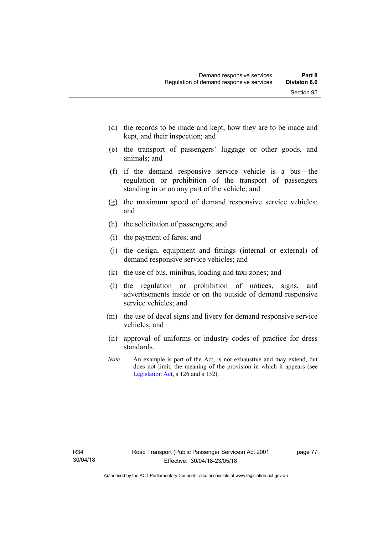- (d) the records to be made and kept, how they are to be made and kept, and their inspection; and
- (e) the transport of passengers' luggage or other goods, and animals; and
- (f) if the demand responsive service vehicle is a bus—the regulation or prohibition of the transport of passengers standing in or on any part of the vehicle; and
- (g) the maximum speed of demand responsive service vehicles; and
- (h) the solicitation of passengers; and
- (i) the payment of fares; and
- (j) the design, equipment and fittings (internal or external) of demand responsive service vehicles; and
- (k) the use of bus, minibus, loading and taxi zones; and
- (l) the regulation or prohibition of notices, signs, and advertisements inside or on the outside of demand responsive service vehicles; and
- (m) the use of decal signs and livery for demand responsive service vehicles; and
- (n) approval of uniforms or industry codes of practice for dress standards.
- *Note* An example is part of the Act, is not exhaustive and may extend, but does not limit, the meaning of the provision in which it appears (see [Legislation Act,](http://www.legislation.act.gov.au/a/2001-14) s 126 and s 132).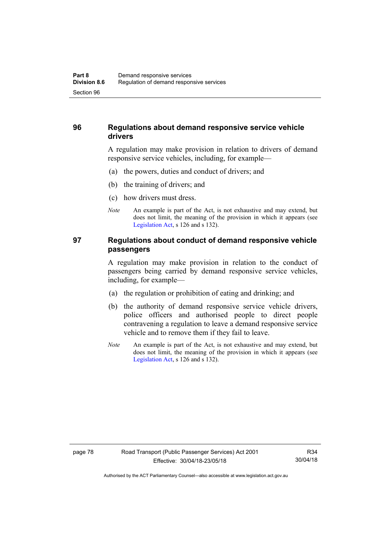# **96 Regulations about demand responsive service vehicle drivers**

A regulation may make provision in relation to drivers of demand responsive service vehicles, including, for example—

- (a) the powers, duties and conduct of drivers; and
- (b) the training of drivers; and
- (c) how drivers must dress.
- *Note* An example is part of the Act, is not exhaustive and may extend, but does not limit, the meaning of the provision in which it appears (see [Legislation Act,](http://www.legislation.act.gov.au/a/2001-14) s 126 and s 132).

# **97 Regulations about conduct of demand responsive vehicle passengers**

A regulation may make provision in relation to the conduct of passengers being carried by demand responsive service vehicles, including, for example—

- (a) the regulation or prohibition of eating and drinking; and
- (b) the authority of demand responsive service vehicle drivers, police officers and authorised people to direct people contravening a regulation to leave a demand responsive service vehicle and to remove them if they fail to leave.
- *Note* An example is part of the Act, is not exhaustive and may extend, but does not limit, the meaning of the provision in which it appears (see [Legislation Act,](http://www.legislation.act.gov.au/a/2001-14) s 126 and s 132).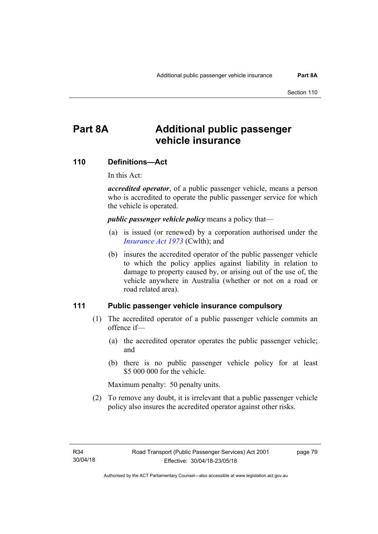# **Part 8A Additional public passenger vehicle insurance**

### **110 Definitions—Act**

In this Act:

*accredited operator*, of a public passenger vehicle, means a person who is accredited to operate the public passenger service for which the vehicle is operated.

*public passenger vehicle policy* means a policy that—

- (a) is issued (or renewed) by a corporation authorised under the *[Insurance Act 1973](http://www.comlaw.gov.au/Details/C2013C00019)* (Cwlth); and
- (b) insures the accredited operator of the public passenger vehicle to which the policy applies against liability in relation to damage to property caused by, or arising out of the use of, the vehicle anywhere in Australia (whether or not on a road or road related area).

### **111 Public passenger vehicle insurance compulsory**

- (1) The accredited operator of a public passenger vehicle commits an offence if—
	- (a) the accredited operator operates the public passenger vehicle; and
	- (b) there is no public passenger vehicle policy for at least \$5 000 000 for the vehicle.

Maximum penalty: 50 penalty units.

 (2) To remove any doubt, it is irrelevant that a public passenger vehicle policy also insures the accredited operator against other risks.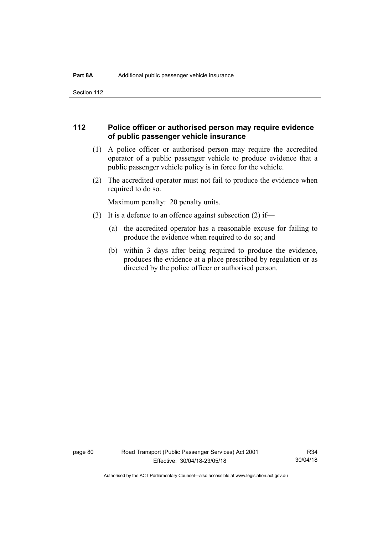Section 112

# **112 Police officer or authorised person may require evidence of public passenger vehicle insurance**

- (1) A police officer or authorised person may require the accredited operator of a public passenger vehicle to produce evidence that a public passenger vehicle policy is in force for the vehicle.
- (2) The accredited operator must not fail to produce the evidence when required to do so.

Maximum penalty: 20 penalty units.

- (3) It is a defence to an offence against subsection (2) if—
	- (a) the accredited operator has a reasonable excuse for failing to produce the evidence when required to do so; and
	- (b) within 3 days after being required to produce the evidence, produces the evidence at a place prescribed by regulation or as directed by the police officer or authorised person.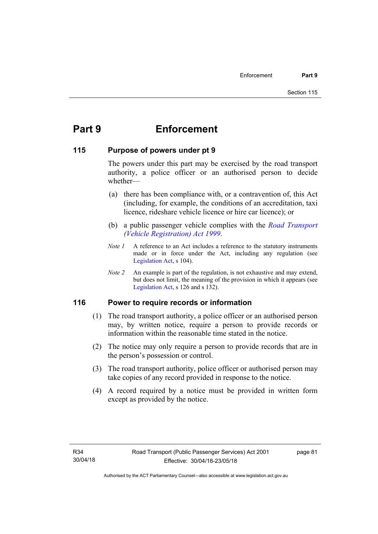# **Part 9 Enforcement**

# **115 Purpose of powers under pt 9**

The powers under this part may be exercised by the road transport authority, a police officer or an authorised person to decide whether—

- (a) there has been compliance with, or a contravention of, this Act (including, for example, the conditions of an accreditation, taxi licence, rideshare vehicle licence or hire car licence); or
- (b) a public passenger vehicle complies with the *[Road Transport](http://www.legislation.act.gov.au/a/1999-81)  [\(Vehicle Registration\) Act 1999](http://www.legislation.act.gov.au/a/1999-81)*.
- *Note 1* A reference to an Act includes a reference to the statutory instruments made or in force under the Act, including any regulation (see [Legislation Act,](http://www.legislation.act.gov.au/a/2001-14) s 104).
- *Note 2* An example is part of the regulation, is not exhaustive and may extend, but does not limit, the meaning of the provision in which it appears (see [Legislation Act,](http://www.legislation.act.gov.au/a/2001-14) s 126 and s 132).

# **116 Power to require records or information**

- (1) The road transport authority, a police officer or an authorised person may, by written notice, require a person to provide records or information within the reasonable time stated in the notice.
- (2) The notice may only require a person to provide records that are in the person's possession or control.
- (3) The road transport authority, police officer or authorised person may take copies of any record provided in response to the notice.
- (4) A record required by a notice must be provided in written form except as provided by the notice.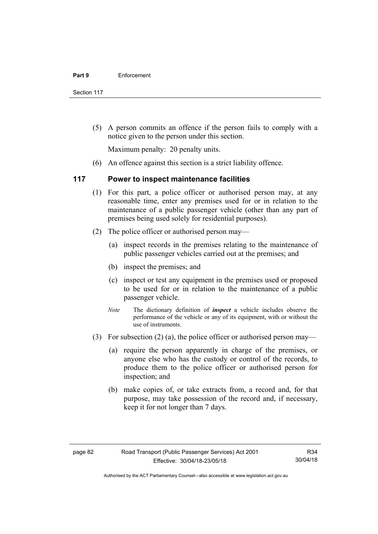Section 117

 (5) A person commits an offence if the person fails to comply with a notice given to the person under this section.

Maximum penalty: 20 penalty units.

(6) An offence against this section is a strict liability offence.

# **117 Power to inspect maintenance facilities**

- (1) For this part, a police officer or authorised person may, at any reasonable time, enter any premises used for or in relation to the maintenance of a public passenger vehicle (other than any part of premises being used solely for residential purposes).
- (2) The police officer or authorised person may—
	- (a) inspect records in the premises relating to the maintenance of public passenger vehicles carried out at the premises; and
	- (b) inspect the premises; and
	- (c) inspect or test any equipment in the premises used or proposed to be used for or in relation to the maintenance of a public passenger vehicle.
	- *Note* The dictionary definition of *inspect* a vehicle includes observe the performance of the vehicle or any of its equipment, with or without the use of instruments.
- (3) For subsection (2) (a), the police officer or authorised person may—
	- (a) require the person apparently in charge of the premises, or anyone else who has the custody or control of the records, to produce them to the police officer or authorised person for inspection; and
	- (b) make copies of, or take extracts from, a record and, for that purpose, may take possession of the record and, if necessary, keep it for not longer than 7 days.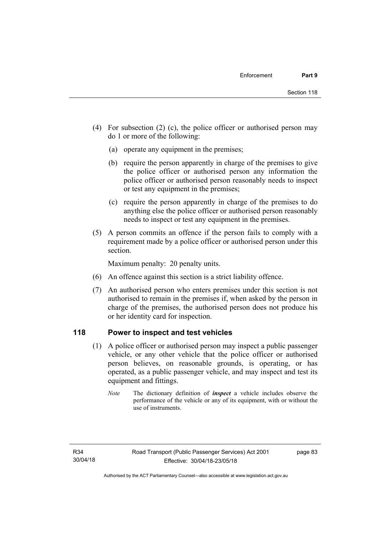- (4) For subsection (2) (c), the police officer or authorised person may do 1 or more of the following:
	- (a) operate any equipment in the premises;
	- (b) require the person apparently in charge of the premises to give the police officer or authorised person any information the police officer or authorised person reasonably needs to inspect or test any equipment in the premises;
	- (c) require the person apparently in charge of the premises to do anything else the police officer or authorised person reasonably needs to inspect or test any equipment in the premises.
- (5) A person commits an offence if the person fails to comply with a requirement made by a police officer or authorised person under this section.

Maximum penalty: 20 penalty units.

- (6) An offence against this section is a strict liability offence.
- (7) An authorised person who enters premises under this section is not authorised to remain in the premises if, when asked by the person in charge of the premises, the authorised person does not produce his or her identity card for inspection.

# **118 Power to inspect and test vehicles**

- (1) A police officer or authorised person may inspect a public passenger vehicle, or any other vehicle that the police officer or authorised person believes, on reasonable grounds, is operating, or has operated, as a public passenger vehicle, and may inspect and test its equipment and fittings.
	- *Note* The dictionary definition of *inspect* a vehicle includes observe the performance of the vehicle or any of its equipment, with or without the use of instruments.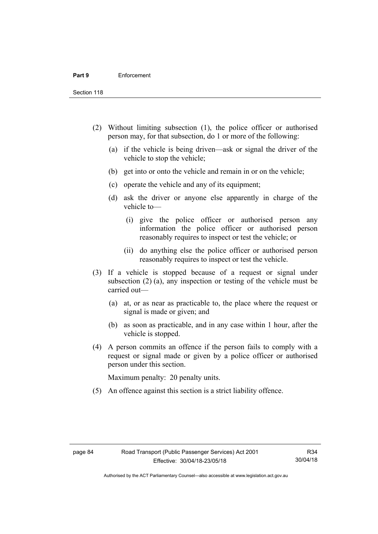Section 118

- (2) Without limiting subsection (1), the police officer or authorised person may, for that subsection, do 1 or more of the following:
	- (a) if the vehicle is being driven—ask or signal the driver of the vehicle to stop the vehicle;
	- (b) get into or onto the vehicle and remain in or on the vehicle;
	- (c) operate the vehicle and any of its equipment;
	- (d) ask the driver or anyone else apparently in charge of the vehicle to—
		- (i) give the police officer or authorised person any information the police officer or authorised person reasonably requires to inspect or test the vehicle; or
		- (ii) do anything else the police officer or authorised person reasonably requires to inspect or test the vehicle.
- (3) If a vehicle is stopped because of a request or signal under subsection (2) (a), any inspection or testing of the vehicle must be carried out—
	- (a) at, or as near as practicable to, the place where the request or signal is made or given; and
	- (b) as soon as practicable, and in any case within 1 hour, after the vehicle is stopped.
- (4) A person commits an offence if the person fails to comply with a request or signal made or given by a police officer or authorised person under this section.

Maximum penalty: 20 penalty units.

(5) An offence against this section is a strict liability offence.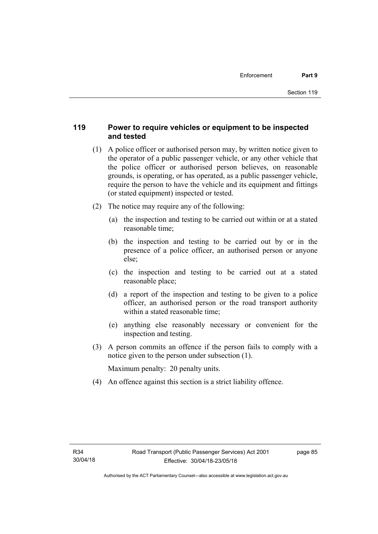# **119 Power to require vehicles or equipment to be inspected and tested**

- (1) A police officer or authorised person may, by written notice given to the operator of a public passenger vehicle, or any other vehicle that the police officer or authorised person believes, on reasonable grounds, is operating, or has operated, as a public passenger vehicle, require the person to have the vehicle and its equipment and fittings (or stated equipment) inspected or tested.
- (2) The notice may require any of the following:
	- (a) the inspection and testing to be carried out within or at a stated reasonable time;
	- (b) the inspection and testing to be carried out by or in the presence of a police officer, an authorised person or anyone else;
	- (c) the inspection and testing to be carried out at a stated reasonable place;
	- (d) a report of the inspection and testing to be given to a police officer, an authorised person or the road transport authority within a stated reasonable time;
	- (e) anything else reasonably necessary or convenient for the inspection and testing.
- (3) A person commits an offence if the person fails to comply with a notice given to the person under subsection (1).

Maximum penalty: 20 penalty units.

(4) An offence against this section is a strict liability offence.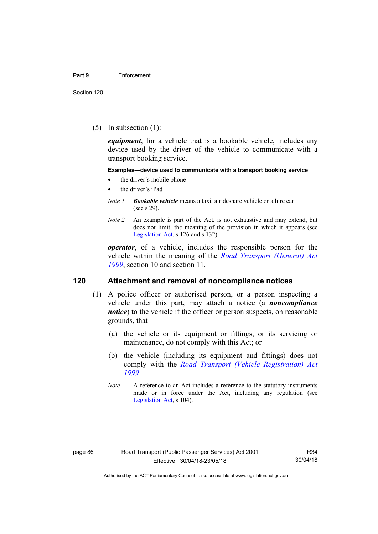(5) In subsection (1):

*equipment*, for a vehicle that is a bookable vehicle, includes any device used by the driver of the vehicle to communicate with a transport booking service.

#### **Examples—device used to communicate with a transport booking service**

- the driver's mobile phone
- the driver's iPad
- *Note 1 Bookable vehicle* means a taxi, a rideshare vehicle or a hire car (see s 29).
- *Note 2* An example is part of the Act, is not exhaustive and may extend, but does not limit, the meaning of the provision in which it appears (see [Legislation Act,](http://www.legislation.act.gov.au/a/2001-14) s 126 and s 132).

*operator*, of a vehicle, includes the responsible person for the vehicle within the meaning of the *[Road Transport \(General\) Act](http://www.legislation.act.gov.au/a/1999-77)  [1999](http://www.legislation.act.gov.au/a/1999-77)*, section 10 and section 11.

### **120 Attachment and removal of noncompliance notices**

- (1) A police officer or authorised person, or a person inspecting a vehicle under this part, may attach a notice (a *noncompliance notice*) to the vehicle if the officer or person suspects, on reasonable grounds, that—
	- (a) the vehicle or its equipment or fittings, or its servicing or maintenance, do not comply with this Act; or
	- (b) the vehicle (including its equipment and fittings) does not comply with the *[Road Transport \(Vehicle Registration\) Act](http://www.legislation.act.gov.au/a/1999-81)  [1999](http://www.legislation.act.gov.au/a/1999-81)*.
	- *Note* A reference to an Act includes a reference to the statutory instruments made or in force under the Act, including any regulation (see [Legislation Act,](http://www.legislation.act.gov.au/a/2001-14) s 104).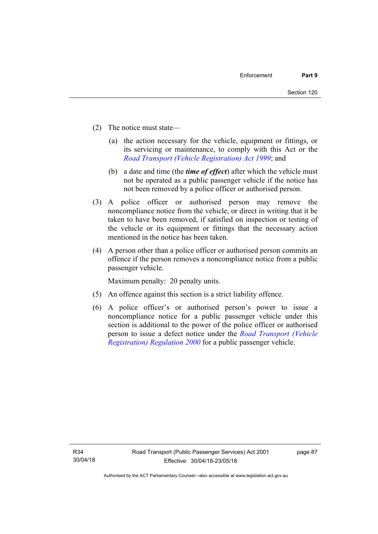- (2) The notice must state—
	- (a) the action necessary for the vehicle, equipment or fittings, or its servicing or maintenance, to comply with this Act or the *[Road Transport \(Vehicle Registration\) Act 1999](http://www.legislation.act.gov.au/a/1999-81)*; and
	- (b) a date and time (the *time of effect*) after which the vehicle must not be operated as a public passenger vehicle if the notice has not been removed by a police officer or authorised person.
- (3) A police officer or authorised person may remove the noncompliance notice from the vehicle, or direct in writing that it be taken to have been removed, if satisfied on inspection or testing of the vehicle or its equipment or fittings that the necessary action mentioned in the notice has been taken.
- (4) A person other than a police officer or authorised person commits an offence if the person removes a noncompliance notice from a public passenger vehicle.

Maximum penalty: 20 penalty units.

- (5) An offence against this section is a strict liability offence.
- (6) A police officer's or authorised person's power to issue a noncompliance notice for a public passenger vehicle under this section is additional to the power of the police officer or authorised person to issue a defect notice under the *[Road Transport \(Vehicle](http://www.legislation.act.gov.au/sl/2000-12)  [Registration\) Regulation 2000](http://www.legislation.act.gov.au/sl/2000-12)* for a public passenger vehicle.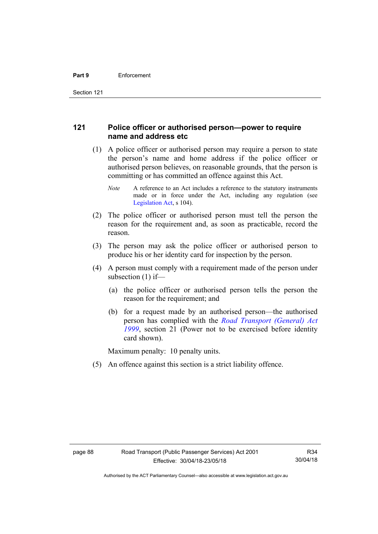# **121 Police officer or authorised person—power to require name and address etc**

- (1) A police officer or authorised person may require a person to state the person's name and home address if the police officer or authorised person believes, on reasonable grounds, that the person is committing or has committed an offence against this Act.
	- *Note* A reference to an Act includes a reference to the statutory instruments made or in force under the Act, including any regulation (see [Legislation Act,](http://www.legislation.act.gov.au/a/2001-14) s 104).
- (2) The police officer or authorised person must tell the person the reason for the requirement and, as soon as practicable, record the reason.
- (3) The person may ask the police officer or authorised person to produce his or her identity card for inspection by the person.
- (4) A person must comply with a requirement made of the person under subsection (1) if—
	- (a) the police officer or authorised person tells the person the reason for the requirement; and
	- (b) for a request made by an authorised person—the authorised person has complied with the *[Road Transport \(General\) Act](http://www.legislation.act.gov.au/a/1999-77)  [1999](http://www.legislation.act.gov.au/a/1999-77)*, section 21 (Power not to be exercised before identity card shown).

Maximum penalty: 10 penalty units.

(5) An offence against this section is a strict liability offence.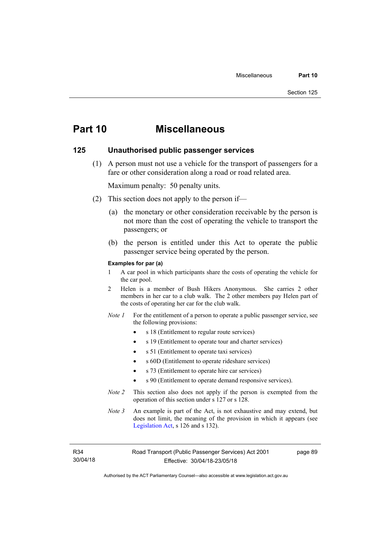# **Part 10 Miscellaneous**

#### **125 Unauthorised public passenger services**

 (1) A person must not use a vehicle for the transport of passengers for a fare or other consideration along a road or road related area.

Maximum penalty: 50 penalty units.

- (2) This section does not apply to the person if—
	- (a) the monetary or other consideration receivable by the person is not more than the cost of operating the vehicle to transport the passengers; or
	- (b) the person is entitled under this Act to operate the public passenger service being operated by the person.

#### **Examples for par (a)**

- 1 A car pool in which participants share the costs of operating the vehicle for the car pool.
- 2 Helen is a member of Bush Hikers Anonymous. She carries 2 other members in her car to a club walk. The 2 other members pay Helen part of the costs of operating her car for the club walk.
- *Note 1* For the entitlement of a person to operate a public passenger service, see the following provisions:
	- s 18 (Entitlement to regular route services)
	- s 19 (Entitlement to operate tour and charter services)
	- s 51 (Entitlement to operate taxi services)
	- s 60D (Entitlement to operate rideshare services)
	- s 73 (Entitlement to operate hire car services)
	- s 90 (Entitlement to operate demand responsive services).
- *Note 2* This section also does not apply if the person is exempted from the operation of this section under s 127 or s 128.
- *Note 3* An example is part of the Act, is not exhaustive and may extend, but does not limit, the meaning of the provision in which it appears (see [Legislation Act,](http://www.legislation.act.gov.au/a/2001-14) s 126 and s 132).

R34 30/04/18 page 89

Authorised by the ACT Parliamentary Counsel—also accessible at www.legislation.act.gov.au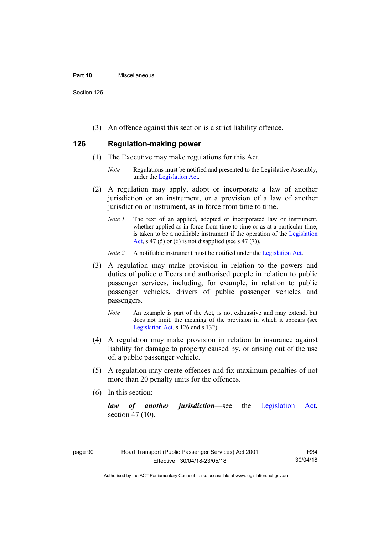#### **Part 10** Miscellaneous

Section 126

(3) An offence against this section is a strict liability offence.

# **126 Regulation-making power**

- (1) The Executive may make regulations for this Act.
	- *Note* Regulations must be notified and presented to the Legislative Assembly, under the [Legislation Act.](http://www.legislation.act.gov.au/a/2001-14)
- (2) A regulation may apply, adopt or incorporate a law of another jurisdiction or an instrument, or a provision of a law of another jurisdiction or instrument, as in force from time to time.
	- *Note 1* The text of an applied, adopted or incorporated law or instrument, whether applied as in force from time to time or as at a particular time, is taken to be a notifiable instrument if the operation of the [Legislation](http://www.legislation.act.gov.au/a/2001-14)  [Act](http://www.legislation.act.gov.au/a/2001-14), s 47 (5) or (6) is not disapplied (see s 47 (7)).
	- *Note 2* A notifiable instrument must be notified under the [Legislation Act](http://www.legislation.act.gov.au/a/2001-14).
- (3) A regulation may make provision in relation to the powers and duties of police officers and authorised people in relation to public passenger services, including, for example, in relation to public passenger vehicles, drivers of public passenger vehicles and passengers.
	- *Note* An example is part of the Act, is not exhaustive and may extend, but does not limit, the meaning of the provision in which it appears (see [Legislation Act,](http://www.legislation.act.gov.au/a/2001-14) s 126 and s 132).
- (4) A regulation may make provision in relation to insurance against liability for damage to property caused by, or arising out of the use of, a public passenger vehicle.
- (5) A regulation may create offences and fix maximum penalties of not more than 20 penalty units for the offences.
- (6) In this section:

*law of another jurisdiction*—see the [Legislation Act](http://www.legislation.act.gov.au/a/2001-14), section 47 (10).

Authorised by the ACT Parliamentary Counsel—also accessible at www.legislation.act.gov.au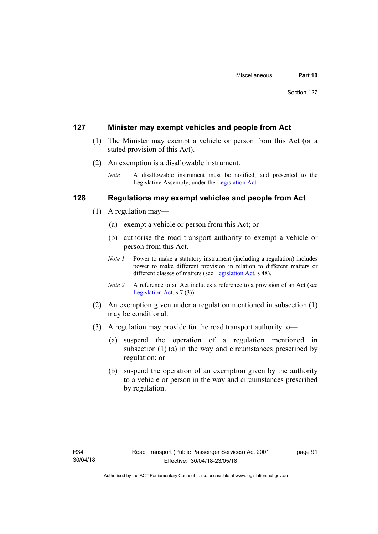### **127 Minister may exempt vehicles and people from Act**

- (1) The Minister may exempt a vehicle or person from this Act (or a stated provision of this Act).
- (2) An exemption is a disallowable instrument.
	- *Note* A disallowable instrument must be notified, and presented to the Legislative Assembly, under the [Legislation Act.](http://www.legislation.act.gov.au/a/2001-14)

## **128 Regulations may exempt vehicles and people from Act**

- (1) A regulation may—
	- (a) exempt a vehicle or person from this Act; or
	- (b) authorise the road transport authority to exempt a vehicle or person from this Act.
	- *Note 1* Power to make a statutory instrument (including a regulation) includes power to make different provision in relation to different matters or different classes of matters (see [Legislation Act,](http://www.legislation.act.gov.au/a/2001-14) s 48).
	- *Note 2* A reference to an Act includes a reference to a provision of an Act (see [Legislation Act,](http://www.legislation.act.gov.au/a/2001-14) s 7 (3)).
- (2) An exemption given under a regulation mentioned in subsection (1) may be conditional.
- (3) A regulation may provide for the road transport authority to—
	- (a) suspend the operation of a regulation mentioned in subsection (1) (a) in the way and circumstances prescribed by regulation; or
	- (b) suspend the operation of an exemption given by the authority to a vehicle or person in the way and circumstances prescribed by regulation.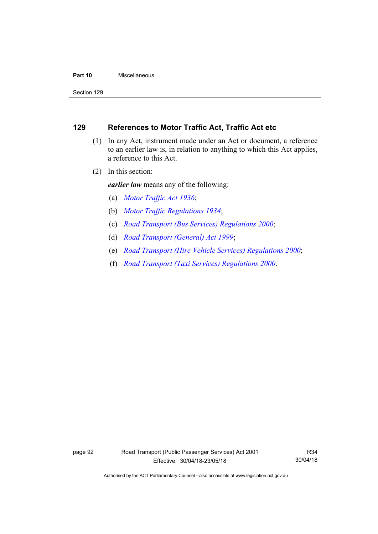#### **Part 10** Miscellaneous

Section 129

# **129 References to Motor Traffic Act, Traffic Act etc**

- (1) In any Act, instrument made under an Act or document, a reference to an earlier law is, in relation to anything to which this Act applies, a reference to this Act.
- (2) In this section:

*earlier law* means any of the following:

- (a) *[Motor Traffic Act 1936](http://www.legislation.act.gov.au/a/1936-45)*;
- (b) *[Motor Traffic Regulations 1934](http://www.legislation.act.gov.au/sl/1934-6)*;
- (c) *[Road Transport \(Bus Services\) Regulations 2000](http://www.legislation.act.gov.au/sl/2000-9)*;
- (d) *[Road Transport \(General\) Act 1999](http://www.legislation.act.gov.au/a/1999-77)*;
- (e) *[Road Transport \(Hire Vehicle Services\) Regulations 2000](http://www.legislation.act.gov.au/sl/2000-4)*;
- (f) *[Road Transport \(Taxi Services\) Regulations 2000](http://www.legislation.act.gov.au/sl/2000-5)*.

Authorised by the ACT Parliamentary Counsel—also accessible at www.legislation.act.gov.au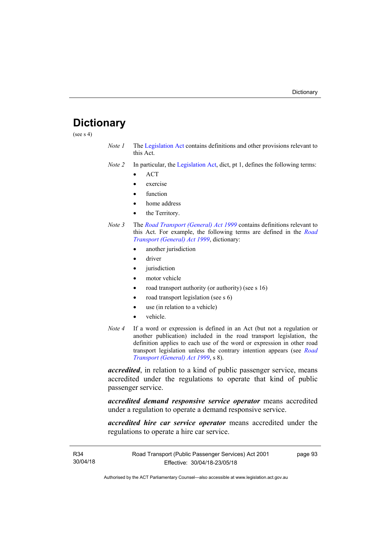# **Dictionary**

(see s 4)

- *Note 1* The [Legislation Act](http://www.legislation.act.gov.au/a/2001-14) contains definitions and other provisions relevant to this Act.
- *Note 2* In particular, the [Legislation Act,](http://www.legislation.act.gov.au/a/2001-14) dict, pt 1, defines the following terms:
	- ACT
	- exercise
	- function
	- home address
	- the Territory.
- *Note 3* The *[Road Transport \(General\) Act 1999](http://www.legislation.act.gov.au/a/1999-77)* contains definitions relevant to this Act. For example, the following terms are defined in the *[Road](http://www.legislation.act.gov.au/a/1999-77)  [Transport \(General\) Act 1999](http://www.legislation.act.gov.au/a/1999-77)*, dictionary:
	- another jurisdiction
	- driver
	- jurisdiction
	- motor vehicle
	- road transport authority (or authority) (see s 16)
	- road transport legislation (see s 6)
	- use (in relation to a vehicle)
	- vehicle.
- *Note 4* If a word or expression is defined in an Act (but not a regulation or another publication) included in the road transport legislation, the definition applies to each use of the word or expression in other road transport legislation unless the contrary intention appears (see *[Road](http://www.legislation.act.gov.au/a/1999-77)  [Transport \(General\) Act 1999](http://www.legislation.act.gov.au/a/1999-77)*, s 8).

*accredited*, in relation to a kind of public passenger service, means accredited under the regulations to operate that kind of public passenger service.

*accredited demand responsive service operator* means accredited under a regulation to operate a demand responsive service.

*accredited hire car service operator* means accredited under the regulations to operate a hire car service.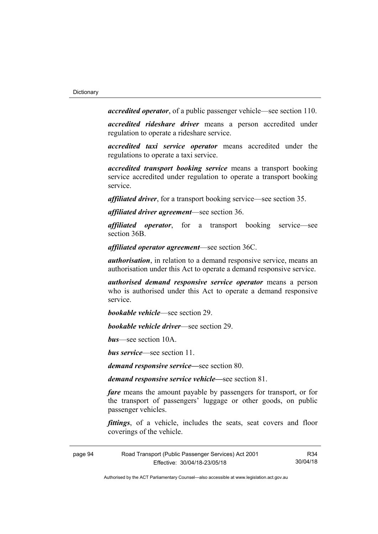*accredited operator*, of a public passenger vehicle—see section 110.

*accredited rideshare driver* means a person accredited under regulation to operate a rideshare service.

*accredited taxi service operator* means accredited under the regulations to operate a taxi service.

*accredited transport booking service* means a transport booking service accredited under regulation to operate a transport booking service.

*affiliated driver*, for a transport booking service—see section 35.

*affiliated driver agreement*—see section 36.

*affiliated operator*, for a transport booking service—see section 36B.

*affiliated operator agreement*—see section 36C.

*authorisation*, in relation to a demand responsive service, means an authorisation under this Act to operate a demand responsive service.

*authorised demand responsive service operator* means a person who is authorised under this Act to operate a demand responsive service.

*bookable vehicle*—see section 29.

*bookable vehicle driver*—see section 29.

*bus*—see section 10A.

*bus service*—see section 11.

*demand responsive service—*see section 80.

*demand responsive service vehicle—*see section 81.

*fare* means the amount payable by passengers for transport, or for the transport of passengers' luggage or other goods, on public passenger vehicles.

*fittings*, of a vehicle, includes the seats, seat covers and floor coverings of the vehicle.

page 94 Road Transport (Public Passenger Services) Act 2001 Effective: 30/04/18-23/05/18

R34 30/04/18

Authorised by the ACT Parliamentary Counsel—also accessible at www.legislation.act.gov.au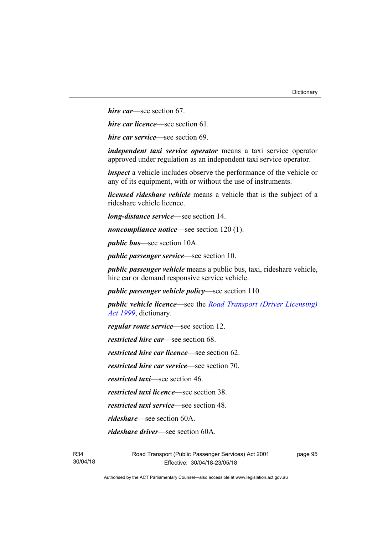*hire car*—see section 67.

*hire car licence*—see section 61.

*hire car service*—see section 69.

*independent taxi service operator* means a taxi service operator approved under regulation as an independent taxi service operator.

*inspect* a vehicle includes observe the performance of the vehicle or any of its equipment, with or without the use of instruments.

*licensed rideshare vehicle* means a vehicle that is the subject of a rideshare vehicle licence.

*long-distance service*—see section 14.

*noncompliance notice*—see section 120 (1).

*public bus*—see section 10A.

*public passenger service*—see section 10.

*public passenger vehicle* means a public bus, taxi, rideshare vehicle, hire car or demand responsive service vehicle.

*public passenger vehicle policy*—see section 110.

*public vehicle licence*—see the *[Road Transport \(Driver Licensing\)](http://www.legislation.act.gov.au/a/1999-78)  [Act 1999](http://www.legislation.act.gov.au/a/1999-78)*, dictionary.

*regular route service*—see section 12.

*restricted hire car*—see section 68.

*restricted hire car licence*—see section 62.

*restricted hire car service*—see section 70.

*restricted taxi*—see section 46.

*restricted taxi licence*—see section 38.

*restricted taxi service*—see section 48.

*rideshare*—see section 60A.

*rideshare driver*—see section 60A.

R34 30/04/18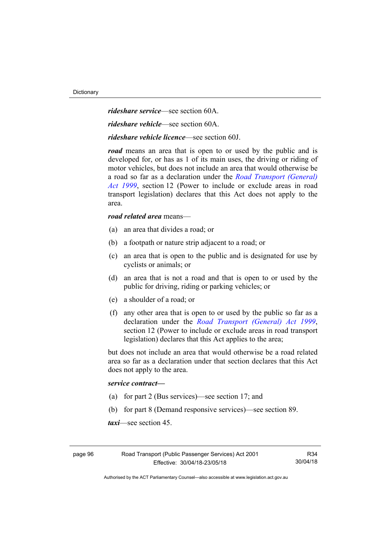*rideshare service*—see section 60A.

*rideshare vehicle*—see section 60A.

*rideshare vehicle licence*—see section 60J.

*road* means an area that is open to or used by the public and is developed for, or has as 1 of its main uses, the driving or riding of motor vehicles, but does not include an area that would otherwise be a road so far as a declaration under the *[Road Transport \(General\)](http://www.legislation.act.gov.au/a/1999-77)  [Act 1999](http://www.legislation.act.gov.au/a/1999-77)*, section 12 (Power to include or exclude areas in road transport legislation) declares that this Act does not apply to the area.

#### *road related area* means—

- (a) an area that divides a road; or
- (b) a footpath or nature strip adjacent to a road; or
- (c) an area that is open to the public and is designated for use by cyclists or animals; or
- (d) an area that is not a road and that is open to or used by the public for driving, riding or parking vehicles; or
- (e) a shoulder of a road; or
- (f) any other area that is open to or used by the public so far as a declaration under the *[Road Transport \(General\) Act 1999](http://www.legislation.act.gov.au/a/1999-77)*, section 12 (Power to include or exclude areas in road transport legislation) declares that this Act applies to the area;

but does not include an area that would otherwise be a road related area so far as a declaration under that section declares that this Act does not apply to the area.

#### *service contract—*

- (a) for part 2 (Bus services)—see section 17; and
- (b) for part 8 (Demand responsive services)—see section 89.

*taxi*—see section 45.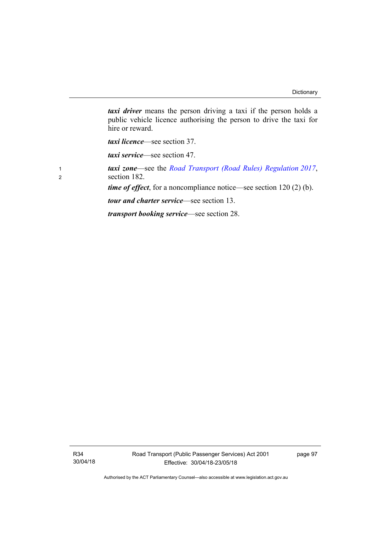*taxi driver* means the person driving a taxi if the person holds a public vehicle licence authorising the person to drive the taxi for hire or reward.

*taxi licence*—see section 37.

*taxi service*—see section 47.

<sup>1</sup>*taxi zone*—see the *[Road Transport \(Road Rules\) Regulation 2017](http://www.legislation.act.gov.au/sl/2017-43/default.asp)*, <sup>2</sup>section 182.

*time of effect*, for a noncompliance notice—see section 120 (2) (b).

*tour and charter service*—see section 13.

*transport booking service*—see section 28.

R34 30/04/18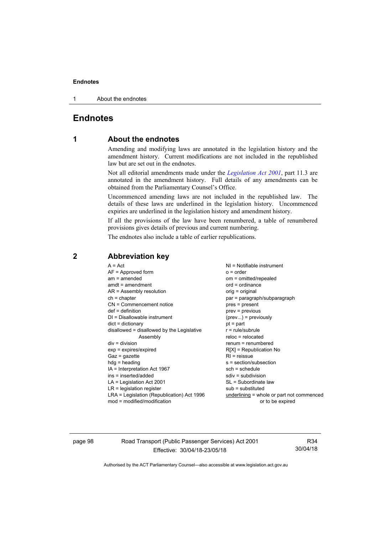#### **Endnotes**

1 About the endnotes

# **Endnotes**

## **1 About the endnotes**

Amending and modifying laws are annotated in the legislation history and the amendment history. Current modifications are not included in the republished law but are set out in the endnotes.

Not all editorial amendments made under the *[Legislation Act 2001](http://www.legislation.act.gov.au/a/2001-14/default.asp)*, part 11.3 are annotated in the amendment history. Full details of any amendments can be obtained from the Parliamentary Counsel's Office.

Uncommenced amending laws are not included in the republished law. The details of these laws are underlined in the legislation history. Uncommenced expiries are underlined in the legislation history and amendment history.

If all the provisions of the law have been renumbered, a table of renumbered provisions gives details of previous and current numbering.

The endnotes also include a table of earlier republications.

| $A = Act$<br>$AF =$ Approved form<br>$am = amended$<br>$amdt = amendment$<br>$AR = Assembly resolution$<br>$ch = chapter$<br>CN = Commencement notice<br>$def = definition$<br>$DI = Disallowable instrument$<br>$dict = dictionary$<br>disallowed = disallowed by the Legislative<br>Assembly<br>$div = division$<br>$exp = expires/expired$<br>$Gaz = qazette$<br>$hdg = heading$<br>IA = Interpretation Act 1967<br>ins = inserted/added<br>$LA =$ Legislation Act 2001<br>$LR =$ legislation register | $NI = Notifiable$ instrument<br>$o = order$<br>om = omitted/repealed<br>$ord = ordinance$<br>orig = original<br>par = paragraph/subparagraph<br>pres = present<br>$prev = previous$<br>$(\text{prev})$ = previously<br>$pt = part$<br>$r = rule/subrule$<br>$reloc = relocated$<br>$renum = renumbered$<br>$R[X]$ = Republication No<br>$RI =$ reissue<br>$s = section/subsection$<br>$sch = schedule$<br>$sdiv = subdivision$<br>SL = Subordinate law |
|-----------------------------------------------------------------------------------------------------------------------------------------------------------------------------------------------------------------------------------------------------------------------------------------------------------------------------------------------------------------------------------------------------------------------------------------------------------------------------------------------------------|--------------------------------------------------------------------------------------------------------------------------------------------------------------------------------------------------------------------------------------------------------------------------------------------------------------------------------------------------------------------------------------------------------------------------------------------------------|
|                                                                                                                                                                                                                                                                                                                                                                                                                                                                                                           |                                                                                                                                                                                                                                                                                                                                                                                                                                                        |
|                                                                                                                                                                                                                                                                                                                                                                                                                                                                                                           | $sub =$ substituted                                                                                                                                                                                                                                                                                                                                                                                                                                    |
| LRA = Legislation (Republication) Act 1996<br>$mod = modified/modification$                                                                                                                                                                                                                                                                                                                                                                                                                               | underlining = whole or part not commenced<br>or to be expired                                                                                                                                                                                                                                                                                                                                                                                          |

# **2 Abbreviation key**

page 98 Road Transport (Public Passenger Services) Act 2001 Effective: 30/04/18-23/05/18

R34 30/04/18

Authorised by the ACT Parliamentary Counsel—also accessible at www.legislation.act.gov.au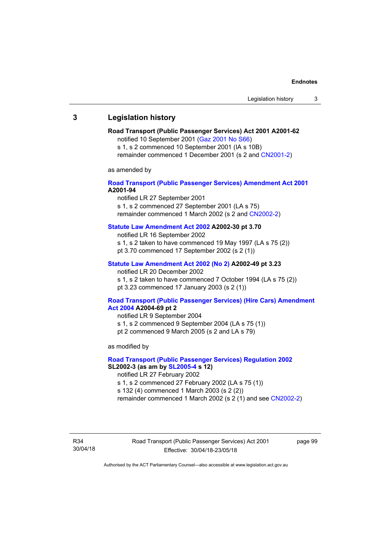## **3 Legislation history**

## **Road Transport (Public Passenger Services) Act 2001 A2001-62**

notified 10 September 2001 [\(Gaz 2001 No S66\)](http://www.legislation.act.gov.au/gaz/2001-S66/default.asp)

s 1, s 2 commenced 10 September 2001 (IA s 10B) remainder commenced 1 December 2001 (s 2 and [CN2001-2\)](http://www.legislation.act.gov.au/cn/2001-2/default.asp)

as amended by

## **[Road Transport \(Public Passenger Services\) Amendment Act 2001](http://www.legislation.act.gov.au/a/2001-94) A2001-94**

notified LR 27 September 2001

s 1, s 2 commenced 27 September 2001 (LA s 75) remainder commenced 1 March 2002 (s 2 and [CN2002-2\)](http://www.legislation.act.gov.au/cn/2002-2/default.asp)

## **[Statute Law Amendment Act 2002](http://www.legislation.act.gov.au/a/2002-30) A2002-30 pt 3.70**

notified LR 16 September 2002

- s 1, s 2 taken to have commenced 19 May 1997 (LA s 75 (2))
- pt 3.70 commenced 17 September 2002 (s 2 (1))

## **[Statute Law Amendment Act 2002 \(No 2\)](http://www.legislation.act.gov.au/a/2002-49) A2002-49 pt 3.23**

notified LR 20 December 2002 s 1, s 2 taken to have commenced 7 October 1994 (LA s 75 (2)) pt 3.23 commenced 17 January 2003 (s 2 (1))

#### **[Road Transport \(Public Passenger Services\) \(Hire Cars\) Amendment](http://www.legislation.act.gov.au/a/2004-69)  [Act 2004](http://www.legislation.act.gov.au/a/2004-69) A2004-69 pt 2**

notified LR 9 September 2004 s 1, s 2 commenced 9 September 2004 (LA s 75 (1)) pt 2 commenced 9 March 2005 (s 2 and LA s 79)

as modified by

## **[Road Transport \(Public Passenger Services\) Regulation 2002](http://www.legislation.act.gov.au/sl/2002-3) SL2002-3 (as am by [SL2005-4](http://www.legislation.act.gov.au/sl/2005-4) s 12)**

notified LR 27 February 2002

s 1, s 2 commenced 27 February 2002 (LA s 75 (1))

s 132 (4) commenced 1 March 2003 (s 2 (2))

remainder commenced 1 March 2002 (s 2 (1) and see [CN2002-2](http://www.legislation.act.gov.au/cn/2002-2/default.asp))

R34 30/04/18 Road Transport (Public Passenger Services) Act 2001 Effective: 30/04/18-23/05/18

page 99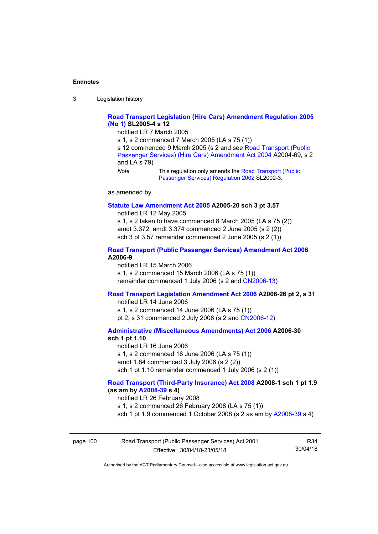3 Legislation history

## **[Road Transport Legislation \(Hire Cars\) Amendment Regulation 2005](http://www.legislation.act.gov.au/sl/2005-4)  [\(No 1\)](http://www.legislation.act.gov.au/sl/2005-4) SL2005-4 s 12**

notified LR 7 March 2005

s 1, s 2 commenced 7 March 2005 (LA s 75 (1))

s 12 commenced 9 March 2005 (s 2 and see [Road Transport \(Public](http://www.legislation.act.gov.au/a/2004-69)  [Passenger Services\) \(Hire Cars\) Amendment Act 2004](http://www.legislation.act.gov.au/a/2004-69) A2004-69, s 2 and LA s 79)

*Note* This regulation only amends the Road Transport (Public [Passenger Services\) Regulation 2002](http://www.legislation.act.gov.au/sl/2002-3) SL2002-3.

as amended by

#### **[Statute Law Amendment Act 2005](http://www.legislation.act.gov.au/a/2005-20) A2005-20 sch 3 pt 3.57**

notified LR 12 May 2005

s 1, s 2 taken to have commenced 8 March 2005 (LA s 75 (2)) amdt 3.372, amdt 3.374 commenced 2 June 2005 (s 2 (2)) sch 3 pt 3.57 remainder commenced 2 June 2005 (s 2 (1))

## **[Road Transport \(Public Passenger Services\) Amendment Act 2006](http://www.legislation.act.gov.au/a/2006-9) A2006-9**

notified LR 15 March 2006 s 1, s 2 commenced 15 March 2006 (LA s 75 (1)) remainder commenced 1 July 2006 (s 2 and [CN2006-13](http://www.legislation.act.gov.au/cn/2006-13/default.asp))

## **[Road Transport Legislation Amendment Act 2006](http://www.legislation.act.gov.au/a/2006-26) A2006-26 pt 2, s 31**

notified LR 14 June 2006 s 1, s 2 commenced 14 June 2006 (LA s 75 (1)) pt 2, s 31 commenced 2 July 2006 (s 2 and [CN2006-12](http://www.legislation.act.gov.au/cn/2006-12/default.asp))

**[Administrative \(Miscellaneous Amendments\) Act 2006](http://www.legislation.act.gov.au/a/2006-30) A2006-30** 

## **sch 1 pt 1.10**

notified LR 16 June 2006 s 1, s 2 commenced 16 June 2006 (LA s 75 (1)) amdt 1.84 commenced 3 July 2006 (s 2 (2)) sch 1 pt 1.10 remainder commenced 1 July 2006 (s 2 (1))

## **[Road Transport \(Third-Party Insurance\) Act 2008](http://www.legislation.act.gov.au/a/2008-1) A2008-1 sch 1 pt 1.9 (as am by [A2008-39](http://www.legislation.act.gov.au/a/2008-39) s 4)**

notified LR 26 February 2008

s 1, s 2 commenced 26 February 2008 (LA s 75 (1))

sch 1 pt 1.9 commenced 1 October 2008 (s 2 as am by [A2008-39](http://www.legislation.act.gov.au/a/2008-39) s 4)

| page 100 | Road Transport (Public Passenger Services) Act 2001 | R34      |
|----------|-----------------------------------------------------|----------|
|          | Effective: 30/04/18-23/05/18                        | 30/04/18 |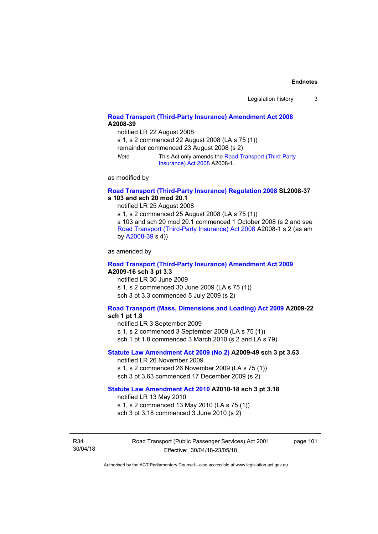## **[Road Transport \(Third-Party Insurance\) Amendment Act 2008](http://www.legislation.act.gov.au/a/2008-39) A2008-39**

notified LR 22 August 2008

s 1, s 2 commenced 22 August 2008 (LA s 75 (1))

remainder commenced 23 August 2008 (s 2)

*Note* This Act only amends the [Road Transport \(Third-Party](http://www.legislation.act.gov.au/a/2008-1)  [Insurance\) Act 2008](http://www.legislation.act.gov.au/a/2008-1) A2008-1.

as modified by

## **[Road Transport \(Third-Party Insurance\) Regulation 2008](http://www.legislation.act.gov.au/sl/2008-37) SL2008-37 s 103 and sch 20 mod 20.1**

notified LR 25 August 2008

s 1, s 2 commenced 25 August 2008 (LA s 75 (1))

s 103 and sch 20 mod 20.1 commenced 1 October 2008 (s 2 and see [Road Transport \(Third-Party Insurance\) Act 2008](http://www.legislation.act.gov.au/a/2008-1) A2008-1 s 2 (as am by [A2008-39](http://www.legislation.act.gov.au/a/2008-39) s 4))

as amended by

#### **[Road Transport \(Third-Party Insurance\) Amendment Act 2009](http://www.legislation.act.gov.au/a/2009-16) A2009-16 sch 3 pt 3.3**

notified LR 30 June 2009 s 1, s 2 commenced 30 June 2009 (LA s 75 (1)) sch 3 pt 3.3 commenced 5 July 2009 (s 2)

## **[Road Transport \(Mass, Dimensions and Loading\) Act 2009](http://www.legislation.act.gov.au/a/2009-22/default.asp) A2009-22**

#### **sch 1 pt 1.8**

notified LR 3 September 2009

s 1, s 2 commenced 3 September 2009 (LA s 75 (1))

sch 1 pt 1.8 commenced 3 March 2010 (s 2 and LA s 79)

## **[Statute Law Amendment Act 2009 \(No 2\)](http://www.legislation.act.gov.au/a/2009-49) A2009-49 sch 3 pt 3.63**

notified LR 26 November 2009 s 1, s 2 commenced 26 November 2009 (LA s 75 (1)) sch 3 pt 3.63 commenced 17 December 2009 (s 2)

#### **[Statute Law Amendment Act 2010](http://www.legislation.act.gov.au/a/2010-18) A2010-18 sch 3 pt 3.18**

notified LR 13 May 2010

s 1, s 2 commenced 13 May 2010 (LA s 75 (1))

sch 3 pt 3.18 commenced 3 June 2010 (s 2)

R34 30/04/18 Road Transport (Public Passenger Services) Act 2001 Effective: 30/04/18-23/05/18

page 101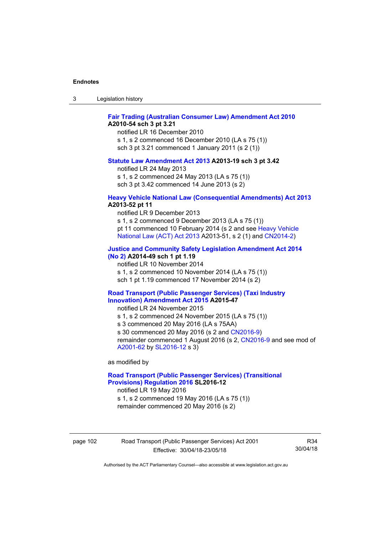| ు | Legislation history |  |
|---|---------------------|--|
|---|---------------------|--|

## **[Fair Trading \(Australian Consumer Law\) Amendment Act 2010](http://www.legislation.act.gov.au/a/2010-54) A2010-54 sch 3 pt 3.21**

notified LR 16 December 2010 s 1, s 2 commenced 16 December 2010 (LA s 75 (1)) sch 3 pt 3.21 commenced 1 January 2011 (s 2 (1))

#### **[Statute Law Amendment Act 2013](http://www.legislation.act.gov.au/a/2013-19) A2013-19 sch 3 pt 3.42**

notified LR 24 May 2013

s 1, s 2 commenced 24 May 2013 (LA s 75 (1)) sch 3 pt 3.42 commenced 14 June 2013 (s 2)

### **[Heavy Vehicle National Law \(Consequential Amendments\) Act 2013](http://www.legislation.act.gov.au/a/2013-52) A2013-52 pt 11**

notified LR 9 December 2013

s 1, s 2 commenced 9 December 2013 (LA s 75 (1)) pt 11 commenced 10 February 2014 (s 2 and see [Heavy Vehicle](http://www.legislation.act.gov.au/a/2013-51/default.asp)  [National Law \(ACT\) Act 2013](http://www.legislation.act.gov.au/a/2013-51/default.asp) A2013-51, s 2 (1) and [CN2014-2](http://www.legislation.act.gov.au/cn/2014-2/default.asp))

## **[Justice and Community Safety Legislation Amendment Act 2014](http://www.legislation.act.gov.au/a/2014-49)**

**[\(No 2\)](http://www.legislation.act.gov.au/a/2014-49) A2014-49 sch 1 pt 1.19** 

notified LR 10 November 2014

s 1, s 2 commenced 10 November 2014 (LA s 75 (1))

sch 1 pt 1.19 commenced 17 November 2014 (s 2)

### **[Road Transport \(Public Passenger Services\) \(Taxi Industry](http://www.legislation.act.gov.au/a/2015-47/default.asp)  [Innovation\) Amendment Act 2015](http://www.legislation.act.gov.au/a/2015-47/default.asp) A2015-47**

notified LR 24 November 2015

s 1, s 2 commenced 24 November 2015 (LA s 75 (1))

s 3 commenced 20 May 2016 (LA s 75AA)

s 30 commenced 20 May 2016 (s 2 and [CN2016-9](http://www.legislation.act.gov.au/cn/2016-9/default.asp))

remainder commenced 1 August 2016 (s 2, [CN2016-9](http://www.legislation.act.gov.au/cn/2016-9/default.asp) and see mod of [A2001-62](http://www.legislation.act.gov.au/a/2001-62/default.asp) by [SL2016-12](http://www.legislation.act.gov.au/sl/2016-12/default.asp) s 3)

as modified by

## **[Road Transport \(Public Passenger Services\) \(Transitional](http://www.legislation.act.gov.au/sl/2016-12/default.asp)  [Provisions\) Regulation 2016](http://www.legislation.act.gov.au/sl/2016-12/default.asp) SL2016-12**

notified LR 19 May 2016 s 1, s 2 commenced 19 May 2016 (LA s 75 (1))

remainder commenced 20 May 2016 (s 2)

page 102 Road Transport (Public Passenger Services) Act 2001 Effective: 30/04/18-23/05/18

R34 30/04/18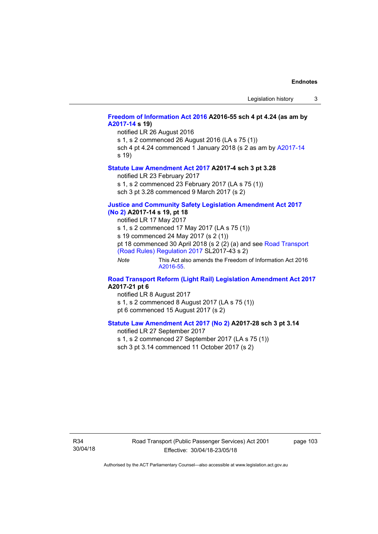## **[Freedom of Information Act 2016](http://www.legislation.act.gov.au/a/2016-55/default.asp) A2016-55 sch 4 pt 4.24 (as am by [A2017-14](http://www.legislation.act.gov.au/a/2017-14) s 19)**

notified LR 26 August 2016

s 1, s 2 commenced 26 August 2016 (LA s 75 (1))

sch 4 pt 4.24 commenced 1 January 2018 (s 2 as am by [A2017-14](http://www.legislation.act.gov.au/a/2017-14) s 19)

#### **[Statute Law Amendment Act 2017](http://www.legislation.act.gov.au/a/2017-4/default.asp) A2017-4 sch 3 pt 3.28**

notified LR 23 February 2017

s 1, s 2 commenced 23 February 2017 (LA s 75 (1))

sch 3 pt 3.28 commenced 9 March 2017 (s 2)

# **[Justice and Community Safety Legislation Amendment Act 2017](http://www.legislation.act.gov.au/a/2017-14/default.asp)**

**[\(No 2\)](http://www.legislation.act.gov.au/a/2017-14/default.asp) A2017-14 s 19, pt 18** 

notified LR 17 May 2017

s 1, s 2 commenced 17 May 2017 (LA s 75 (1))

s 19 commenced 24 May 2017 (s 2 (1))

pt 18 commenced 30 April 2018 (s 2 (2) (a) and see [Road Transport](http://www.legislation.act.gov.au/sl/2017-43/default.asp)  [\(Road Rules\) Regulation 2017](http://www.legislation.act.gov.au/sl/2017-43/default.asp) SL2017-43 s 2)

*Note* This Act also amends the Freedom of Information Act 2016 [A2016-55](http://www.legislation.act.gov.au/a/2016-55/default.asp).

### **[Road Transport Reform \(Light Rail\) Legislation Amendment Act 2017](http://www.legislation.act.gov.au/a/2017-21/default.asp) A2017-21 pt 6**

notified LR 8 August 2017 s 1, s 2 commenced 8 August 2017 (LA s 75 (1)) pt 6 commenced 15 August 2017 (s 2)

## **[Statute Law Amendment Act 2017 \(No 2\)](http://www.legislation.act.gov.au/a/2017-28/default.asp) A2017-28 sch 3 pt 3.14**

notified LR 27 September 2017 s 1, s 2 commenced 27 September 2017 (LA s 75 (1)) sch 3 pt 3.14 commenced 11 October 2017 (s 2)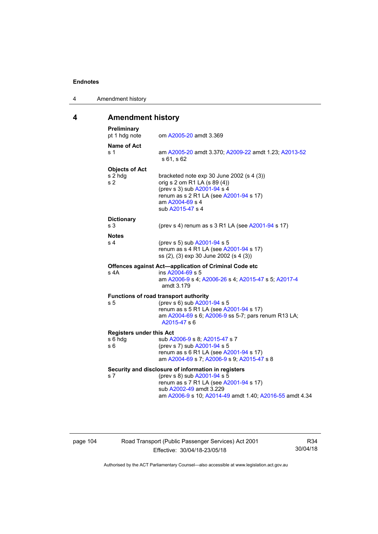4 Amendment history

# **4 Amendment history**

| Preliminary<br>pt 1 hdg note                       | om A2005-20 amdt 3.369                                                                                                                                                                                             |
|----------------------------------------------------|--------------------------------------------------------------------------------------------------------------------------------------------------------------------------------------------------------------------|
| Name of Act<br>s 1                                 | am A2005-20 amdt 3.370; A2009-22 amdt 1.23; A2013-52<br>s 61, s 62                                                                                                                                                 |
| <b>Objects of Act</b><br>s 2 hdg<br>s <sub>2</sub> | bracketed note $exp 30$ June 2002 (s 4 (3))<br>orig s 2 om R1 LA (s 89 (4))<br>(prev s 3) sub A2001-94 s 4<br>renum as s 2 R1 LA (see A2001-94 s 17)<br>am A2004-69 s 4<br>sub A2015-47 s 4                        |
| <b>Dictionary</b><br>s <sub>3</sub>                | (prev s 4) renum as s 3 R1 LA (see A2001-94 s 17)                                                                                                                                                                  |
| <b>Notes</b><br>s 4                                | (prev s 5) sub A2001-94 s 5<br>renum as s 4 R1 LA (see A2001-94 s 17)<br>ss (2), (3) exp 30 June 2002 (s 4 (3))                                                                                                    |
| s 4A                                               | Offences against Act-application of Criminal Code etc<br>ins A2004-69 s 5<br>am A2006-9 s 4; A2006-26 s 4; A2015-47 s 5; A2017-4<br>amdt 3.179                                                                     |
| s 5                                                | Functions of road transport authority<br>(prev s 6) sub A2001-94 s 5<br>renum as s 5 R1 LA (see A2001-94 s 17)<br>am A2004-69 s 6; A2006-9 ss 5-7; pars renum R13 LA;<br>A2015-47 s 6                              |
| <b>Registers under this Act</b><br>s 6 hdg<br>s 6  | sub A2006-9 s 8; A2015-47 s 7<br>(prev s 7) sub A2001-94 s 5<br>renum as s 6 R1 LA (see A2001-94 s 17)<br>am A2004-69 s 7; A2006-9 s 9; A2015-47 s 8                                                               |
| s 7                                                | Security and disclosure of information in registers<br>(prev s 8) sub A2001-94 s 5<br>renum as s 7 R1 LA (see A2001-94 s 17)<br>sub A2002-49 amdt 3.229<br>am A2006-9 s 10; A2014-49 amdt 1.40; A2016-55 amdt 4.34 |

page 104 Road Transport (Public Passenger Services) Act 2001 Effective: 30/04/18-23/05/18

R34 30/04/18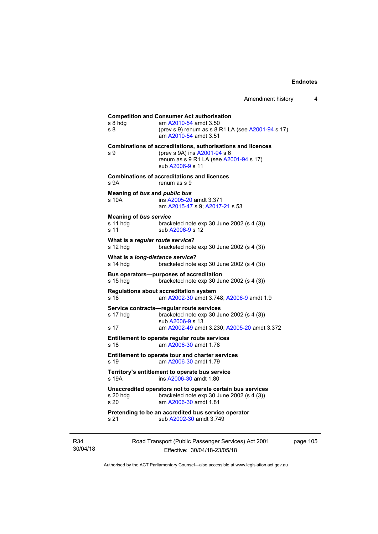## **Competition and Consumer Act authorisation**  s 8 hdg am [A2010-54](http://www.legislation.act.gov.au/a/2010-54) amdt 3.50 s 8 (prev s 9) renum as s 8 R1 LA (see [A2001-94](http://www.legislation.act.gov.au/a/2001-94) s 17) am [A2010-54](http://www.legislation.act.gov.au/a/2010-54) amdt 3.51 **Combinations of accreditations, authorisations and licences**  s 9 (prev s 9A) ins [A2001-94](http://www.legislation.act.gov.au/a/2001-94) s 6 renum as s 9 R1 LA (see [A2001-94](http://www.legislation.act.gov.au/a/2001-94) s 17) sub [A2006-9](http://www.legislation.act.gov.au/a/2006-9) s 11 **Combinations of accreditations and licences**  s 9A renum as s 9 **Meaning of** *bus* **and** *public bus* s 10A ins [A2005-20](http://www.legislation.act.gov.au/a/2005-20) amdt 3.371 am [A2015-47](http://www.legislation.act.gov.au/a/2015-47) s 9; [A2017-21](http://www.legislation.act.gov.au/a/2017-21/default.asp) s 53 **Meaning of** *bus service* s 11 hdg bracketed note exp 30 June 2002 (s 4 (3)) s 11 sub [A2006-9](http://www.legislation.act.gov.au/a/2006-9) s 12 **What is a** *regular route service***?**  s 12 hdg bracketed note exp 30 June 2002 (s 4 (3)) **What is a** *long-distance service***?**  s 14 hdg bracketed note exp 30 June 2002 (s 4 (3)) **Bus operators—purposes of accreditation**  s 15 hdg bracketed note exp 30 June 2002 (s 4 (3)) **Regulations about accreditation system**  s 16 am [A2002-30](http://www.legislation.act.gov.au/a/2002-30) amdt 3.748; [A2006-9](http://www.legislation.act.gov.au/a/2006-9) amdt 1.9 **Service contracts—regular route services**  s 17 hdg bracketed note exp 30 June 2002 (s 4 (3)) sub [A2006-9](http://www.legislation.act.gov.au/a/2006-9) s 13 s 17 am [A2002-49](http://www.legislation.act.gov.au/a/2002-49) amdt 3.230; [A2005-20](http://www.legislation.act.gov.au/a/2005-20) amdt 3.372 **Entitlement to operate regular route services**  s 18 am [A2006-30](http://www.legislation.act.gov.au/a/2006-30) amdt 1.78 **Entitlement to operate tour and charter services**  s 19 am [A2006-30](http://www.legislation.act.gov.au/a/2006-30) amdt 1.79 **Territory's entitlement to operate bus service**  s 19A ins [A2006-30](http://www.legislation.act.gov.au/a/2006-30) amdt 1.80 **Unaccredited operators not to operate certain bus services**  s 20 hdg bracketed note exp 30 June 2002 (s 4 (3)) s 20 am [A2006-30](http://www.legislation.act.gov.au/a/2006-30) amdt 1.81 **Pretending to be an accredited bus service operator**  s 21 sub [A2002-30](http://www.legislation.act.gov.au/a/2002-30) amdt 3.749

R34 30/04/18 Road Transport (Public Passenger Services) Act 2001 Effective: 30/04/18-23/05/18

page 105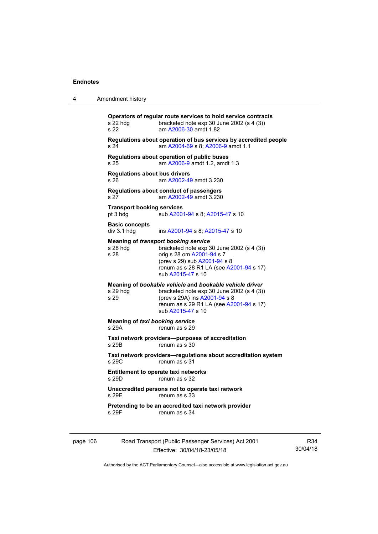| 4        | Amendment history                                                                                                                                                                                                                           |
|----------|---------------------------------------------------------------------------------------------------------------------------------------------------------------------------------------------------------------------------------------------|
|          | Operators of regular route services to hold service contracts<br>s 22 hdg<br>bracketed note $exp 30$ June 2002 (s 4 (3))<br>s 22<br>am A2006-30 amdt 1.82                                                                                   |
|          | Regulations about operation of bus services by accredited people<br>am A2004-69 s 8; A2006-9 amdt 1.1<br>s 24                                                                                                                               |
|          | Regulations about operation of public buses<br>am A2006-9 amdt 1.2, amdt 1.3<br>s <sub>25</sub>                                                                                                                                             |
|          | <b>Regulations about bus drivers</b><br>am A2002-49 amdt 3.230<br>s 26                                                                                                                                                                      |
|          | Regulations about conduct of passengers<br>s 27<br>am A2002-49 amdt 3.230                                                                                                                                                                   |
|          | <b>Transport booking services</b><br>sub A2001-94 s 8; A2015-47 s 10<br>pt 3 hdg                                                                                                                                                            |
|          | <b>Basic concepts</b><br>div 3.1 hdg<br>ins A2001-94 s 8; A2015-47 s 10                                                                                                                                                                     |
|          | <b>Meaning of transport booking service</b><br>$s$ 28 hdg<br>bracketed note exp 30 June 2002 (s 4 (3))<br>s 28<br>orig s 28 om A2001-94 s 7<br>(prev s 29) sub A2001-94 s 8<br>renum as s 28 R1 LA (see A2001-94 s 17)<br>sub A2015-47 s 10 |
|          | Meaning of bookable vehicle and bookable vehicle driver<br>s 29 hdg<br>bracketed note $exp 30$ June 2002 (s 4 (3))<br>s 29<br>(prev s 29A) ins A2001-94 s 8<br>renum as s 29 R1 LA (see A2001-94 s 17)<br>sub A2015-47 s 10                 |
|          | <b>Meaning of taxi booking service</b><br>s 29A<br>renum as s 29                                                                                                                                                                            |
|          | Taxi network providers-purposes of accreditation<br>s 29B<br>renum as s 30                                                                                                                                                                  |
|          | Taxi network providers-regulations about accreditation system<br>s 29C<br>renum as s 31                                                                                                                                                     |
|          | <b>Entitlement to operate taxi networks</b><br>s 29D.<br>renum as s 32                                                                                                                                                                      |
|          | Unaccredited persons not to operate taxi network<br>s 29E<br>renum as s 33                                                                                                                                                                  |
|          | Pretending to be an accredited taxi network provider<br>s 29F<br>renum as s 34                                                                                                                                                              |
| page 106 | Road Transport (Public Passenger Services) Act 2001                                                                                                                                                                                         |

.<br>Effective: 30/04/18-23/05/18

R34 30/04/18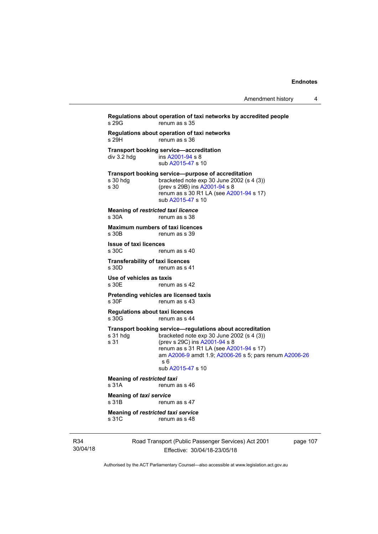```
Regulations about operation of taxi networks by accredited people 
                   renum as s 35
Regulations about operation of taxi networks 
s 29H renum as s 36
Transport booking service—accreditation<br>div 3.2 hdg ins A2001-94 s 8
                   A2001-94 s 8
                    sub A2015-47 s 10 
Transport booking service—purpose of accreditation 
s 30 hdg bracketed note exp 30 June 2002 (s 4 (3)) 
s 30 (prev s 29B) ins A2001-94 s 8 
                   renum as s 30 R1 LA (see A2001-94 s 17)
                   sub A2015-47 s 10 
Meaning of restricted taxi licence 
s 30A renum as s 38
Maximum numbers of taxi licences 
                  renum as s 39
Issue of taxi licences 
s 30C renum as s 40
Transferability of taxi licences<br>s 30D renum as s 4
                  renum as s 41
Use of vehicles as taxis 
s 30E renum as s 42
Pretending vehicles are licensed taxis 
s 30F renum as s 43
Regulations about taxi licences 
s 30G renum as s 44
Transport booking service—regulations about accreditation<br>s 31 hdg bracketed note exp 30 June 2002 (s 4 (3))
                   bracketed note exp 30 June 2002 (s 4 (3))
s 31 (prev s 29C) ins A2001-94 s 8 
                   renum as s 31 R1 LA (see A2001-94 s 17)
                    am A2006-9 amdt 1.9; A2006-26 s 5; pars renum A2006-26
                   s 6 
                    sub A2015-47 s 10 
Meaning of restricted taxi<br>s 31A renum a
                  renum as s 46
Meaning of taxi service 
s 31B renum as s 47
Meaning of restricted taxi service 
s 31C renum as s 48
```
R34 30/04/18 Road Transport (Public Passenger Services) Act 2001 Effective: 30/04/18-23/05/18

page 107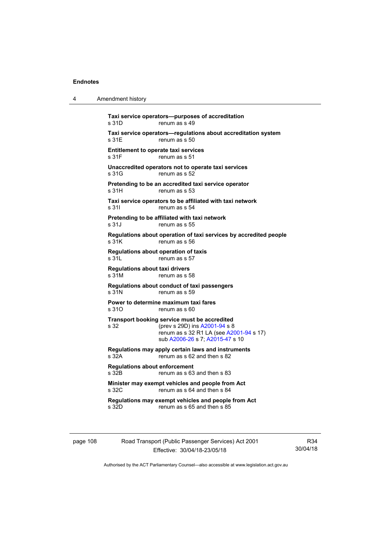4 Amendment history

| s 31D                                          | renum as s 49                                                                                                                                               |
|------------------------------------------------|-------------------------------------------------------------------------------------------------------------------------------------------------------------|
| s 31E                                          | Taxi service operators-regulations about accreditation system<br>renum as s 50                                                                              |
| s 31F                                          | <b>Entitlement to operate taxi services</b><br>renum as s 51                                                                                                |
| s 31G                                          | Unaccredited operators not to operate taxi services<br>renum as s 52                                                                                        |
| s 31H                                          | Pretending to be an accredited taxi service operator<br>renum as s 53                                                                                       |
| s 31l                                          | Taxi service operators to be affiliated with taxi network<br>renum as s 54                                                                                  |
| s 31J                                          | Pretending to be affiliated with taxi network<br>renum as s 55                                                                                              |
| s 31K                                          | Regulations about operation of taxi services by accredited people<br>renum as s 56                                                                          |
| s 31L                                          | Regulations about operation of taxis<br>renum as s 57                                                                                                       |
| <b>Regulations about taxi drivers</b><br>s 31M | renum as s 58                                                                                                                                               |
| s 31N                                          | Regulations about conduct of taxi passengers<br>renum as s 59                                                                                               |
| s.31O                                          | Power to determine maximum taxi fares<br>renum as s 60                                                                                                      |
| s 32                                           | Transport booking service must be accredited<br>(prev s 29D) ins A2001-94 s 8<br>renum as s 32 R1 LA (see A2001-94 s 17)<br>sub A2006-26 s 7; A2015-47 s 10 |
| s 32A                                          | Regulations may apply certain laws and instruments<br>renum as s 62 and then s 82                                                                           |
| <b>Regulations about enforcement</b><br>s 32B  | renum as s 63 and then s 83                                                                                                                                 |
| s 32C                                          | Minister may exempt vehicles and people from Act<br>renum as s 64 and then s 84                                                                             |
| s 32D                                          | Regulations may exempt vehicles and people from Act<br>renum as s 65 and then s 85                                                                          |

page 108 Road Transport (Public Passenger Services) Act 2001 Effective: 30/04/18-23/05/18

R34 30/04/18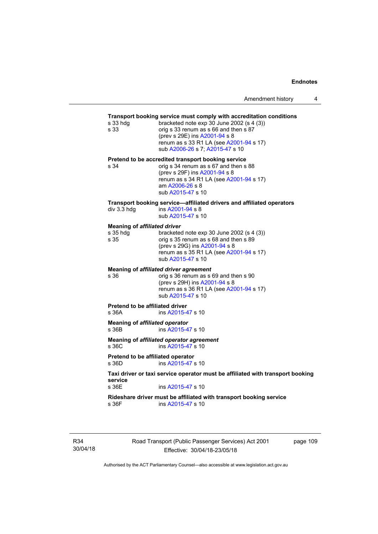## **Transport booking service must comply with accreditation conditions**

| s 33 hdg<br>s 33                                        | <b>Transport booking Scribbe must comply with accidentation conditions</b><br>bracketed note exp 30 June 2002 (s 4 (3))<br>orig s 33 renum as s 66 and then s 87<br>(prev s 29E) ins A2001-94 s 8<br>renum as s 33 R1 LA (see A2001-94 s 17)<br>sub A2006-26 s 7; A2015-47 s 10 |
|---------------------------------------------------------|---------------------------------------------------------------------------------------------------------------------------------------------------------------------------------------------------------------------------------------------------------------------------------|
| s 34                                                    | Pretend to be accredited transport booking service<br>orig s 34 renum as s 67 and then s 88<br>(prev s 29F) ins A2001-94 s 8<br>renum as s 34 R1 LA (see A2001-94 s 17)<br>am A2006-26 s 8<br>sub A2015-47 s 10                                                                 |
| div 3.3 hdg                                             | Transport booking service-affiliated drivers and affiliated operators<br>ins A2001-94 s 8<br>sub A2015-47 s 10                                                                                                                                                                  |
| <b>Meaning of affiliated driver</b><br>s 35 hdg<br>s 35 | bracketed note exp 30 June 2002 (s 4 (3))<br>orig s 35 renum as s 68 and then s 89<br>(prev s 29G) ins A2001-94 s 8<br>renum as s 35 R1 LA (see A2001-94 s 17)<br>sub A2015-47 s 10                                                                                             |
| s 36                                                    | Meaning of affiliated driver agreement<br>orig s 36 renum as s 69 and then s 90<br>(prev s 29H) ins A2001-94 s 8<br>renum as s 36 R1 LA (see A2001-94 s 17)<br>sub A2015-47 s 10                                                                                                |
| <b>Pretend to be affiliated driver</b><br>s 36A         | ins A2015-47 s 10                                                                                                                                                                                                                                                               |
| Meaning of affiliated operator<br>s 36B                 | ins A2015-47 s 10                                                                                                                                                                                                                                                               |
| s 36C                                                   | Meaning of affiliated operator agreement<br>ins A2015-47 s 10                                                                                                                                                                                                                   |
| Pretend to be affiliated operator<br>s 36D              | ins A2015-47 s 10                                                                                                                                                                                                                                                               |
| sarvira                                                 | Taxi driver or taxi service operator must be affiliated with transport booking                                                                                                                                                                                                  |

**s** 36E ins [A2015-47](http://www.legislation.act.gov.au/a/2015-47) s 10

**Rideshare driver must be affiliated with transport booking service**  s 36F ins [A2015-47](http://www.legislation.act.gov.au/a/2015-47) s 10

R34 30/04/18 Road Transport (Public Passenger Services) Act 2001 Effective: 30/04/18-23/05/18

page 109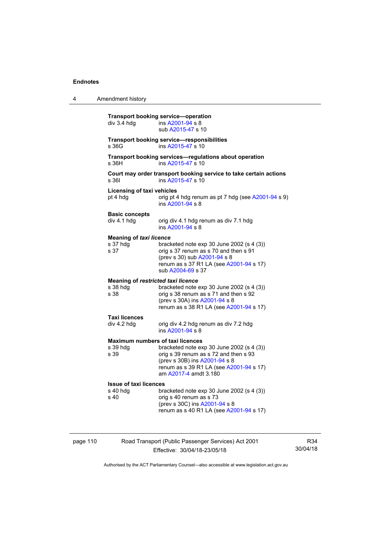4 Amendment history

|          | div 3.4 hdg                                                   | <b>Transport booking service-operation</b><br>ins A2001-94 s 8<br>sub A2015-47 s 10                                                                                                       |
|----------|---------------------------------------------------------------|-------------------------------------------------------------------------------------------------------------------------------------------------------------------------------------------|
|          | s 36G                                                         | <b>Transport booking service-responsibilities</b><br>ins A2015-47 s 10                                                                                                                    |
|          | s 36H                                                         | Transport booking services-regulations about operation<br>ins A2015-47 s 10                                                                                                               |
|          | s 361                                                         | Court may order transport booking service to take certain actions<br>ins A2015-47 s 10                                                                                                    |
|          | <b>Licensing of taxi vehicles</b><br>pt 4 hdg                 | orig pt 4 hdg renum as pt 7 hdg (see A2001-94 s 9)<br>ins A2001-94 s 8                                                                                                                    |
|          | <b>Basic concepts</b><br>div 4.1 hdg                          | orig div 4.1 hdg renum as div 7.1 hdg<br>ins A2001-94 s 8                                                                                                                                 |
|          | <b>Meaning of taxi licence</b><br>s 37 hdg<br>s 37            | bracketed note $exp 30$ June 2002 (s 4 (3))<br>orig s 37 renum as s 70 and then s 91<br>(prev s 30) sub A2001-94 s 8<br>renum as s 37 R1 LA (see A2001-94 s 17)<br>sub A2004-69 s 37      |
|          | <b>Meaning of restricted taxi licence</b><br>s 38 hdg<br>s 38 | bracketed note exp 30 June 2002 (s 4 (3))<br>orig s 38 renum as s 71 and then s 92<br>(prev s 30A) ins A2001-94 s 8<br>renum as s 38 R1 LA (see A2001-94 s 17)                            |
|          | <b>Taxi licences</b><br>div 4.2 hdg                           | orig div 4.2 hdg renum as div 7.2 hdg<br>ins A2001-94 s 8                                                                                                                                 |
|          | <b>Maximum numbers of taxi licences</b><br>s 39 hdg<br>s 39   | bracketed note $exp 30$ June 2002 (s 4 (3))<br>orig s 39 renum as s 72 and then s 93<br>(prev s 30B) ins A2001-94 s 8<br>renum as s 39 R1 LA (see A2001-94 s 17)<br>am A2017-4 amdt 3.180 |
|          | <b>Issue of taxi licences</b><br>s 40 hdg<br>s 40             | bracketed note exp 30 June 2002 (s 4 (3))<br>orig s 40 renum as s 73<br>(prev s 30C) ins A2001-94 s 8<br>renum as s 40 R1 LA (see A2001-94 s 17)                                          |
| page 110 |                                                               | Road Transport (Public Passenger Services) Act 2001                                                                                                                                       |

R34 30/04/18

Authorised by the ACT Parliamentary Counsel—also accessible at www.legislation.act.gov.au

Effective: 30/04/18-23/05/18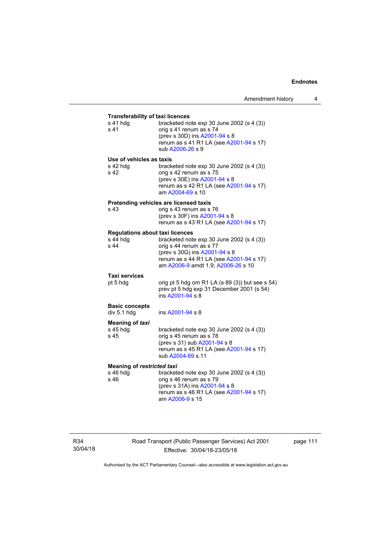| <b>Transferability of taxi licences</b><br>s 41 hdg<br>s 41           | bracketed note exp 30 June 2002 (s 4 (3))<br>orig s 41 renum as s 74<br>(prev s 30D) ins A2001-94 s 8<br>renum as s 41 R1 LA (see A2001-94 s 17)<br>sub A2006-26 s 9                   |
|-----------------------------------------------------------------------|----------------------------------------------------------------------------------------------------------------------------------------------------------------------------------------|
| Use of vehicles as taxis<br>s 42 hdg<br>s 42                          | bracketed note exp 30 June 2002 (s 4 (3))<br>orig s 42 renum as s 75<br>(prev s 30E) ins A2001-94 s 8<br>renum as s 42 R1 LA (see A2001-94 s 17)<br>am A2004-69 s 10                   |
|                                                                       | Pretending vehicles are licensed taxis                                                                                                                                                 |
| s 43                                                                  | orig s 43 renum as s 76<br>(prev s 30F) ins A2001-94 s 8<br>renum as s 43 R1 LA (see A2001-94 s 17)                                                                                    |
| <b>Regulations about taxi licences</b><br>s 44 hdg<br>s <sub>44</sub> | bracketed note exp 30 June 2002 (s 4 (3))<br>orig s 44 renum as s 77<br>(prev s 30G) ins A2001-94 s 8<br>renum as s 44 R1 LA (see A2001-94 s 17)<br>am A2006-9 amdt 1.9; A2006-26 s 10 |
| Taxi services<br>pt 5 hdg                                             | orig pt 5 hdg om R1 LA (s 89 (3)) but see s 54)<br>prev pt 5 hdg exp 31 December 2001 (s 54)<br>ins A2001-94 s 8                                                                       |
| <b>Basic concepts</b><br>div 5.1 hdg                                  | ins A2001-94 s 8                                                                                                                                                                       |
| Meaning of taxi<br>s 45 hdg<br>s 45                                   | bracketed note $exp 30$ June 2002 (s 4 (3))<br>orig s 45 renum as s 78<br>(prev s 31) sub A2001-94 s 8<br>renum as s 45 R1 LA (see A2001-94 s 17)<br>sub A2004-69 s 11                 |
| <b>Meaning of restricted taxi</b><br>s 46 hdg<br>s 46                 | bracketed note exp 30 June 2002 (s 4 (3))<br>orig s 46 renum as s 79<br>(prev s 31A) ins A2001-94 s 8<br>renum as s 46 R1 LA (see A2001-94 s 17)<br>am A2006-9 s 15                    |

R34 30/04/18 Road Transport (Public Passenger Services) Act 2001 Effective: 30/04/18-23/05/18

page 111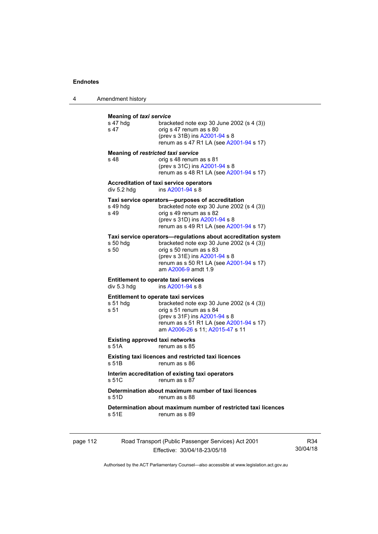4 Amendment history

| s 47 hdg<br>s 47  | <b>Meaning of taxi service</b><br>bracketed note $exp 30$ June 2002 (s 4 (3))<br>orig s 47 renum as s 80<br>(prev s 31B) ins A2001-94 s 8<br>renum as s 47 R1 LA (see A2001-94 s 17)                                                       |
|-------------------|--------------------------------------------------------------------------------------------------------------------------------------------------------------------------------------------------------------------------------------------|
| s 48              | Meaning of restricted taxi service<br>orig s 48 renum as s 81<br>(prev s 31C) ins A2001-94 s 8<br>renum as s 48 R1 LA (see A2001-94 s 17)                                                                                                  |
| div 5.2 hdg       | Accreditation of taxi service operators<br>ins A2001-94 s 8                                                                                                                                                                                |
| s 49 hdg<br>s 49  | Taxi service operators—purposes of accreditation<br>bracketed note $exp 30$ June 2002 (s 4 (3))<br>orig s 49 renum as s 82<br>(prev s 31D) ins A2001-94 s 8<br>renum as s 49 R1 LA (see A2001-94 s 17)                                     |
| s 50 hdg<br>s 50  | Taxi service operators—regulations about accreditation system<br>bracketed note $exp 30$ June 2002 (s 4 (3))<br>orig s 50 renum as s 83<br>(prev s 31E) ins A2001-94 s 8<br>renum as s 50 R1 LA (see A2001-94 s 17)<br>am A2006-9 amdt 1.9 |
| div 5.3 hdg       | <b>Entitlement to operate taxi services</b><br>ins A2001-94 s 8                                                                                                                                                                            |
| $s51$ hdg<br>s 51 | <b>Entitlement to operate taxi services</b><br>bracketed note exp 30 June 2002 (s 4 (3))<br>orig s 51 renum as s 84<br>(prev s 31F) ins A2001-94 s 8<br>renum as s 51 R1 LA (see A2001-94 s 17)<br>am A2006-26 s 11; A2015-47 s 11         |
| s 51A             | <b>Existing approved taxi networks</b><br>renum as s 85                                                                                                                                                                                    |
| s 51B             | Existing taxi licences and restricted taxi licences<br>renum as s 86                                                                                                                                                                       |
| s 51C             | Interim accreditation of existing taxi operators<br>renum as s 87                                                                                                                                                                          |
| s 51D             | Determination about maximum number of taxi licences<br>renum as s 88                                                                                                                                                                       |
| s 51E             | Determination about maximum number of restricted taxi licences<br>renum as s 89                                                                                                                                                            |

| page 112 | Road Transport (Public Passenger Services) Act 2001 | R34      |
|----------|-----------------------------------------------------|----------|
|          | Effective: 30/04/18-23/05/18                        | 30/04/18 |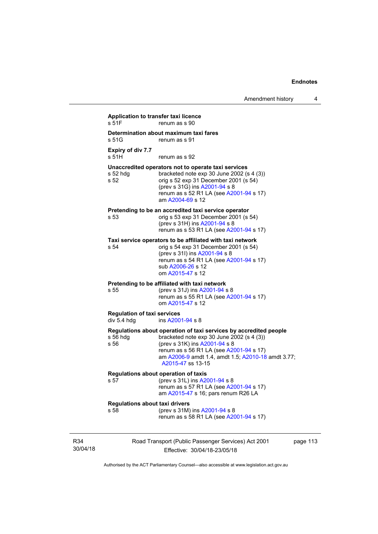| s 51F                                             | renum as s 90                                                                                                                                                                                                                                                           |
|---------------------------------------------------|-------------------------------------------------------------------------------------------------------------------------------------------------------------------------------------------------------------------------------------------------------------------------|
| s 51G                                             | Determination about maximum taxi fares<br>renum as s 91                                                                                                                                                                                                                 |
| Expiry of div 7.7<br>s 51H                        | renum as s 92                                                                                                                                                                                                                                                           |
| $s52$ hdg<br>s 52                                 | Unaccredited operators not to operate taxi services<br>bracketed note exp 30 June 2002 (s 4 (3))<br>orig s 52 exp 31 December 2001 (s 54)<br>(prev s 31G) ins A2001-94 s 8<br>renum as s 52 R1 LA (see A2001-94 s 17)<br>am A2004-69 s 12                               |
| s 53                                              | Pretending to be an accredited taxi service operator<br>orig s 53 exp 31 December 2001 (s 54)<br>(prev s 31H) ins A2001-94 s 8<br>renum as s 53 R1 LA (see A2001-94 s 17)                                                                                               |
| s 54                                              | Taxi service operators to be affiliated with taxi network<br>orig s 54 exp 31 December 2001 (s 54)<br>(prev s 31l) ins A2001-94 s 8<br>renum as s 54 R1 LA (see A2001-94 s 17)<br>sub A2006-26 s 12<br>om A2015-47 s 12                                                 |
| s 55                                              | Pretending to be affiliated with taxi network<br>(prev s 31J) ins A2001-94 s 8<br>renum as s 55 R1 LA (see A2001-94 s 17)<br>om A2015-47 s 12                                                                                                                           |
| <b>Regulation of taxi services</b><br>div 5.4 hdg | ins A2001-94 s 8                                                                                                                                                                                                                                                        |
| s 56 hdg<br>s 56                                  | Regulations about operation of taxi services by accredited people<br>bracketed note $exp 30$ June 2002 (s 4 (3))<br>(prev s 31K) ins A2001-94 s 8<br>renum as s 56 R1 LA (see A2001-94 s 17)<br>am A2006-9 amdt 1.4, amdt 1.5; A2010-18 amdt 3.77;<br>A2015-47 ss 13-15 |
| s 57                                              | <b>Regulations about operation of taxis</b><br>(prev s 31L) ins A2001-94 s 8<br>renum as s 57 R1 LA (see A2001-94 s 17)<br>am A2015-47 s 16; pars renum R26 LA                                                                                                          |
| <b>Regulations about taxi drivers</b><br>s 58     | (prev s 31M) ins A2001-94 s 8<br>renum as s 58 R1 LA (see A2001-94 s 17)                                                                                                                                                                                                |

30/04/18

R34

Effective: 30/04/18-23/05/18

ge  $113$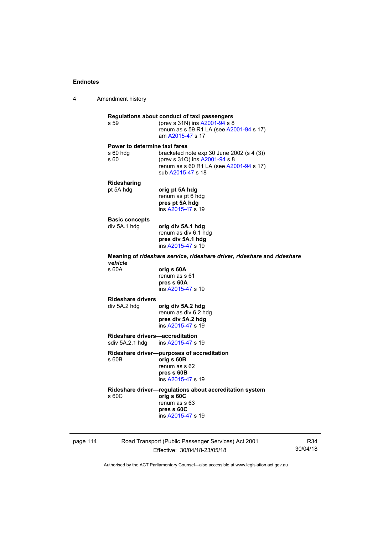4 Amendment history

**Regulations about conduct of taxi passengers**  (prev s 31N) ins [A2001-94](http://www.legislation.act.gov.au/a/2001-94) s 8 renum as s 59 R1 LA (see [A2001-94](http://www.legislation.act.gov.au/a/2001-94) s 17) am [A2015-47](http://www.legislation.act.gov.au/a/2015-47) s 17 **Power to determine taxi fares**  s 60 hdg bracketed note exp 30 June 2002 (s 4 (3)) s 60 (prev s 31O) ins [A2001-94](http://www.legislation.act.gov.au/a/2001-94) s 8 renum as s 60 R1 LA (see [A2001-94](http://www.legislation.act.gov.au/a/2001-94) s 17) sub [A2015-47](http://www.legislation.act.gov.au/a/2015-47) s 18 **Ridesharing**  pt 5A hdg **orig pt 5A hdg** renum as pt 6 hdg **pres pt 5A hdg**  ins [A2015-47](http://www.legislation.act.gov.au/a/2015-47) s 19 **Basic concepts**<br>div 5A.1 hdg div 5A.1 hdg **orig div 5A.1 hdg**  renum as div 6.1 hdg **pres div 5A.1 hdg**  ins [A2015-47](http://www.legislation.act.gov.au/a/2015-47) s 19 **Meaning of** *rideshare service***,** *rideshare driver***,** *rideshare* **and** *rideshare vehicle*  s 60A **orig s 60A**  renum as s 61 **pres s 60A**  ins [A2015-47](http://www.legislation.act.gov.au/a/2015-47) s 19 **Rideshare drivers**  div 5A.2 hdg **orig div 5A.2 hdg**  renum as div 6.2 hdg **pres div 5A.2 hdg**  ins [A2015-47](http://www.legislation.act.gov.au/a/2015-47) s 19 **Rideshare drivers—accreditation**<br>sdiv 5A.2.1 hdg ins A2015-47 s ins [A2015-47](http://www.legislation.act.gov.au/a/2015-47) s 19 **Rideshare driver—purposes of accreditation** s 60B **orig s 60B**  renum as s 62 **pres s 60B**  ins [A2015-47](http://www.legislation.act.gov.au/a/2015-47) s 19 **Rideshare driver—regulations about accreditation system**  s 60C **orig s 60C**  renum as s 63 **pres s 60C**  ins [A2015-47](http://www.legislation.act.gov.au/a/2015-47) s 19

page 114 Road Transport (Public Passenger Services) Act 2001 Effective: 30/04/18-23/05/18

R34 30/04/18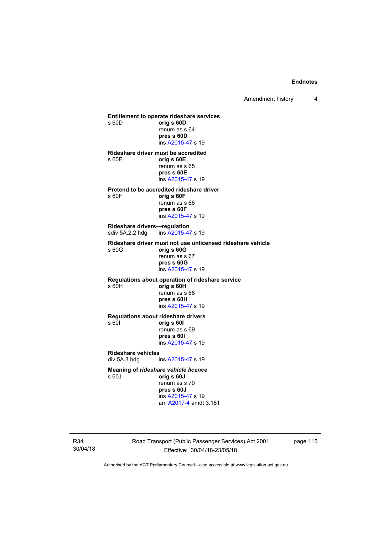Amendment history 4

**Entitlement to operate rideshare services**  s 60D **orig s 60D**  renum as s 64 **pres s 60D**  ins [A2015-47](http://www.legislation.act.gov.au/a/2015-47) s 19 **Rideshare driver must be accredited**  s 60E **orig s 60E**  renum as s 65 **pres s 60E**  ins [A2015-47](http://www.legislation.act.gov.au/a/2015-47) s 19 **Pretend to be accredited rideshare driver**  s 60F **orig s 60F**  renum as s 66 **pres s 60F**  ins [A2015-47](http://www.legislation.act.gov.au/a/2015-47) s 19 **Rideshare drivers—regulation**  sdiv 5A.2.2 hdg ins [A2015-47](http://www.legislation.act.gov.au/a/2015-47) s 19 **Rideshare driver must not use unlicensed rideshare vehicle** s 60G **orig s 60G**  renum as s 67 **pres s 60G**  ins [A2015-47](http://www.legislation.act.gov.au/a/2015-47) s 19 **Regulations about operation of rideshare service** s 60H **orig s 60H**  renum as s 68 **pres s 60H**  ins [A2015-47](http://www.legislation.act.gov.au/a/2015-47) s 19 **Regulations about rideshare drivers** s 60I **orig s 60I**  renum as s 69 **pres s 60I**  ins [A2015-47](http://www.legislation.act.gov.au/a/2015-47) s 19 **Rideshare vehicles**  div 5A.3 hdg ins [A2015-47](http://www.legislation.act.gov.au/a/2015-47) s 19 **Meaning of** *rideshare vehicle licence*  s 60J **orig s 60J**  renum as s 70 **pres s 60J** 

 ins [A2015-47](http://www.legislation.act.gov.au/a/2015-47) s 19 am [A2017-4](http://www.legislation.act.gov.au/a/2017-4/default.asp) amdt 3.181

R34 30/04/18 Road Transport (Public Passenger Services) Act 2001 Effective: 30/04/18-23/05/18

page 115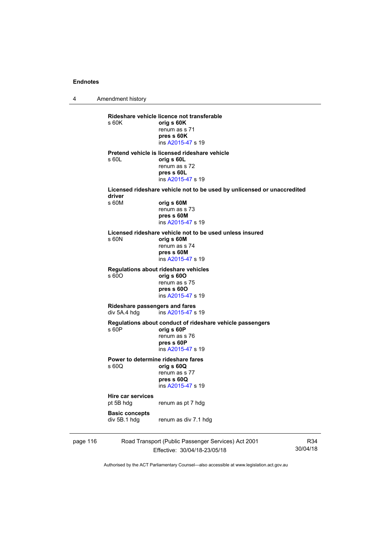4 Amendment history page 116 Road Transport (Public Passenger Services) Act 2001 R34 **Rideshare vehicle licence not transferable**  s 60K **orig s 60K**  renum as s 71 **pres s 60K**  ins [A2015-47](http://www.legislation.act.gov.au/a/2015-47) s 19 **Pretend vehicle is licensed rideshare vehicle**  s 60L **orig s 60L**  renum as s 72 **pres s 60L**  ins [A2015-47](http://www.legislation.act.gov.au/a/2015-47) s 19 **Licensed rideshare vehicle not to be used by unlicensed or unaccredited driver**  s 60M **orig s 60M**  renum as s 73 **pres s 60M**  ins [A2015-47](http://www.legislation.act.gov.au/a/2015-47) s 19 **Licensed rideshare vehicle not to be used unless insured**  s 60N **orig s 60M**  renum as s 74 **pres s 60M**  ins [A2015-47](http://www.legislation.act.gov.au/a/2015-47) s 19 **Regulations about rideshare vehicles**  s 60O **orig s 60O**  renum as s 75 **pres s 60O**  ins [A2015-47](http://www.legislation.act.gov.au/a/2015-47) s 19 **Rideshare passengers and fares**  div 5A.4 hdg ins [A2015-47](http://www.legislation.act.gov.au/a/2015-47) s 19 **Regulations about conduct of rideshare vehicle passengers**  s 60P **orig s 60P**  renum as s 76 **pres s 60P**  ins [A2015-47](http://www.legislation.act.gov.au/a/2015-47) s 19 **Power to determine rideshare fares**  s 60Q **orig s 60Q**  renum as s 77 **pres s 60Q**  ins [A2015-47](http://www.legislation.act.gov.au/a/2015-47) s 19 **Hire car services**  renum as pt 7 hdg **Basic concepts**  div 5B.1 hdg renum as div 7.1 hdg

Effective: 30/04/18-23/05/18

30/04/18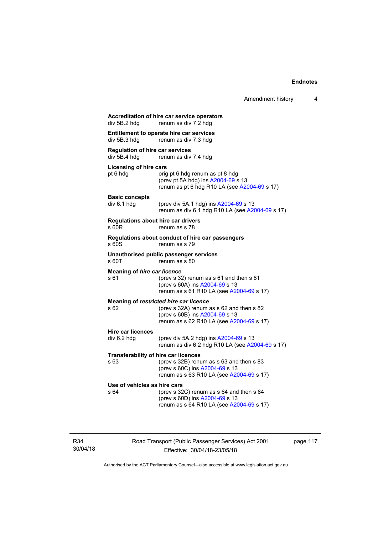| div 5B.2 hdg                                           | renum as div 7.2 hdg                                                                                                                                                  |
|--------------------------------------------------------|-----------------------------------------------------------------------------------------------------------------------------------------------------------------------|
| div 5B.3 hdg                                           | Entitlement to operate hire car services<br>renum as div 7.3 hdg                                                                                                      |
| <b>Regulation of hire car services</b><br>div 5B.4 hdg | renum as div 7.4 hdg                                                                                                                                                  |
| <b>Licensing of hire cars</b><br>pt 6 hdg              | orig pt 6 hdg renum as pt 8 hdg<br>(prev pt 5A hdg) ins A2004-69 s 13<br>renum as pt 6 hdg R10 LA (see A2004-69 s 17)                                                 |
| <b>Basic concepts</b><br>div 6.1 hdg                   | (prev div 5A.1 hdg) ins A2004-69 s 13<br>renum as div 6.1 hdg R10 LA (see A2004-69 s 17)                                                                              |
| s 60R                                                  | <b>Regulations about hire car drivers</b><br>renum as s 78                                                                                                            |
| s 60S                                                  | Regulations about conduct of hire car passengers<br>renum as s 79                                                                                                     |
| s 60T                                                  | Unauthorised public passenger services<br>renum as s 80                                                                                                               |
| <b>Meaning of hire car licence</b><br>s 61             | (prev s 32) renum as s 61 and then s 81<br>(prev s 60A) ins A2004-69 s 13<br>renum as s 61 R10 LA (see A2004-69 s 17)                                                 |
| s 62                                                   | Meaning of restricted hire car licence<br>(prev s 32A) renum as s 62 and then s 82<br>(prev s 60B) ins A2004-69 s 13<br>renum as s 62 R10 LA (see A2004-69 s 17)      |
| <b>Hire car licences</b><br>div 6.2 hdg                | (prev div 5A.2 hdg) ins A2004-69 s 13<br>renum as div 6.2 hdg R10 LA (see A2004-69 s 17)                                                                              |
| s 63                                                   | <b>Transferability of hire car licences</b><br>(prev s 32B) renum as s 63 and then s 83<br>(prev s 60C) ins A2004-69 s 13<br>renum as s 63 R10 LA (see A2004-69 s 17) |
| Use of vehicles as hire cars<br>s 64                   | (prev s 32C) renum as s 64 and then s 84<br>(prev s 60D) ins A2004-69 s 13<br>renum as s 64 R10 LA (see A2004-69 s 17)                                                |

Road Transport (Public Passenger Services) Act 2001 Effective: 30/04/18-23/05/18

page 117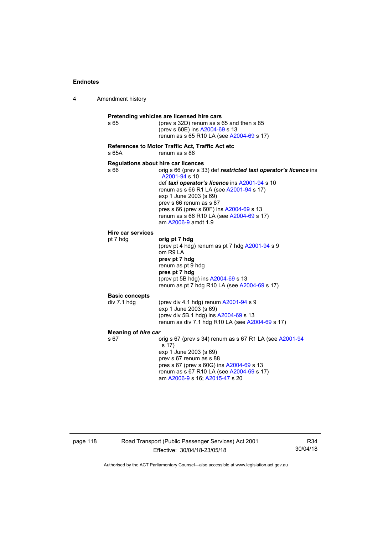4 Amendment history **Pretending vehicles are licensed hire cars**  s 65 (prev s 32D) renum as s 65 and then s 85 (prev s 60E) ins [A2004-69](http://www.legislation.act.gov.au/a/2004-69) s 13 renum as s 65 R10 LA (see [A2004-69](http://www.legislation.act.gov.au/a/2004-69) s 17) **References to Motor Traffic Act, Traffic Act etc**  s 65A renum as s 86 **Regulations about hire car licences**  s 66 orig s 66 (prev s 33) def **restricted taxi operator's licence** ins [A2001-94](http://www.legislation.act.gov.au/a/2001-94) s 10 def *taxi operator's licence* ins [A2001-94](http://www.legislation.act.gov.au/a/2001-94) s 10 renum as s 66 R1 LA (see [A2001-94](http://www.legislation.act.gov.au/a/2001-94) s 17) exp 1 June 2003 (s 69) prev s 66 renum as s 87 pres s 66 (prev s 60F) ins [A2004-69](http://www.legislation.act.gov.au/a/2004-69) s 13 renum as s 66 R10 LA (see [A2004-69](http://www.legislation.act.gov.au/a/2004-69) s 17) am [A2006-9](http://www.legislation.act.gov.au/a/2006-9) amdt 1.9 **Hire car services**  pt 7 hdg **orig pt 7 hdg** (prev pt 4 hdg) renum as pt 7 hdg [A2001-94](http://www.legislation.act.gov.au/a/2001-94) s 9 om R9 LA **prev pt 7 hdg**  renum as pt 9 hdg **pres pt 7 hdg**  (prev pt 5B hdg) ins [A2004-69](http://www.legislation.act.gov.au/a/2004-69) s 13 renum as pt 7 hdg R10 LA (see [A2004-69](http://www.legislation.act.gov.au/a/2004-69) s 17) **Basic concepts**   $div 7.1$  hdg  $(prev div 4.1 hdq)$  renum  $A2001-94 s 9$  $A2001-94 s 9$ exp 1 June 2003 (s 69) (prev div 5B.1 hdg) ins [A2004-69](http://www.legislation.act.gov.au/a/2004-69) s 13 renum as div 7.1 hdg R10 LA (see [A2004-69](http://www.legislation.act.gov.au/a/2004-69) s 17) **Meaning of** *hire car*  s 67 orig s 67 (prev s 34) renum as s 67 R1 LA (see [A2001-94](http://www.legislation.act.gov.au/a/2001-94) s 17) exp 1 June 2003 (s 69) prev s 67 renum as s 88 pres s 67 (prev s 60G) ins [A2004-69](http://www.legislation.act.gov.au/a/2004-69) s 13 renum as s 67 R10 LA (see [A2004-69](http://www.legislation.act.gov.au/a/2004-69) s 17) am [A2006-9](http://www.legislation.act.gov.au/a/2006-9) s 16; [A2015-47](http://www.legislation.act.gov.au/a/2015-47) s 20

page 118 Road Transport (Public Passenger Services) Act 2001 Effective: 30/04/18-23/05/18

R34 30/04/18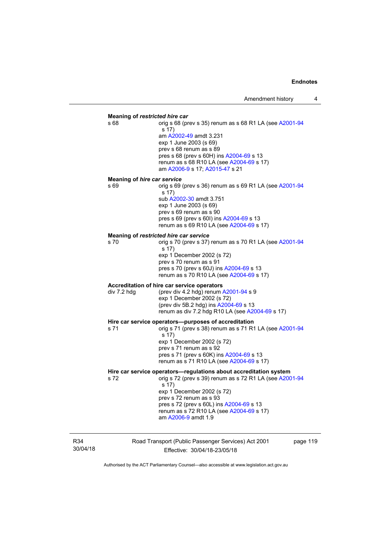## **Meaning of** *restricted hire car*  s 68 **orig s 68 (prev s 35) renum as s 68 R1 LA (see [A2001-94](http://www.legislation.act.gov.au/a/2001-94)** s 17) am [A2002-49](http://www.legislation.act.gov.au/a/2002-49) amdt 3.231 exp 1 June 2003 (s 69) prev s 68 renum as s 89 pres s 68 (prev s 60H) ins [A2004-69](http://www.legislation.act.gov.au/a/2004-69) s 13 renum as s 68 R10 LA (see [A2004-69](http://www.legislation.act.gov.au/a/2004-69) s 17) am [A2006-9](http://www.legislation.act.gov.au/a/2006-9) s 17; [A2015-47](http://www.legislation.act.gov.au/a/2015-47) s 21 **Meaning of** *hire car service*  s 69 orig s 69 (prev s 36) renum as s 69 R1 LA (see [A2001-94](http://www.legislation.act.gov.au/a/2001-94) s 17) sub [A2002-30](http://www.legislation.act.gov.au/a/2002-30) amdt 3.751 exp 1 June 2003 (s 69) prev s 69 renum as s 90 pres s 69 (prev s 60I) ins [A2004-69](http://www.legislation.act.gov.au/a/2004-69) s 13 renum as s 69 R10 LA (see [A2004-69](http://www.legislation.act.gov.au/a/2004-69) s 17) **Meaning of** *restricted hire car service*  s 70 orig s 70 (prev s 37) renum as s 70 R1 LA (see [A2001-94](http://www.legislation.act.gov.au/a/2001-94) s 17) exp 1 December 2002 (s 72) prev s 70 renum as s 91 pres s 70 (prev s 60J) ins [A2004-69](http://www.legislation.act.gov.au/a/2004-69) s 13 renum as s 70 R10 LA (see [A2004-69](http://www.legislation.act.gov.au/a/2004-69) s 17) **Accreditation of hire car service operators**  div 7.2 hdg (prev div 4.2 hdg) renum [A2001-94](http://www.legislation.act.gov.au/a/2001-94) s 9 exp 1 December 2002 (s 72) (prev div 5B.2 hdg) ins [A2004-69](http://www.legislation.act.gov.au/a/2004-69) s 13 renum as div 7.2 hdg R10 LA (see [A2004-69](http://www.legislation.act.gov.au/a/2004-69) s 17) **Hire car service operators—purposes of accreditation**  s 71 orig s 71 (prev s 38) renum as s 71 R1 LA (see [A2001-94](http://www.legislation.act.gov.au/a/2001-94) s 17) exp 1 December 2002 (s 72) prev s 71 renum as s 92 pres s 71 (prev s 60K) ins [A2004-69](http://www.legislation.act.gov.au/a/2004-69) s 13 renum as s 71 R10 LA (see [A2004-69](http://www.legislation.act.gov.au/a/2004-69) s 17) **Hire car service operators—regulations about accreditation system**  s 72 orig s 72 (prev s 39) renum as s 72 R1 LA (see [A2001-94](http://www.legislation.act.gov.au/a/2001-94) s 17) exp 1 December 2002 (s 72) prev s 72 renum as s 93 pres s 72 (prev s 60L) ins [A2004-69](http://www.legislation.act.gov.au/a/2004-69) s 13 renum as s 72 R10 LA (see [A2004-69](http://www.legislation.act.gov.au/a/2004-69) s 17) am [A2006-9](http://www.legislation.act.gov.au/a/2006-9) amdt 1.9

R34 30/04/18 Road Transport (Public Passenger Services) Act 2001 Effective: 30/04/18-23/05/18

page 119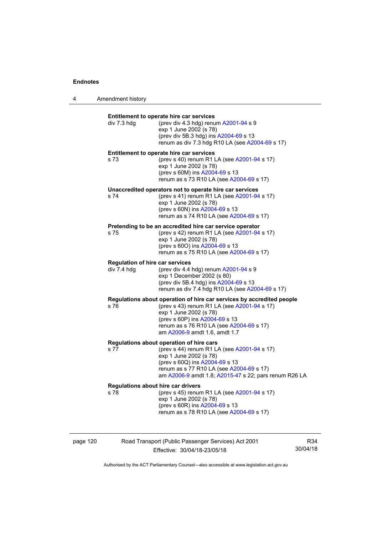4 Amendment history

| div 7.3 hdg | Entitlement to operate hire car services<br>(prev div 4.3 hdg) renum A2001-94 s 9<br>exp 1 June 2002 (s 78)<br>(prev div 5B.3 hdg) ins A2004-69 s 13<br>renum as div 7.3 hdg R10 LA (see A2004-69 s 17)                                                       |
|-------------|---------------------------------------------------------------------------------------------------------------------------------------------------------------------------------------------------------------------------------------------------------------|
| s 73        | Entitlement to operate hire car services<br>(prev s 40) renum R1 LA (see A2001-94 s 17)<br>exp 1 June 2002 (s 78)<br>(prev s 60M) ins A2004-69 s 13<br>renum as s 73 R10 LA (see A2004-69 s 17)                                                               |
| s 74        | Unaccredited operators not to operate hire car services<br>(prev s 41) renum R1 LA (see A2001-94 s 17)<br>exp 1 June 2002 (s 78)<br>(prev s 60N) ins A2004-69 s 13<br>renum as s 74 R10 LA (see A2004-69 s 17)                                                |
| s 75        | Pretending to be an accredited hire car service operator<br>(prev s 42) renum R1 LA (see A2001-94 s 17)<br>exp 1 June 2002 (s 78)<br>(prev s 600) ins A2004-69 s 13<br>renum as s 75 R10 LA (see A2004-69 s 17)                                               |
| div 7.4 hdg | <b>Regulation of hire car services</b><br>(prev div 4.4 hdg) renum A2001-94 s 9<br>exp 1 December 2002 (s 80)<br>(prev div 5B.4 hdg) ins A2004-69 s 13<br>renum as div 7.4 hdg R10 LA (see A2004-69 s 17)                                                     |
| s 76        | Regulations about operation of hire car services by accredited people<br>(prev s 43) renum R1 LA (see A2001-94 s 17)<br>exp 1 June 2002 (s 78)<br>(prev s 60P) ins A2004-69 s 13<br>renum as s 76 R10 LA (see A2004-69 s 17)<br>am A2006-9 amdt 1.6, amdt 1.7 |
| s 77        | Regulations about operation of hire cars<br>(prev s 44) renum R1 LA (see A2001-94 s 17)<br>exp 1 June 2002 (s 78)<br>(prev s 60Q) ins A2004-69 s 13<br>renum as s 77 R10 LA (see A2004-69 s 17)<br>am A2006-9 amdt 1.8; A2015-47 s 22; pars renum R26 LA      |
| s 78        | <b>Regulations about hire car drivers</b><br>(prev s 45) renum R1 LA (see A2001-94 s 17)<br>exp 1 June 2002 (s 78)<br>(prev s 60R) ins A2004-69 s 13<br>renum as s 78 R10 LA (see A2004-69 s 17)                                                              |

page 120 Road Transport (Public Passenger Services) Act 2001 Effective: 30/04/18-23/05/18

R34 30/04/18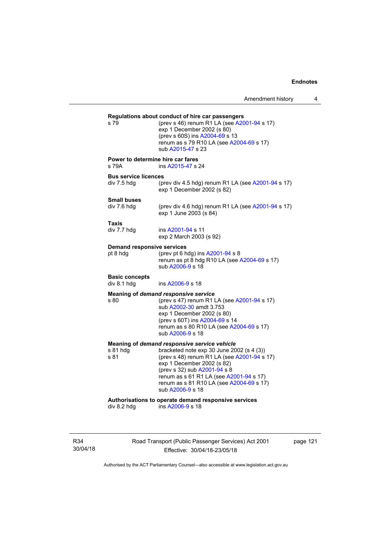**Regulations about conduct of hire car passengers**  (prev s 46) renum R1 LA (see  $A2001-94$  s 17) exp 1 December 2002 (s 80) (prev s 60S) ins [A2004-69](http://www.legislation.act.gov.au/a/2004-69) s 13 renum as s 79 R10 LA (see [A2004-69](http://www.legislation.act.gov.au/a/2004-69) s 17) sub [A2015-47](http://www.legislation.act.gov.au/a/2015-47) s 23 **Power to determine hire car fares**  s 79A ins [A2015-47](http://www.legislation.act.gov.au/a/2015-47) s 24 **Bus service licences**  div 7.5 hdg (prev div 4.5 hdg) renum R1 LA (see [A2001-94](http://www.legislation.act.gov.au/a/2001-94) s 17) exp 1 December 2002 (s 82) **Small buses**  (prev div 4.6 hdg) renum R1 LA (see  $A2001-94$  s 17) exp 1 June 2003 (s 84) **Taxis**  div 7.7 hdg ins [A2001-94](http://www.legislation.act.gov.au/a/2001-94) s 11 exp 2 March 2003 (s 92) **Demand responsive services**  pt 8 hdg (prev pt 6 hdg) ins [A2001-94](http://www.legislation.act.gov.au/a/2001-94) s 8 renum as pt  $\frac{8}{10}$  hdg R10 LA (see [A2004-69](http://www.legislation.act.gov.au/a/2004-69) s 17) sub [A2006-9](http://www.legislation.act.gov.au/a/2006-9) s 18 **Basic concepts**  div 8.1 hdg ins [A2006-9](http://www.legislation.act.gov.au/a/2006-9) s 18 **Meaning of** *demand responsive service* s 80 (prev s 47) renum R1 LA (see [A2001-94](http://www.legislation.act.gov.au/a/2001-94) s 17) sub [A2002-30](http://www.legislation.act.gov.au/a/2002-30) amdt 3.753 exp 1 December 2002 (s 80) (prev s 60T) ins [A2004-69](http://www.legislation.act.gov.au/a/2004-69) s 14 renum as s 80 R10 LA (see [A2004-69](http://www.legislation.act.gov.au/a/2004-69) s 17) sub [A2006-9](http://www.legislation.act.gov.au/a/2006-9) s 18 **Meaning of** *demand responsive service vehicle*<br>s 81 hdg bracketed note exp 30 June 20 s 81 hdg bracketed note exp 30 June 2002 (s 4 (3))<br>s 81 (prev s 48) renum R1 LA (see A2001-94 s (prev s 48) renum R1 LA (see  $A2001-94$  s 17) exp 1 December 2002 (s 82) (prev s 32) sub [A2001-94](http://www.legislation.act.gov.au/a/2001-94) s 8 renum as s 61 R1 LA (see [A2001-94](http://www.legislation.act.gov.au/a/2001-94) s 17) renum as s 81 R10 LA (see [A2004-69](http://www.legislation.act.gov.au/a/2004-69) s 17) sub [A2006-9](http://www.legislation.act.gov.au/a/2006-9) s 18 **Authorisations to operate demand responsive services**   $ins A2006-9 s 18$  $ins A2006-9 s 18$  $ins A2006-9 s 18$ 

R34 30/04/18 Road Transport (Public Passenger Services) Act 2001 Effective: 30/04/18-23/05/18

page 121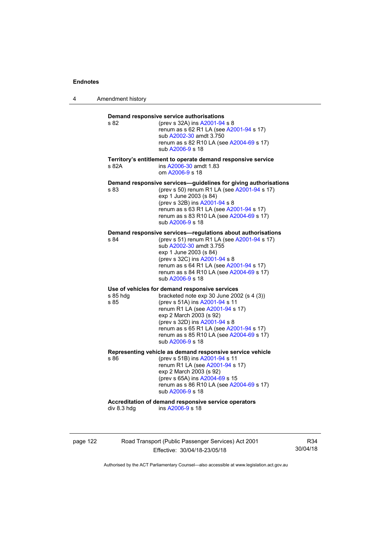4 Amendment history

|                  | renum as s 62 R1 LA (see A2001-94 s 17)<br>sub A2002-30 amdt 3.750<br>renum as s 82 R10 LA (see A2004-69 s 17)<br>sub A2006-9 s 18                                                                                                                                                                                                        |
|------------------|-------------------------------------------------------------------------------------------------------------------------------------------------------------------------------------------------------------------------------------------------------------------------------------------------------------------------------------------|
| s 82A            | Territory's entitlement to operate demand responsive service<br>ins A2006-30 amdt 1.83<br>om A2006-9 s 18                                                                                                                                                                                                                                 |
| s 83             | Demand responsive services-guidelines for giving authorisations<br>(prev s 50) renum R1 LA (see A2001-94 s 17)<br>exp 1 June 2003 (s 84)<br>(prev s 32B) ins A2001-94 s 8<br>renum as s 63 R1 LA (see A2001-94 s 17)<br>renum as s 83 R10 LA (see A2004-69 s 17)<br>sub A2006-9 s 18                                                      |
| s 84             | Demand responsive services—regulations about authorisations<br>(prev s 51) renum R1 LA (see A2001-94 s 17)<br>sub A2002-30 amdt 3.755<br>exp 1 June 2003 (s 84)<br>(prev s 32C) ins A2001-94 s 8<br>renum as s 64 R1 LA (see A2001-94 s 17)<br>renum as s 84 R10 LA (see A2004-69 s 17)<br>sub A2006-9 s 18                               |
| s 85 hdg<br>s 85 | Use of vehicles for demand responsive services<br>bracketed note $exp 30$ June 2002 (s 4 (3))<br>(prev s 51A) ins A2001-94 s 11<br>renum R1 LA (see A2001-94 s 17)<br>exp 2 March 2003 (s 92)<br>(prev s 32D) ins A2001-94 s 8<br>renum as s 65 R1 LA (see A2001-94 s 17)<br>renum as s 85 R10 LA (see A2004-69 s 17)<br>sub A2006-9 s 18 |
| s 86             | Representing vehicle as demand responsive service vehicle<br>(prev s 51B) ins A2001-94 s 11<br>renum R1 LA (see A2001-94 s 17)<br>exp 2 March 2003 (s 92)<br>(prev s 65A) ins A2004-69 s 15<br>renum as s 86 R10 LA (see A2004-69 s 17)<br>sub A2006-9 s 18                                                                               |
|                  | Accreditation of demand responsive service operators<br>ins A2006-9 s 18                                                                                                                                                                                                                                                                  |

page 122 Road Transport (Public Passenger Services) Act 2001 Effective: 30/04/18-23/05/18

R34 30/04/18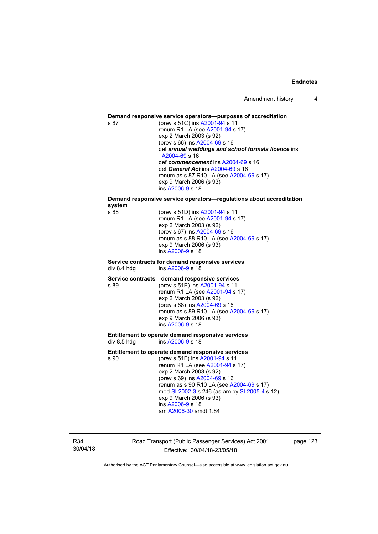#### **Demand responsive service operators—purposes of accreditation**

s 87 (prev s 51C) ins [A2001-94](http://www.legislation.act.gov.au/a/2001-94) s 11 renum R1 LA (see [A2001-94](http://www.legislation.act.gov.au/a/2001-94) s 17) exp 2 March 2003 (s 92) (prev s 66) ins [A2004-69](http://www.legislation.act.gov.au/a/2004-69) s 16 def *annual weddings and school formals licence* ins [A2004-69](http://www.legislation.act.gov.au/a/2004-69) s 16 def *commencement* ins [A2004-69](http://www.legislation.act.gov.au/a/2004-69) s 16 def *General Act* ins [A2004-69](http://www.legislation.act.gov.au/a/2004-69) s 16 renum as s 87 R10 LA (see [A2004-69](http://www.legislation.act.gov.au/a/2004-69) s 17) exp 9 March 2006 (s 93) ins [A2006-9](http://www.legislation.act.gov.au/a/2006-9) s 18

**Demand responsive service operators—regulations about accreditation system** 

(prev s 51D) ins [A2001-94](http://www.legislation.act.gov.au/a/2001-94) s 11 renum R1 LA (see [A2001-94](http://www.legislation.act.gov.au/a/2001-94) s 17) exp 2 March 2003 (s 92) (prev s 67) ins [A2004-69](http://www.legislation.act.gov.au/a/2004-69) s 16 renum as s 88 R10 LA (see [A2004-69](http://www.legislation.act.gov.au/a/2004-69) s 17) exp 9 March 2006 (s 93) ins [A2006-9](http://www.legislation.act.gov.au/a/2006-9) s 18

#### **Service contracts for demand responsive services**  div 8.4 hdg ins [A2006-9](http://www.legislation.act.gov.au/a/2006-9) s 18

#### **Service contracts—demand responsive services**

s 89 (prev s 51E) ins [A2001-94](http://www.legislation.act.gov.au/a/2001-94) s 11 renum R1 LA (see [A2001-94](http://www.legislation.act.gov.au/a/2001-94) s 17) exp 2 March 2003 (s 92) (prev s 68) ins [A2004-69](http://www.legislation.act.gov.au/a/2004-69) s 16 renum as s 89 R10 LA (see [A2004-69](http://www.legislation.act.gov.au/a/2004-69) s 17) exp 9 March 2006 (s 93) ins [A2006-9](http://www.legislation.act.gov.au/a/2006-9) s 18

#### **Entitlement to operate demand responsive services**  div 8.5 hdg ins [A2006-9](http://www.legislation.act.gov.au/a/2006-9) s 18

#### **Entitlement to operate demand responsive services**

s 90 (prev s 51F) ins [A2001-94](http://www.legislation.act.gov.au/a/2001-94) s 11 renum R1 LA (see [A2001-94](http://www.legislation.act.gov.au/a/2001-94) s 17) exp 2 March 2003 (s 92) (prev s 69) ins [A2004-69](http://www.legislation.act.gov.au/a/2004-69) s 16 renum as s 90 R10 LA (see [A2004-69](http://www.legislation.act.gov.au/a/2004-69) s 17) mod [SL2002-3](http://www.legislation.act.gov.au/sl/2002-3) s 246 (as am by [SL2005-4](http://www.legislation.act.gov.au/sl/2005-4) s 12) exp 9 March 2006 (s 93) ins [A2006-9](http://www.legislation.act.gov.au/a/2006-9) s 18 am [A2006-30](http://www.legislation.act.gov.au/a/2006-30) amdt 1.84

R34 30/04/18 Road Transport (Public Passenger Services) Act 2001 Effective: 30/04/18-23/05/18

page 123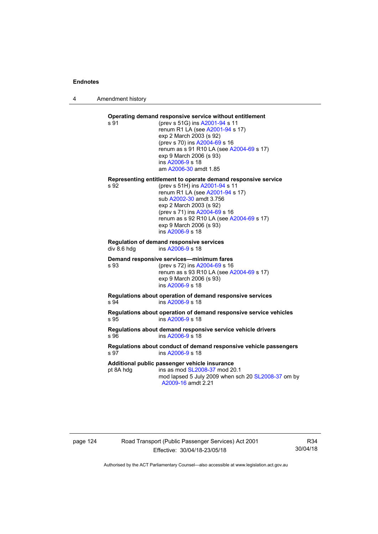4 Amendment history

## **Operating demand responsive service without entitlement**

s 91 (prev s 51G) ins [A2001-94](http://www.legislation.act.gov.au/a/2001-94) s 11 renum R1 LA (see [A2001-94](http://www.legislation.act.gov.au/a/2001-94) s 17) exp 2 March 2003 (s 92) (prev s 70) ins [A2004-69](http://www.legislation.act.gov.au/a/2004-69) s 16 renum as s 91 R10 LA (see [A2004-69](http://www.legislation.act.gov.au/a/2004-69) s 17) exp 9 March 2006 (s 93) ins [A2006-9](http://www.legislation.act.gov.au/a/2006-9) s 18 am [A2006-30](http://www.legislation.act.gov.au/a/2006-30) amdt 1.85

# **Representing entitlement to operate demand responsive service**

(prev s 51H) ins [A2001-94](http://www.legislation.act.gov.au/a/2001-94) s 11 renum R1 LA (see [A2001-94](http://www.legislation.act.gov.au/a/2001-94) s 17) sub [A2002-30](http://www.legislation.act.gov.au/a/2002-30) amdt 3.756 exp 2 March 2003 (s 92) (prev s 71) ins [A2004-69](http://www.legislation.act.gov.au/a/2004-69) s 16 renum as s 92 R10 LA (see [A2004-69](http://www.legislation.act.gov.au/a/2004-69) s 17) exp 9 March 2006 (s 93) ins [A2006-9](http://www.legislation.act.gov.au/a/2006-9) s 18

#### **Regulation of demand responsive services**  div 8.6 hdg ins [A2006-9](http://www.legislation.act.gov.au/a/2006-9) s 18

#### **Demand responsive services—minimum fares**

s 93 (prev s 72) ins [A2004-69](http://www.legislation.act.gov.au/a/2004-69) s 16 renum as s 93 R10 LA (see [A2004-69](http://www.legislation.act.gov.au/a/2004-69) s 17) exp 9 March 2006 (s 93) ins [A2006-9](http://www.legislation.act.gov.au/a/2006-9) s 18

#### **Regulations about operation of demand responsive services**  s 94 ins [A2006-9](http://www.legislation.act.gov.au/a/2006-9) s 18

**Regulations about operation of demand responsive service vehicles**  s 95 ins [A2006-9](http://www.legislation.act.gov.au/a/2006-9) s 18

### **Regulations about demand responsive service vehicle drivers**  s 96 ins [A2006-9](http://www.legislation.act.gov.au/a/2006-9) s 18

#### **Regulations about conduct of demand responsive vehicle passengers**  s 97 ins [A2006-9](http://www.legislation.act.gov.au/a/2006-9) s 18

#### **Additional public passenger vehicle insurance**

pt 8A hdg ins as mod [SL2008-37](http://www.legislation.act.gov.au/sl/2008-37) mod 20.1

mod lapsed 5 July 2009 when sch 20 [SL2008-37](http://www.legislation.act.gov.au/sl/2008-37) om by [A2009-16](http://www.legislation.act.gov.au/a/2009-16) amdt 2.21

## page 124 Road Transport (Public Passenger Services) Act 2001 Effective: 30/04/18-23/05/18

R34 30/04/18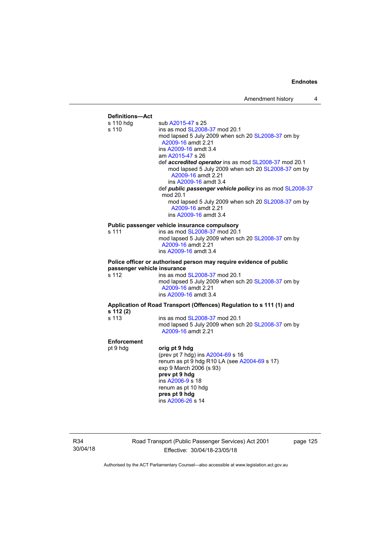

R34 30/04/18 Road Transport (Public Passenger Services) Act 2001 Effective: 30/04/18-23/05/18

page 125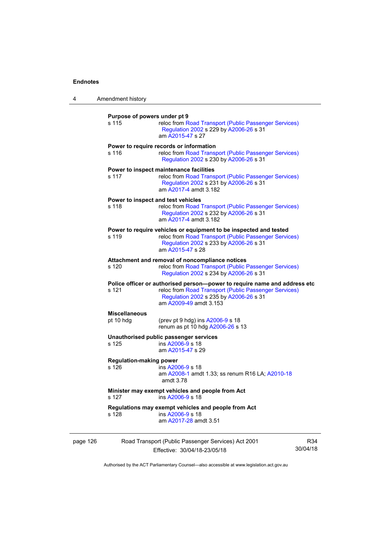| 4        | Amendment history                                                                                                                                                                                                |                                                                                                                                                                                          |                 |  |  |
|----------|------------------------------------------------------------------------------------------------------------------------------------------------------------------------------------------------------------------|------------------------------------------------------------------------------------------------------------------------------------------------------------------------------------------|-----------------|--|--|
|          | Purpose of powers under pt 9<br>s 115<br>reloc from Road Transport (Public Passenger Services)<br>Regulation 2002 s 229 by A2006-26 s 31<br>am A2015-47 s 27                                                     |                                                                                                                                                                                          |                 |  |  |
|          | s 116                                                                                                                                                                                                            | Power to require records or information<br>reloc from Road Transport (Public Passenger Services)<br>Regulation 2002 s 230 by A2006-26 s 31                                               |                 |  |  |
|          | s 117                                                                                                                                                                                                            | Power to inspect maintenance facilities<br>reloc from Road Transport (Public Passenger Services)<br>Regulation 2002 s 231 by A2006-26 s 31<br>am A2017-4 amdt 3.182                      |                 |  |  |
|          | s 118                                                                                                                                                                                                            | Power to inspect and test vehicles<br>reloc from Road Transport (Public Passenger Services)<br>Regulation 2002 s 232 by A2006-26 s 31<br>am A2017-4 amdt 3.182                           |                 |  |  |
|          | s 119                                                                                                                                                                                                            | Power to require vehicles or equipment to be inspected and tested<br>reloc from Road Transport (Public Passenger Services)<br>Regulation 2002 s 233 by A2006-26 s 31<br>am A2015-47 s 28 |                 |  |  |
|          | s 120                                                                                                                                                                                                            | Attachment and removal of noncompliance notices<br>reloc from Road Transport (Public Passenger Services)<br>Regulation 2002 s 234 by A2006-26 s 31                                       |                 |  |  |
|          | Police officer or authorised person--power to require name and address etc<br>s 121<br>reloc from Road Transport (Public Passenger Services)<br>Regulation 2002 s 235 by A2006-26 s 31<br>am A2009-49 amdt 3.153 |                                                                                                                                                                                          |                 |  |  |
|          | <b>Miscellaneous</b><br>pt 10 hdg                                                                                                                                                                                | (prev pt 9 hdg) ins A2006-9 s 18<br>renum as pt 10 hdg A2006-26 s 13                                                                                                                     |                 |  |  |
|          | s 125                                                                                                                                                                                                            | Unauthorised public passenger services<br>ins A2006-9 s 18<br>am A2015-47 s 29                                                                                                           |                 |  |  |
|          | <b>Regulation-making power</b><br>s 126                                                                                                                                                                          | ins A2006-9 s 18<br>am A2008-1 amdt 1.33; ss renum R16 LA; A2010-18<br>amdt 3.78                                                                                                         |                 |  |  |
|          | s 127                                                                                                                                                                                                            | Minister may exempt vehicles and people from Act<br>ins A2006-9 s 18                                                                                                                     |                 |  |  |
|          | s 128                                                                                                                                                                                                            | Regulations may exempt vehicles and people from Act<br>ins A2006-9 s 18<br>am A2017-28 amdt 3.51                                                                                         |                 |  |  |
| page 126 |                                                                                                                                                                                                                  | Road Transport (Public Passenger Services) Act 2001<br>Effective: 30/04/18-23/05/18                                                                                                      | R34<br>30/04/18 |  |  |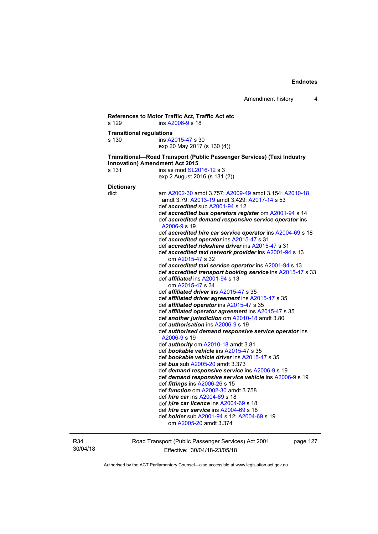```
References to Motor Traffic Act, Traffic Act etc 
s 129 ins A2006-9 s 18 
Transitional regulations 
s 130 ins A2015-47 s 30 
                   exp 20 May 2017 (s 130 (4)) 
Transitional—Road Transport (Public Passenger Services) (Taxi Industry 
Innovation) Amendment Act 2015 
SL2016-12 s 3
                   exp 2 August 2016 (s 131 (2)) 
Dictionary 
dict am A2002-30 amdt 3.757; A2009-49 amdt 3.154; A2010-18
                    amdt 3.79; A2013-19 amdt 3.429; A2017-14 s 53 
                    def accredited sub A2001-94 s 12 
                    def accredited bus operators register om A2001-94 s 14 
                    def accredited demand responsive service operator ins 
                    A2006-9 s 19 
                    def accredited hire car service operator ins A2004-69 s 18 
                    def accredited operator ins A2015-47 s 31 
                    def accredited rideshare driver ins A2015-47 s 31 
                    def accredited taxi network provider ins A2001-94 s 13 
                       om A2015-47 s 32 
                    def accredited taxi service operator ins A2001-94 s 13 
                    def accredited transport booking service ins A2015-47 s 33 
                    def affiliated ins A2001-94 s 13 
                       om A2015-47 s 34 
                    def affiliated driver ins A2015-47 s 35 
                    def affiliated driver agreement ins A2015-47 s 35 
                    def affiliated operator ins A2015-47 s 35 
                    def affiliated operator agreement ins A2015-47 s 35 
                    def another jurisdiction om A2010-18 amdt 3.80 
                    def authorisation ins A2006-9 s 19 
                    def authorised demand responsive service operator ins 
                    A2006-9 s 19 
                    def authority om A2010-18 amdt 3.81 
                    def bookable vehicle ins A2015-47 s 35 
                    def bookable vehicle driver ins A2015-47 s 35 
                    def bus sub A2005-20 amdt 3.373 
                    def demand responsive service ins A2006-9 s 19 
                    def demand responsive service vehicle ins A2006-9 s 19 
                    def fittings ins A2006-26 s 15 
                    def function om A2002-30 amdt 3.758 
                    def hire car ins A2004-69 s 18 
                    def hire car licence ins A2004-69 s 18 
                    def hire car service ins A2004-69 s 18 
                    def holder sub A2001-94 s 12; A2004-69 s 19 
                       om A2005-20 amdt 3.374
```
R34 30/04/18 Road Transport (Public Passenger Services) Act 2001 Effective: 30/04/18-23/05/18

page 127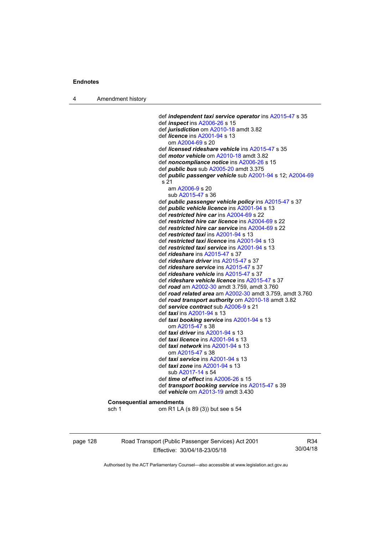4 Amendment history

 def *independent taxi service operator* ins [A2015-47](http://www.legislation.act.gov.au/a/2015-47) s 35 def *inspect* ins [A2006-26](http://www.legislation.act.gov.au/a/2006-26) s 15 def *jurisdiction* om [A2010-18](http://www.legislation.act.gov.au/a/2010-18) amdt 3.82 def *licence* ins [A2001-94](http://www.legislation.act.gov.au/a/2001-94) s 13 om [A2004-69](http://www.legislation.act.gov.au/a/2004-69) s 20 def *licensed rideshare vehicle* ins [A2015-47](http://www.legislation.act.gov.au/a/2015-47) s 35 def *motor vehicle* om [A2010-18](http://www.legislation.act.gov.au/a/2010-18) amdt 3.82 def *noncompliance notice* ins [A2006-26](http://www.legislation.act.gov.au/a/2006-26) s 15 def *public bus* sub [A2005-20](http://www.legislation.act.gov.au/a/2005-20) amdt 3.375 def *public passenger vehicle* sub [A2001-94](http://www.legislation.act.gov.au/a/2001-94) s 12; [A2004-69](http://www.legislation.act.gov.au/a/2004-69) s 21 am [A2006-9](http://www.legislation.act.gov.au/a/2006-9) s 20 sub [A2015-47](http://www.legislation.act.gov.au/a/2015-47) s 36 def *public passenger vehicle policy* ins [A2015-47](http://www.legislation.act.gov.au/a/2015-47) s 37 def *public vehicle licence* ins [A2001-94](http://www.legislation.act.gov.au/a/2001-94) s 13 def *restricted hire car* ins [A2004-69](http://www.legislation.act.gov.au/a/2004-69) s 22 def *restricted hire car licence* ins [A2004-69](http://www.legislation.act.gov.au/a/2004-69) s 22 def *restricted hire car service* ins [A2004-69](http://www.legislation.act.gov.au/a/2004-69) s 22 def *restricted taxi* ins [A2001-94](http://www.legislation.act.gov.au/a/2001-94) s 13 def *restricted taxi licence* ins [A2001-94](http://www.legislation.act.gov.au/a/2001-94) s 13 def *restricted taxi service* ins [A2001-94](http://www.legislation.act.gov.au/a/2001-94) s 13 def *rideshare* ins [A2015-47](http://www.legislation.act.gov.au/a/2015-47) s 37 def *rideshare driver* ins [A2015-47](http://www.legislation.act.gov.au/a/2015-47) s 37 def *rideshare service* ins [A2015-47](http://www.legislation.act.gov.au/a/2015-47) s 37 def *rideshare vehicle* ins [A2015-47](http://www.legislation.act.gov.au/a/2015-47) s 37 def *rideshare vehicle licence* ins [A2015-47](http://www.legislation.act.gov.au/a/2015-47) s 37 def *road* am [A2002-30](http://www.legislation.act.gov.au/a/2002-30) amdt 3.759, amdt 3.760 def *road related area* am [A2002-30](http://www.legislation.act.gov.au/a/2002-30) amdt 3.759, amdt 3.760 def *road transport authority* om [A2010-18](http://www.legislation.act.gov.au/a/2010-18) amdt 3.82 def *service contract* sub [A2006-9](http://www.legislation.act.gov.au/a/2006-9) s 21 def *taxi* ins [A2001-94](http://www.legislation.act.gov.au/a/2001-94) s 13 def *taxi booking service* ins [A2001-94](http://www.legislation.act.gov.au/a/2001-94) s 13 om [A2015-47](http://www.legislation.act.gov.au/a/2015-47) s 38 def *taxi driver* ins [A2001-94](http://www.legislation.act.gov.au/a/2001-94) s 13 def *taxi licence* ins [A2001-94](http://www.legislation.act.gov.au/a/2001-94) s 13 def *taxi network* ins [A2001-94](http://www.legislation.act.gov.au/a/2001-94) s 13 om [A2015-47](http://www.legislation.act.gov.au/a/2015-47) s 38 def *taxi service* ins [A2001-94](http://www.legislation.act.gov.au/a/2001-94) s 13 def *taxi zone* ins [A2001-94](http://www.legislation.act.gov.au/a/2001-94) s 13 sub [A2017-14](http://www.legislation.act.gov.au/a/2017-14/default.asp) s 54 def *time of effect* ins [A2006-26](http://www.legislation.act.gov.au/a/2006-26) s 15 def *transport booking service* ins [A2015-47](http://www.legislation.act.gov.au/a/2015-47) s 39 def *vehicle* om [A2013-19](http://www.legislation.act.gov.au/a/2013-19) amdt 3.430 **Consequential amendments**  sch 1 om R1 LA (s 89 (3)) but see s 54

page 128 Road Transport (Public Passenger Services) Act 2001 Effective: 30/04/18-23/05/18

R34 30/04/18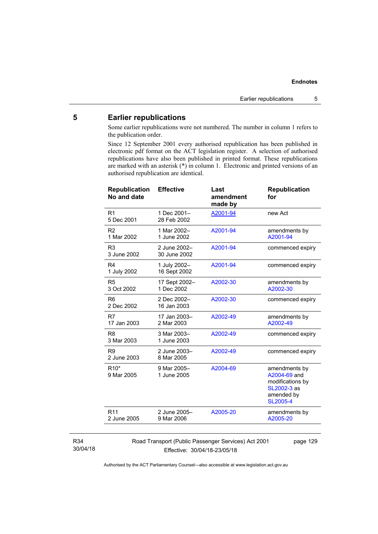## **5 Earlier republications**

Some earlier republications were not numbered. The number in column 1 refers to the publication order.

Since 12 September 2001 every authorised republication has been published in electronic pdf format on the ACT legislation register. A selection of authorised republications have also been published in printed format. These republications are marked with an asterisk (\*) in column 1. Electronic and printed versions of an authorised republication are identical.

| <b>Republication</b><br>No and date | <b>Effective</b>             | Last<br>amendment<br>made by | <b>Republication</b><br>for                                                                       |
|-------------------------------------|------------------------------|------------------------------|---------------------------------------------------------------------------------------------------|
| R <sub>1</sub><br>5 Dec 2001        | 1 Dec 2001-<br>28 Feb 2002   | A2001-94                     | new Act                                                                                           |
| R <sub>2</sub><br>1 Mar 2002        | 1 Mar 2002-<br>1 June 2002   | A2001-94                     | amendments by<br>A2001-94                                                                         |
| R <sub>3</sub><br>3 June 2002       | 2 June 2002-<br>30 June 2002 | A2001-94                     | commenced expiry                                                                                  |
| R <sub>4</sub><br>1 July 2002       | 1 July 2002-<br>16 Sept 2002 | A2001-94                     | commenced expiry                                                                                  |
| R <sub>5</sub><br>3 Oct 2002        | 17 Sept 2002-<br>1 Dec 2002  | A2002-30                     | amendments by<br>A2002-30                                                                         |
| R <sub>6</sub><br>2 Dec 2002        | 2 Dec 2002-<br>16 Jan 2003   | A2002-30                     | commenced expiry                                                                                  |
| R7<br>17 Jan 2003                   | 17 Jan 2003-<br>2 Mar 2003   | A2002-49                     | amendments by<br>A2002-49                                                                         |
| R <sub>8</sub><br>3 Mar 2003        | 3 Mar 2003-<br>1 June 2003   | A2002-49                     | commenced expiry                                                                                  |
| R <sub>9</sub><br>2 June 2003       | 2 June 2003-<br>8 Mar 2005   | A2002-49                     | commenced expiry                                                                                  |
| R <sub>10</sub> *<br>9 Mar 2005     | 9 Mar 2005-<br>1 June 2005   | A2004-69                     | amendments by<br>A2004-69 and<br>modifications by<br>SL2002-3 as<br>amended by<br><b>SL2005-4</b> |
| R <sub>11</sub><br>2 June 2005      | 2 June 2005-<br>9 Mar 2006   | A2005-20                     | amendments by<br>A2005-20                                                                         |
|                                     |                              |                              |                                                                                                   |

#### R34 30/04/18

Road Transport (Public Passenger Services) Act 2001 Effective: 30/04/18-23/05/18

page 129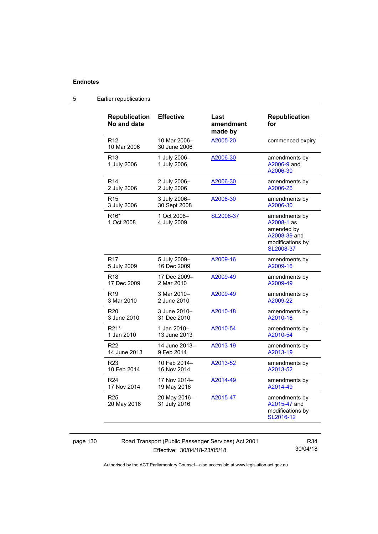| <b>Republication</b><br>No and date | <b>Effective</b>             | Last<br>amendment<br>made by | <b>Republication</b><br>for                                                                |
|-------------------------------------|------------------------------|------------------------------|--------------------------------------------------------------------------------------------|
| R <sub>12</sub><br>10 Mar 2006      | 10 Mar 2006-<br>30 June 2006 | A2005-20                     | commenced expiry                                                                           |
| R <sub>13</sub><br>1 July 2006      | 1 July 2006-<br>1 July 2006  | A2006-30                     | amendments by<br>A2006-9 and<br>A2006-30                                                   |
| R <sub>14</sub>                     | 2 July 2006-                 | A2006-30                     | amendments by                                                                              |
| 2 July 2006                         | 2 July 2006                  |                              | A2006-26                                                                                   |
| R <sub>15</sub>                     | 3 July 2006-                 | A2006-30                     | amendments by                                                                              |
| 3 July 2006                         | 30 Sept 2008                 |                              | A2006-30                                                                                   |
| R <sub>16</sub> *<br>1 Oct 2008     | 1 Oct 2008-<br>4 July 2009   | SL2008-37                    | amendments by<br>A2008-1 as<br>amended by<br>A2008-39 and<br>modifications by<br>SL2008-37 |
| R <sub>17</sub>                     | 5 July 2009-                 | A2009-16                     | amendments by                                                                              |
| 5 July 2009                         | 16 Dec 2009                  |                              | A2009-16                                                                                   |
| R <sub>18</sub>                     | 17 Dec 2009-                 | A2009-49                     | amendments by                                                                              |
| 17 Dec 2009                         | 2 Mar 2010                   |                              | A2009-49                                                                                   |
| R <sub>19</sub>                     | 3 Mar 2010-                  | A2009-49                     | amendments by                                                                              |
| 3 Mar 2010                          | 2 June 2010                  |                              | A2009-22                                                                                   |
| R <sub>20</sub>                     | 3 June 2010-                 | A2010-18                     | amendments by                                                                              |
| 3 June 2010                         | 31 Dec 2010                  |                              | A2010-18                                                                                   |
| R21*                                | 1 Jan 2010-                  | A2010-54                     | amendments by                                                                              |
| 1 Jan 2010                          | 13 June 2013                 |                              | A2010-54                                                                                   |
| R22                                 | 14 June 2013-                | A2013-19                     | amendments by                                                                              |
| 14 June 2013                        | 9 Feb 2014                   |                              | A2013-19                                                                                   |
| R <sub>23</sub>                     | 10 Feb 2014-                 | A2013-52                     | amendments by                                                                              |
| 10 Feb 2014                         | 16 Nov 2014                  |                              | A2013-52                                                                                   |
| R <sub>24</sub>                     | 17 Nov 2014-                 | A2014-49                     | amendments by                                                                              |
| 17 Nov 2014                         | 19 May 2016                  |                              | A2014-49                                                                                   |
| R <sub>25</sub><br>20 May 2016      | 20 May 2016-<br>31 July 2016 | A2015-47                     | amendments by<br>A2015-47 and<br>modifications by<br>SL2016-12                             |

## 5 Earlier republications

page 130 Road Transport (Public Passenger Services) Act 2001 Effective: 30/04/18-23/05/18

R34 30/04/18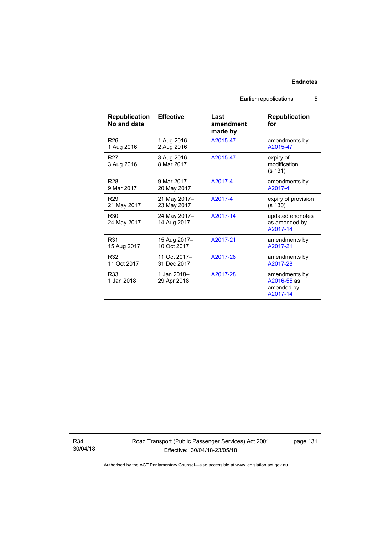| Republication<br>No and date   | <b>Effective</b>            | Last<br>amendment<br>made by | <b>Republication</b><br>for                            |
|--------------------------------|-----------------------------|------------------------------|--------------------------------------------------------|
| R <sub>26</sub>                | 1 Aug 2016-                 | A2015-47                     | amendments by                                          |
| 1 Aug 2016                     | 2 Aug 2016                  |                              | A2015-47                                               |
| R <sub>27</sub><br>3 Aug 2016  | 3 Aug 2016-<br>8 Mar 2017   | A2015-47                     | expiry of<br>modification<br>(s 131)                   |
| <b>R28</b>                     | 9 Mar 2017-                 | A2017-4                      | amendments by                                          |
| 9 Mar 2017                     | 20 May 2017                 |                              | A2017-4                                                |
| R <sub>29</sub>                | 21 May 2017-                | A2017-4                      | expiry of provision                                    |
| 21 May 2017                    | 23 May 2017                 |                              | (s 130)                                                |
| R <sub>30</sub><br>24 May 2017 | 24 May 2017-<br>14 Aug 2017 | A2017-14                     | updated endnotes<br>as amended by<br>A2017-14          |
| R31                            | 15 Aug 2017–                | A2017-21                     | amendments by                                          |
| 15 Aug 2017                    | 10 Oct 2017                 |                              | A2017-21                                               |
| R32                            | 11 Oct 2017-                | A2017-28                     | amendments by                                          |
| 11 Oct 2017                    | 31 Dec 2017                 |                              | A2017-28                                               |
| R33<br>1 Jan 2018              | 1 Jan 2018-<br>29 Apr 2018  | A2017-28                     | amendments by<br>A2016-55 as<br>amended by<br>A2017-14 |

R34 30/04/18 Road Transport (Public Passenger Services) Act 2001 Effective: 30/04/18-23/05/18

page 131